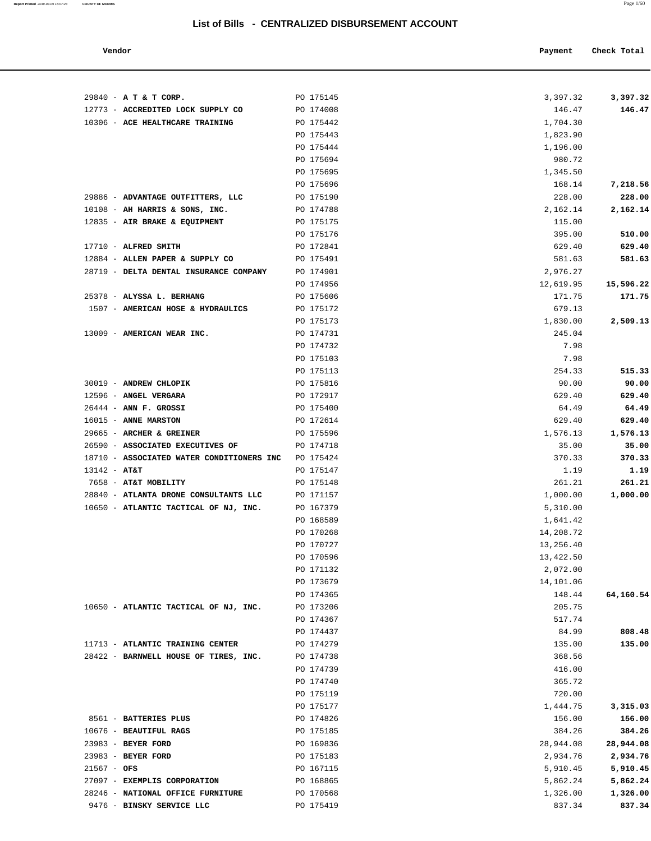| 29840 - A T & T CORP.<br>PO 175145<br>3,397.32<br>12773 - ACCREDITED LOCK SUPPLY CO<br>PO 174008<br>146.47<br>10306 - ACE HEALTHCARE TRAINING<br>PO 175442<br>1,704.30<br>PO 175443<br>1,823.90<br>PO 175444<br>1,196.00<br>PO 175694<br>980.72 | 3,397.32<br>146.47 |
|-------------------------------------------------------------------------------------------------------------------------------------------------------------------------------------------------------------------------------------------------|--------------------|
|                                                                                                                                                                                                                                                 |                    |
|                                                                                                                                                                                                                                                 |                    |
|                                                                                                                                                                                                                                                 |                    |
|                                                                                                                                                                                                                                                 |                    |
|                                                                                                                                                                                                                                                 |                    |
|                                                                                                                                                                                                                                                 |                    |
|                                                                                                                                                                                                                                                 |                    |
| PO 175695<br>1,345.50                                                                                                                                                                                                                           |                    |
| PO 175696<br>168.14                                                                                                                                                                                                                             | 7,218.56           |
| 29886 - ADVANTAGE OUTFITTERS, LLC<br>PO 175190<br>228.00                                                                                                                                                                                        | 228.00             |
| 10108 - AH HARRIS & SONS, INC.<br>PO 174788<br>2,162.14                                                                                                                                                                                         | 2,162.14           |
| 12835 - AIR BRAKE & EQUIPMENT<br>PO 175175<br>115.00                                                                                                                                                                                            |                    |
| PO 175176<br>395.00                                                                                                                                                                                                                             | 510.00             |
| 17710 - ALFRED SMITH<br>PO 172841<br>629.40                                                                                                                                                                                                     | 629.40             |
| 12884 - ALLEN PAPER & SUPPLY CO<br>PO 175491<br>581.63                                                                                                                                                                                          | 581.63             |
| 2,976.27<br>28719 - DELTA DENTAL INSURANCE COMPANY<br>PO 174901                                                                                                                                                                                 |                    |
| PO 174956<br>12,619.95                                                                                                                                                                                                                          | 15,596.22          |
| 25378 - ALYSSA L. BERHANG<br>PO 175606<br>171.75                                                                                                                                                                                                | 171.75             |
| 1507 - AMERICAN HOSE & HYDRAULICS<br>PO 175172<br>679.13                                                                                                                                                                                        |                    |
| PO 175173<br>1,830.00                                                                                                                                                                                                                           | 2,509.13           |
| 245.04<br>13009 - AMERICAN WEAR INC.<br>PO 174731                                                                                                                                                                                               |                    |
| PO 174732<br>7.98                                                                                                                                                                                                                               |                    |
| PO 175103<br>7.98                                                                                                                                                                                                                               |                    |
| PO 175113<br>254.33                                                                                                                                                                                                                             | 515.33             |
| 30019 - ANDREW CHLOPIK<br>PO 175816<br>90.00                                                                                                                                                                                                    | 90.00              |
| 12596 - ANGEL VERGARA<br>PO 172917<br>629.40                                                                                                                                                                                                    | 629.40             |
| $26444$ - ANN F. GROSSI<br>PO 175400<br>64.49                                                                                                                                                                                                   | 64.49              |
| 16015 - ANNE MARSTON<br>PO 172614<br>629.40                                                                                                                                                                                                     | 629.40             |
| 29665 - ARCHER & GREINER<br>PO 175596<br>1,576.13                                                                                                                                                                                               | 1,576.13           |
| 26590 - ASSOCIATED EXECUTIVES OF<br>PO 174718<br>35.00                                                                                                                                                                                          | 35.00              |
| 18710 - ASSOCIATED WATER CONDITIONERS INC<br>PO 175424<br>370.33                                                                                                                                                                                | 370.33             |
| $13142 - AT&T$<br>PO 175147<br>1.19                                                                                                                                                                                                             | 1.19               |
| 7658 - AT&T MOBILITY<br>PO 175148<br>261.21                                                                                                                                                                                                     | 261.21             |
| 28840 - ATLANTA DRONE CONSULTANTS LLC<br>PO 171157<br>1,000.00                                                                                                                                                                                  | 1,000.00           |
| 10650 - ATLANTIC TACTICAL OF NJ, INC.<br>PO 167379<br>5,310.00                                                                                                                                                                                  |                    |
| PO 168589<br>1,641.42                                                                                                                                                                                                                           |                    |
| PO 170268<br>14,208.72<br>PO 170727<br>13,256.40                                                                                                                                                                                                |                    |
| PO 170596<br>13,422.50                                                                                                                                                                                                                          |                    |
| PO 171132<br>2,072.00                                                                                                                                                                                                                           |                    |
| PO 173679<br>14,101.06                                                                                                                                                                                                                          |                    |
| PO 174365<br>148.44                                                                                                                                                                                                                             | 64,160.54          |
| 10650 - ATLANTIC TACTICAL OF NJ, INC.<br>PO 173206<br>205.75                                                                                                                                                                                    |                    |
| 517.74<br>PO 174367                                                                                                                                                                                                                             |                    |
| 84.99<br>PO 174437                                                                                                                                                                                                                              | 808.48             |
| 11713 - ATLANTIC TRAINING CENTER<br>PO 174279<br>135.00                                                                                                                                                                                         | 135.00             |
| 28422 - BARNWELL HOUSE OF TIRES, INC.<br>PO 174738<br>368.56                                                                                                                                                                                    |                    |
| PO 174739<br>416.00                                                                                                                                                                                                                             |                    |
| PO 174740<br>365.72                                                                                                                                                                                                                             |                    |
| PO 175119<br>720.00                                                                                                                                                                                                                             |                    |
| PO 175177<br>1,444.75                                                                                                                                                                                                                           | 3,315.03           |
| 8561 - BATTERIES PLUS<br>PO 174826<br>156.00                                                                                                                                                                                                    | 156.00             |
| 10676 - BEAUTIFUL RAGS<br>PO 175185<br>384.26                                                                                                                                                                                                   | 384.26             |

 23983 - **BEYER FORD** PO 169836 28,944.08 **28,944.08** 23983 - **BEYER FORD** PO 175183 2,934.76 **2,934.76** 21567 - **OFS** PO 167115 5,910.45 **5,910.45** 27097 - **EXEMPLIS CORPORATION** PO 168865 5,862.24 **5,862.24** 28246 - **NATIONAL OFFICE FURNITURE** PO 170568 1,326.00 **1,326.00** 9476 - **BINSKY SERVICE LLC** PO 175419 837.34 **837.34**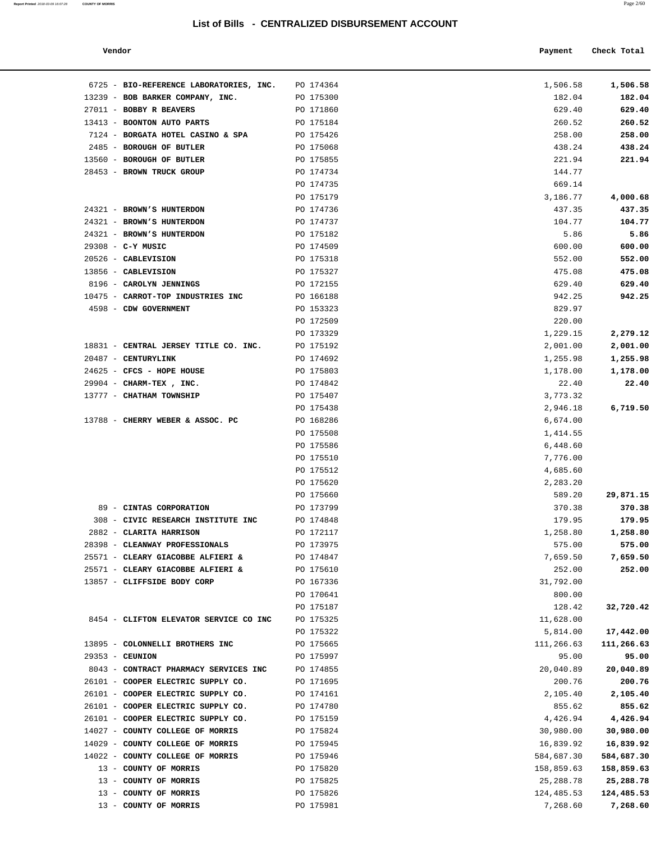**Report Printed** 2018-03-09 16:07:28 **COUNTY OF MORRIS** 

| a. | M.<br>٧<br>٠ |
|----|--------------|
|    |              |

| Vendor | Payment | Check Total |
|--------|---------|-------------|
|        |         |             |

| 6725 - BIO-REFERENCE LABORATORIES, INC.            | PO 174364              | 1,506.58            | 1,506.58            |
|----------------------------------------------------|------------------------|---------------------|---------------------|
| 13239 - BOB BARKER COMPANY, INC.                   | PO 175300              | 182.04              | 182.04              |
| 27011 - BOBBY R BEAVERS                            | PO 171860              | 629.40              | 629.40              |
| 13413 - BOONTON AUTO PARTS                         | PO 175184              | 260.52              | 260.52              |
| 7124 - BORGATA HOTEL CASINO & SPA                  | PO 175426              | 258.00              | 258.00              |
| 2485 - BOROUGH OF BUTLER                           | PO 175068              | 438.24              | 438.24              |
| 13560 - BOROUGH OF BUTLER                          | PO 175855              | 221.94              | 221.94              |
| 28453 - BROWN TRUCK GROUP                          | PO 174734              | 144.77              |                     |
|                                                    | PO 174735              | 669.14              |                     |
|                                                    | PO 175179              | 3,186.77            | 4,000.68            |
| 24321 - BROWN'S HUNTERDON                          | PO 174736              | 437.35              | 437.35              |
| 24321 - BROWN'S HUNTERDON                          | PO 174737              | 104.77              | 104.77              |
| 24321 - BROWN'S HUNTERDON                          | PO 175182              | 5.86                | 5.86                |
| $29308 - C-Y MUSIC$                                | PO 174509              | 600.00              | 600.00              |
| 20526 - CABLEVISION                                | PO 175318              | 552.00              | 552.00              |
| 13856 - CABLEVISION                                | PO 175327              | 475.08              | 475.08              |
| 8196 - CAROLYN JENNINGS                            | PO 172155              | 629.40              | 629.40              |
| 10475 - CARROT-TOP INDUSTRIES INC                  | PO 166188              | 942.25              | 942.25              |
| 4598 - CDW GOVERNMENT                              | PO 153323              | 829.97              |                     |
|                                                    | PO 172509              | 220.00              |                     |
|                                                    | PO 173329              | 1,229.15            | 2,279.12            |
| 18831 - CENTRAL JERSEY TITLE CO. INC.              | PO 175192              | 2,001.00            | 2,001.00            |
| 20487 - CENTURYLINK                                | PO 174692              | 1,255.98            | 1,255.98            |
| 24625 - CFCS - HOPE HOUSE                          | PO 175803              | 1,178.00            | 1,178.00            |
| 29904 - CHARM-TEX, INC.                            | PO 174842              | 22.40               | 22.40               |
| 13777 - CHATHAM TOWNSHIP                           | PO 175407              | 3,773.32            |                     |
|                                                    | PO 175438              | 2,946.18            | 6,719.50            |
| 13788 - CHERRY WEBER & ASSOC. PC                   | PO 168286              | 6,674.00            |                     |
|                                                    | PO 175508              | 1,414.55            |                     |
|                                                    | PO 175586              | 6,448.60            |                     |
|                                                    | PO 175510              | 7,776.00            |                     |
|                                                    | PO 175512              | 4,685.60            |                     |
|                                                    | PO 175620              | 2,283.20            |                     |
|                                                    | PO 175660              | 589.20              | 29,871.15           |
| 89 - CINTAS CORPORATION                            | PO 173799              | 370.38              | 370.38              |
| 308 - CIVIC RESEARCH INSTITUTE INC                 | PO 174848              | 179.95              | 179.95              |
| 2882 - CLARITA HARRISON                            | PO 172117              | 1,258.80            | 1,258.80            |
| 28398 - CLEANWAY PROFESSIONALS                     | PO 173975              | 575.00              | 575.00              |
| 25571 - CLEARY GIACOBBE ALFIERI &                  | PO 174847              | 7,659.50            | 7,659.50            |
| 25571 - CLEARY GIACOBBE ALFIERI &                  | PO 175610              | 252.00              | 252.00              |
| 13857 - CLIFFSIDE BODY CORP                        | PO 167336              | 31,792.00           |                     |
|                                                    | PO 170641              | 800.00              |                     |
|                                                    | PO 175187              | 128.42              | 32,720.42           |
| 8454 - CLIFTON ELEVATOR SERVICE CO INC             | PO 175325              | 11,628.00           |                     |
|                                                    | PO 175322              | 5,814.00            | 17,442.00           |
| 13895 - COLONNELLI BROTHERS INC<br>29353 - CEUNION | PO 175665<br>PO 175997 | 111,266.63<br>95.00 | 111,266.63<br>95.00 |
| 8043 - CONTRACT PHARMACY SERVICES INC              |                        |                     |                     |
| 26101 - COOPER ELECTRIC SUPPLY CO.                 | PO 174855              | 20,040.89           | 20,040.89<br>200.76 |
| 26101 - COOPER ELECTRIC SUPPLY CO.                 | PO 171695<br>PO 174161 | 200.76<br>2,105.40  | 2,105.40            |
| 26101 - COOPER ELECTRIC SUPPLY CO.                 | PO 174780              | 855.62              | 855.62              |
| 26101 - COOPER ELECTRIC SUPPLY CO.                 | PO 175159              | 4,426.94            | 4,426.94            |
| 14027 - COUNTY COLLEGE OF MORRIS                   | PO 175824              | 30,980.00           | 30,980.00           |
| 14029 - COUNTY COLLEGE OF MORRIS                   | PO 175945              | 16,839.92           | 16,839.92           |
| 14022 - COUNTY COLLEGE OF MORRIS                   | PO 175946              | 584,687.30          | 584,687.30          |
| 13 - COUNTY OF MORRIS                              | PO 175820              | 158,859.63          | 158,859.63          |
| 13 - COUNTY OF MORRIS                              | PO 175825              | 25, 288.78          | 25,288.78           |
| 13 - COUNTY OF MORRIS                              | PO 175826              | 124,485.53          | 124,485.53          |
| 13 - COUNTY OF MORRIS                              | PO 175981              | 7,268.60            | 7,268.60            |
|                                                    |                        |                     |                     |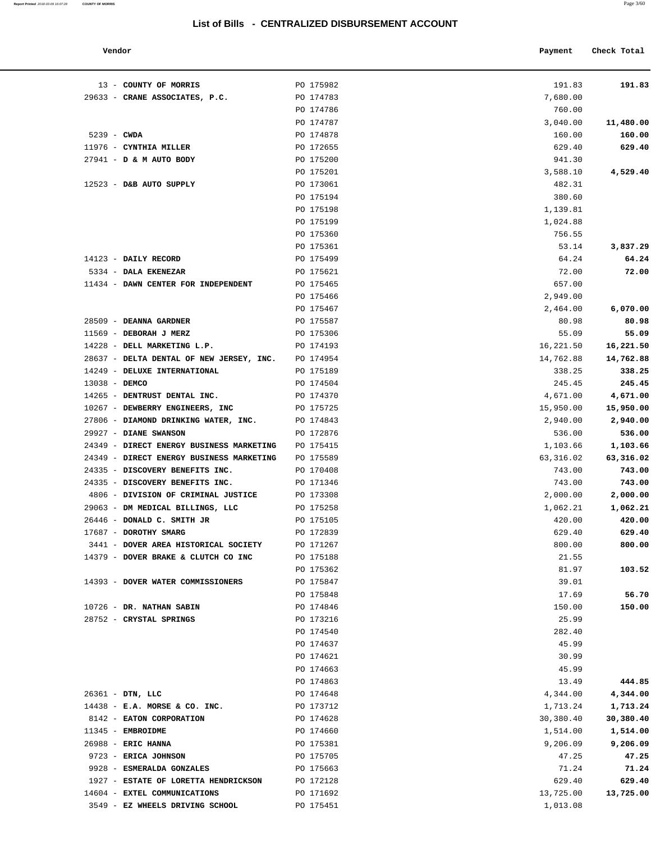**Report Printed** 2018-03-09 16:07:28 **COUNTY OF MORRIS** Page 3/60

| Vendor                      |           | Payment  | Check Total |
|-----------------------------|-----------|----------|-------------|
| 13 - COUNTY OF MORRIS       | PO 175982 | 191.83   | 191.83      |
| 33 - CRANE ASSOCIATES, P.C. | PO 174783 | 7,680.00 |             |
|                             | PO 174786 | 760.00   |             |
|                             | PO 174787 | 3,040.00 | 11,480.00   |
| $39 - CWDA$                 | PO 174878 | 160.00   | 160.00      |
| 76 - CYNTHIA MILLER         | PO 172655 | 629.40   | 629.40      |
| 41 - D & M AUTO BODY        | PO 175200 | 941.30   |             |
|                             | PO 175201 | 3,588.10 | 4,529.40    |
| 23 - D&B AUTO SUPPLY        | PO 173061 | 482.31   |             |
|                             | PO 175194 | 380.60   |             |

| 29633 - CRANE ASSOCIATES, P.C.           | PO 174783 | 7,680.00  |           |
|------------------------------------------|-----------|-----------|-----------|
|                                          | PO 174786 | 760.00    |           |
|                                          | PO 174787 | 3,040.00  | 11,480.00 |
| 5239 - CWDA                              | PO 174878 | 160.00    | 160.00    |
| 11976 - CYNTHIA MILLER                   | PO 172655 | 629.40    | 629.40    |
| 27941 - D & M AUTO BODY                  | PO 175200 | 941.30    |           |
|                                          | PO 175201 | 3,588.10  | 4,529.40  |
| 12523 - D&B AUTO SUPPLY                  | PO 173061 | 482.31    |           |
|                                          | PO 175194 | 380.60    |           |
|                                          | PO 175198 | 1,139.81  |           |
|                                          | PO 175199 | 1,024.88  |           |
|                                          | PO 175360 | 756.55    |           |
|                                          | PO 175361 | 53.14     | 3,837.29  |
| 14123 - DAILY RECORD                     | PO 175499 | 64.24     | 64.24     |
| 5334 - DALA EKENEZAR                     | PO 175621 | 72.00     | 72.00     |
| 11434 - DAWN CENTER FOR INDEPENDENT      | PO 175465 | 657.00    |           |
|                                          | PO 175466 | 2,949.00  |           |
|                                          | PO 175467 | 2,464.00  | 6,070.00  |
| 28509 - DEANNA GARDNER                   | PO 175587 | 80.98     | 80.98     |
| 11569 - DEBORAH J MERZ                   | PO 175306 | 55.09     | 55.09     |
| 14228 - DELL MARKETING L.P.              | PO 174193 | 16,221.50 | 16,221.50 |
| 28637 - DELTA DENTAL OF NEW JERSEY, INC. | PO 174954 | 14,762.88 | 14,762.88 |
| 14249 - DELUXE INTERNATIONAL             | PO 175189 | 338.25    | 338.25    |
| 13038 - DEMCO                            | PO 174504 | 245.45    | 245.45    |
| 14265 - DENTRUST DENTAL INC.             | PO 174370 | 4,671.00  | 4,671.00  |
| 10267 - DEWBERRY ENGINEERS, INC          | PO 175725 | 15,950.00 | 15,950.00 |
| 27806 - DIAMOND DRINKING WATER, INC.     | PO 174843 | 2,940.00  | 2,940.00  |
| 29927 - DIANE SWANSON                    | PO 172876 | 536.00    | 536.00    |
| 24349 - DIRECT ENERGY BUSINESS MARKETING | PO 175415 | 1,103.66  | 1,103.66  |
| 24349 - DIRECT ENERGY BUSINESS MARKETING | PO 175589 | 63,316.02 | 63,316.02 |
| 24335 - DISCOVERY BENEFITS INC.          | PO 170408 | 743.00    | 743.00    |
| 24335 - DISCOVERY BENEFITS INC.          | PO 171346 | 743.00    | 743.00    |
| 4806 - DIVISION OF CRIMINAL JUSTICE      | PO 173308 | 2,000.00  | 2,000.00  |
| 29063 - DM MEDICAL BILLINGS, LLC         | PO 175258 | 1,062.21  | 1,062.21  |
| 26446 - DONALD C. SMITH JR               | PO 175105 | 420.00    | 420.00    |
| 17687 - DOROTHY SMARG                    | PO 172839 | 629.40    | 629.40    |
| 3441 - DOVER AREA HISTORICAL SOCIETY     | PO 171267 | 800.00    | 800.00    |
| 14379 - DOVER BRAKE & CLUTCH CO INC      | PO 175188 | 21.55     |           |
|                                          | PO 175362 | 81.97     | 103.52    |
| 14393 - DOVER WATER COMMISSIONERS        | PO 175847 | 39.01     |           |
|                                          | PO 175848 | 17.69     | 56.70     |
| 10726 - DR. NATHAN SABIN                 | PO 174846 | 150.00    | 150.00    |
| 28752 - CRYSTAL SPRINGS                  | PO 173216 | 25.99     |           |
|                                          | PO 174540 | 282.40    |           |
|                                          | PO 174637 | 45.99     |           |
|                                          | PO 174621 | 30.99     |           |
|                                          | PO 174663 | 45.99     |           |
|                                          | PO 174863 | 13.49     | 444.85    |
| $26361$ - DTN, LLC                       | PO 174648 | 4,344.00  | 4,344.00  |
| 14438 - E.A. MORSE & CO. INC.            | PO 173712 | 1,713.24  | 1,713.24  |
| 8142 - EATON CORPORATION                 | PO 174628 | 30,380.40 | 30,380.40 |
| 11345 - EMBROIDME                        | PO 174660 | 1,514.00  | 1,514.00  |
| 26988 - ERIC HANNA                       | PO 175381 | 9,206.09  | 9,206.09  |
| 9723 - ERICA JOHNSON                     | PO 175705 | 47.25     | 47.25     |
| 9928 - ESMERALDA GONZALES                | PO 175663 | 71.24     | 71.24     |
| 1927 - ESTATE OF LORETTA HENDRICKSON     | PO 172128 | 629.40    | 629.40    |
| 14604 - EXTEL COMMUNICATIONS             | PO 171692 | 13,725.00 | 13,725.00 |
| 3549 - EZ WHEELS DRIVING SCHOOL          | PO 175451 | 1,013.08  |           |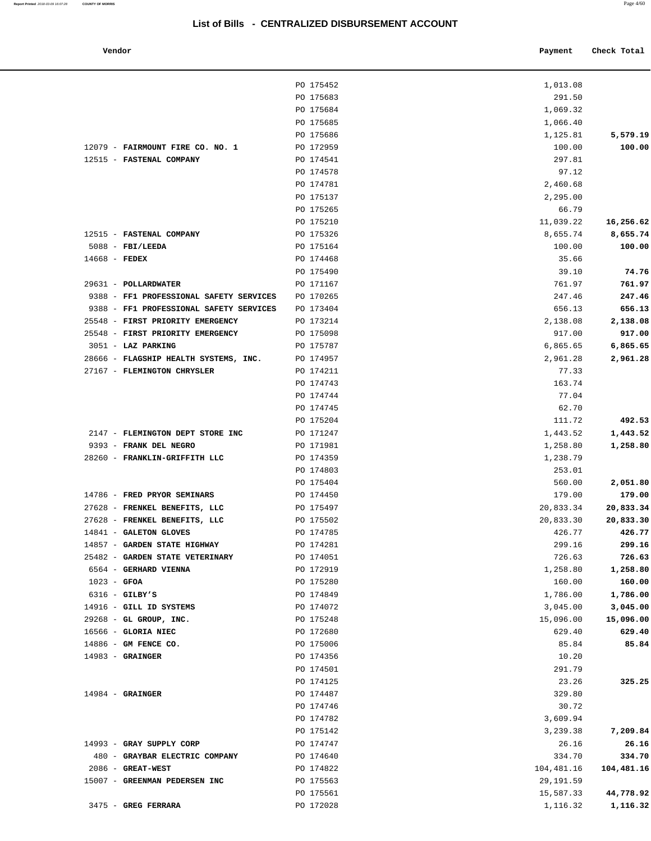|        | ----------- |         |             |
|--------|-------------|---------|-------------|
| Vendor |             | Payment | Check Total |

|                                                            | PO 175452              | 1,013.08             |                      |
|------------------------------------------------------------|------------------------|----------------------|----------------------|
|                                                            | PO 175683              | 291.50               |                      |
|                                                            | PO 175684              | 1,069.32             |                      |
|                                                            | PO 175685              | 1,066.40             |                      |
|                                                            | PO 175686              | 1,125.81             | 5,579.19             |
| 12079 - FAIRMOUNT FIRE CO. NO. 1                           | PO 172959              | 100.00               | 100.00               |
| 12515 - FASTENAL COMPANY                                   | PO 174541              | 297.81               |                      |
|                                                            | PO 174578              | 97.12                |                      |
|                                                            | PO 174781              | 2,460.68             |                      |
|                                                            | PO 175137<br>PO 175265 | 2,295.00             |                      |
|                                                            | PO 175210              | 66.79<br>11,039.22   | 16,256.62            |
| 12515 - FASTENAL COMPANY                                   | PO 175326              | 8,655.74             | 8,655.74             |
| $5088 - FBI/LEEDA$                                         | PO 175164              | 100.00               | 100.00               |
| $14668$ - FEDEX                                            | PO 174468              | 35.66                |                      |
|                                                            | PO 175490              | 39.10                | 74.76                |
| 29631 - POLLARDWATER                                       | PO 171167              | 761.97               | 761.97               |
| 9388 - FF1 PROFESSIONAL SAFETY SERVICES                    | PO 170265              | 247.46               | 247.46               |
| 9388 - FF1 PROFESSIONAL SAFETY SERVICES                    | PO 173404              | 656.13               | 656.13               |
| 25548 - FIRST PRIORITY EMERGENCY                           | PO 173214              | 2,138.08             | 2,138.08             |
| 25548 - FIRST PRIORITY EMERGENCY                           | PO 175098              | 917.00               | 917.00               |
| 3051 - LAZ PARKING                                         | PO 175787              | 6,865.65             | 6,865.65             |
| 28666 - FLAGSHIP HEALTH SYSTEMS, INC.                      | PO 174957              | 2,961.28             | 2,961.28             |
| 27167 - FLEMINGTON CHRYSLER                                | PO 174211              | 77.33                |                      |
|                                                            | PO 174743              | 163.74               |                      |
|                                                            | PO 174744              | 77.04                |                      |
|                                                            | PO 174745              | 62.70                |                      |
|                                                            | PO 175204              | 111.72               | 492.53               |
| 2147 - FLEMINGTON DEPT STORE INC<br>9393 - FRANK DEL NEGRO | PO 171247<br>PO 171981 | 1,443.52             | 1,443.52<br>1,258.80 |
| 28260 - FRANKLIN-GRIFFITH LLC                              | PO 174359              | 1,258.80<br>1,238.79 |                      |
|                                                            | PO 174803              | 253.01               |                      |
|                                                            | PO 175404              | 560.00               | 2,051.80             |
| 14786 - FRED PRYOR SEMINARS                                | PO 174450              | 179.00               | 179.00               |
| 27628 - FRENKEL BENEFITS, LLC                              | PO 175497              | 20,833.34            | 20,833.34            |
| 27628 - FRENKEL BENEFITS, LLC                              | PO 175502              | 20,833.30            | 20,833.30            |
| 14841 - GALETON GLOVES                                     | PO 174785              | 426.77               | 426.77               |
| 14857 - GARDEN STATE HIGHWAY                               | PO 174281              | 299.16               | 299.16               |
| 25482 - GARDEN STATE VETERINARY                            | PO 174051              | 726.63               | 726.63               |
| 6564 - GERHARD VIENNA                                      | PO 172919              | 1,258.80             | 1,258.80             |
| $1023 - GFOA$                                              | PO 175280              | 160.00               | 160.00               |
| $6316$ - GILBY'S                                           | PO 174849              | 1,786.00             | 1,786.00             |
| 14916 - GILL ID SYSTEMS                                    | PO 174072              | 3,045.00             | 3,045.00             |
| 29268 - GL GROUP, INC.                                     | PO 175248              | 15,096.00            | 15,096.00            |
| 16566 - GLORIA NIEC                                        | PO 172680              | 629.40               | 629.40               |
| 14886 - GM FENCE CO.                                       | PO 175006              | 85.84                | 85.84                |
| $14983$ - GRAINGER                                         | PO 174356              | 10.20                |                      |
|                                                            | PO 174501              | 291.79               |                      |
| $14984$ - GRAINGER                                         | PO 174125<br>PO 174487 | 23.26<br>329.80      | 325.25               |
|                                                            | PO 174746              | 30.72                |                      |
|                                                            | PO 174782              | 3,609.94             |                      |
|                                                            | PO 175142              | 3,239.38             | 7,209.84             |
| 14993 - GRAY SUPPLY CORP                                   | PO 174747              | 26.16                | 26.16                |
| 480 - GRAYBAR ELECTRIC COMPANY                             | PO 174640              | 334.70               | 334.70               |
| 2086 - GREAT-WEST                                          | PO 174822              | 104,481.16           | 104,481.16           |
| 15007 - GREENMAN PEDERSEN INC                              | PO 175563              | 29,191.59            |                      |
|                                                            | PO 175561              | 15,587.33            | 44,778.92            |
| 3475 - GREG FERRARA                                        | PO 172028              | 1,116.32             | 1,116.32             |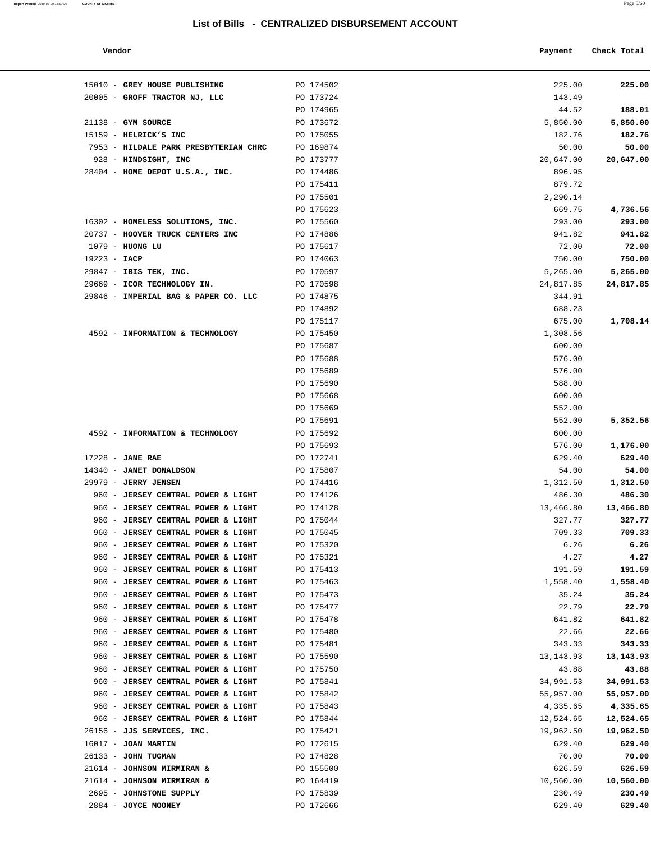**Report Printed** 2018-03-09 16:07:28 **COUNTY OF MORRIS** Page 5/60

| 225.00    | 225.00                |
|-----------|-----------------------|
|           | 143.49                |
| 188.01    | 44.52                 |
| 5,850.00  | 5,850.00              |
| 182.76    | 182.76                |
| 50.00     | 50.00                 |
| 20,647.00 | 20,647.00             |
|           | 896.95                |
|           | 879.72                |
|           | 2,290.14              |
| 4,736.56  | 669.75                |
| 293.00    | 293.00                |
| 941.82    |                       |
| 72.00     | 941.82<br>72.00       |
| 750.00    | 750.00                |
| 5,265.00  |                       |
|           | 5,265.00<br>24,817.85 |
| 24,817.85 |                       |
|           | 344.91                |
|           | 688.23                |
| 1,708.14  | 675.00                |
|           | 1,308.56              |
|           | 600.00                |
|           | 576.00                |
|           | 576.00                |
|           | 588.00                |
|           | 600.00                |
|           | 552.00                |
| 5,352.56  | 552.00                |
|           | 600.00                |
| 1,176.00  | 576.00                |
| 629.40    | 629.40                |
| 54.00     | 54.00                 |
| 1,312.50  | 1,312.50              |
| 486.30    | 486.30                |
| 13,466.80 | 13,466.80             |
| 327.77    | 327.77                |
| 709.33    | 709.33                |
| 6.26      | 6.26                  |
| 4.27      | 4.27                  |
| 191.59    | 191.59                |
| 1,558.40  | 1,558.40              |
| 35.24     | 35.24                 |
| 22.79     | 22.79                 |
| 641.82    | 641.82                |
| 22.66     | 22.66                 |
| 343.33    | 343.33                |
| 13,143.93 | 13, 143. 93           |
| 43.88     | 43.88                 |
| 34,991.53 | 34,991.53             |
| 55,957.00 | 55,957.00             |
| 4,335.65  | 4,335.65              |
| 12,524.65 | 12,524.65             |
| 19,962.50 | 19,962.50             |
| 629.40    | 629.40                |
| 70.00     | 70.00                 |
| 626.59    | 626.59                |
| 10,560.00 | 10,560.00             |
|           |                       |

| Vendor                                          |                        | Payment            | Check Total        |
|-------------------------------------------------|------------------------|--------------------|--------------------|
|                                                 |                        |                    |                    |
| 15010 - GREY HOUSE PUBLISHING                   | PO 174502              | 225.00             | 225.00             |
| 20005 - GROFF TRACTOR NJ, LLC                   | PO 173724              | 143.49             |                    |
|                                                 | PO 174965              | 44.52              | 188.01             |
| $21138$ - GYM SOURCE                            | PO 173672              | 5,850.00           | 5,850.00           |
| 15159 - HELRICK'S INC                           | PO 175055              | 182.76             | 182.76             |
| 7953 - HILDALE PARK PRESBYTERIAN CHRC           | PO 169874              | 50.00              | 50.00              |
| 928 - HINDSIGHT, INC                            | PO 173777              | 20,647.00          | 20,647.00          |
| 28404 - HOME DEPOT U.S.A., INC.                 | PO 174486<br>PO 175411 | 896.95             |                    |
|                                                 | PO 175501              | 879.72<br>2,290.14 |                    |
|                                                 | PO 175623              | 669.75             | 4,736.56           |
| 16302 - HOMELESS SOLUTIONS, INC.                | PO 175560              | 293.00             | 293.00             |
| 20737 - HOOVER TRUCK CENTERS INC                | PO 174886              | 941.82             | 941.82             |
| 1079 - HUONG LU                                 | PO 175617              | 72.00              | 72.00              |
| $19223 - IACP$                                  | PO 174063              | 750.00             | 750.00             |
| 29847 - IBIS TEK, INC.                          | PO 170597              | 5,265.00           | 5,265.00           |
| 29669 - ICOR TECHNOLOGY IN.                     | PO 170598              | 24,817.85          | 24,817.85          |
| 29846 - IMPERIAL BAG & PAPER CO. LLC            | PO 174875              | 344.91             |                    |
|                                                 | PO 174892              | 688.23             |                    |
|                                                 | PO 175117              | 675.00             | 1,708.14           |
| 4592 - INFORMATION & TECHNOLOGY                 | PO 175450              | 1,308.56           |                    |
|                                                 | PO 175687              | 600.00             |                    |
|                                                 | PO 175688              | 576.00             |                    |
|                                                 | PO 175689              | 576.00             |                    |
|                                                 | PO 175690              | 588.00             |                    |
|                                                 | PO 175668              | 600.00             |                    |
|                                                 | PO 175669              | 552.00             |                    |
|                                                 | PO 175691              | 552.00             | 5,352.56           |
| 4592 - INFORMATION & TECHNOLOGY                 | PO 175692              | 600.00             |                    |
|                                                 | PO 175693              | 576.00             | 1,176.00           |
| $17228$ - JANE RAE                              | PO 172741              | 629.40             | 629.40             |
| 14340 - JANET DONALDSON<br>29979 - JERRY JENSEN | PO 175807              | 54.00              | 54.00              |
| 960 - JERSEY CENTRAL POWER & LIGHT              | PO 174416<br>PO 174126 | 1,312.50<br>486.30 | 1,312.50<br>486.30 |
| 960 - JERSEY CENTRAL POWER & LIGHT              | PO 174128              | 13,466.80          | 13,466.80          |
| 960 - JERSEY CENTRAL POWER & LIGHT              | PO 175044              | 327.77             | 327.77             |
| 960 - JERSEY CENTRAL POWER & LIGHT              | PO 175045              | 709.33             | 709.33             |
| 960 - JERSEY CENTRAL POWER & LIGHT              | PO 175320              | 6.26               | 6.26               |
| 960 - JERSEY CENTRAL POWER & LIGHT              | PO 175321              | 4.27               | 4.27               |
| 960 - JERSEY CENTRAL POWER & LIGHT              | PO 175413              | 191.59             | 191.59             |
| 960 - JERSEY CENTRAL POWER & LIGHT              | PO 175463              | 1,558.40           | 1,558.40           |
| 960 - JERSEY CENTRAL POWER & LIGHT              | PO 175473              | 35.24              | 35.24              |
| 960 - JERSEY CENTRAL POWER & LIGHT              | PO 175477              | 22.79              | 22.79              |
| 960 - JERSEY CENTRAL POWER & LIGHT              | PO 175478              | 641.82             | 641.82             |
| 960 - JERSEY CENTRAL POWER & LIGHT              | PO 175480              | 22.66              | 22.66              |
| 960 - JERSEY CENTRAL POWER & LIGHT              | PO 175481              | 343.33             | 343.33             |
| 960 - JERSEY CENTRAL POWER & LIGHT              | PO 175590              | 13, 143. 93        | 13,143.93          |
| 960 - JERSEY CENTRAL POWER & LIGHT              | PO 175750              | 43.88              | 43.88              |
| 960 - JERSEY CENTRAL POWER & LIGHT              | PO 175841              | 34,991.53          | 34,991.53          |
| 960 - JERSEY CENTRAL POWER & LIGHT              | PO 175842              | 55,957.00          | 55,957.00          |
| 960 - JERSEY CENTRAL POWER & LIGHT              | PO 175843              | 4,335.65           | 4,335.65           |
| 960 - JERSEY CENTRAL POWER & LIGHT              | PO 175844              | 12,524.65          | 12,524.65          |
| 26156 - JJS SERVICES, INC.                      | PO 175421              | 19,962.50          | 19,962.50          |
| $16017$ - JOAN MARTIN                           | PO 172615              | 629.40             | 629.40             |
| 26133 - JOHN TUGMAN                             | PO 174828              | 70.00              | 70.00              |
| 21614 - JOHNSON MIRMIRAN &                      | PO 155500              | 626.59             | 626.59             |
| 21614 - JOHNSON MIRMIRAN &                      | PO 164419              | 10,560.00          | 10,560.00          |
| 2695 - JOHNSTONE SUPPLY                         | PO 175839              | 230.49             | 230.49             |
| 2884 - JOYCE MOONEY                             | PO 172666              | 629.40             | 629.40             |
|                                                 |                        |                    |                    |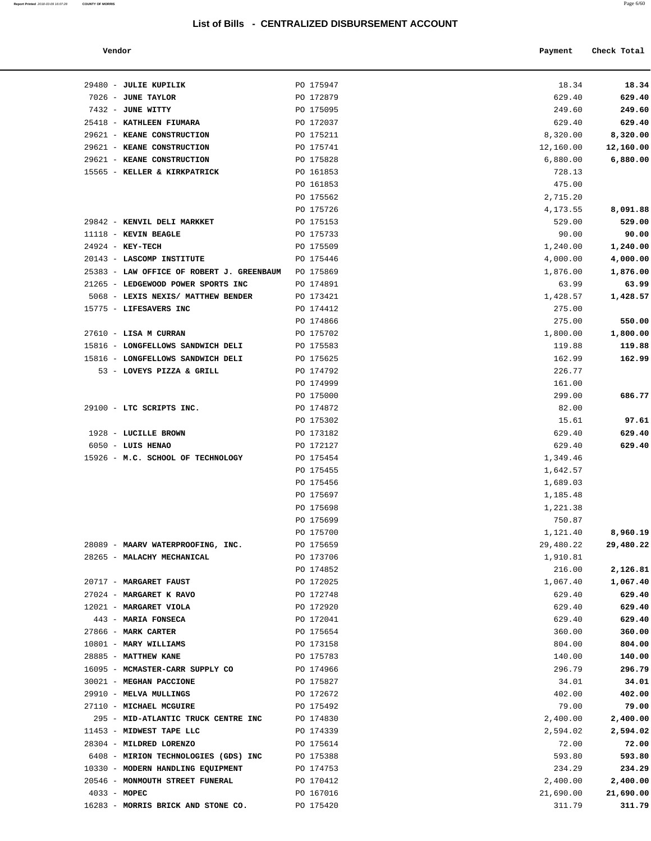| Report Printed 2018-03-09 16:07:28 | <b>COUNTY OF MORRIS</b> | Page $6/60$ |
|------------------------------------|-------------------------|-------------|
|                                    |                         |             |

| Vendor             |           | Payment | Check Total |
|--------------------|-----------|---------|-------------|
| 80 - JULIE KUPILIK | PO 175947 | 18.34   | 18.34       |
| 26 - JUNE TAYLOR   | PO 172879 | 629.40  | 629.40      |
| $32 - JIMER WITHY$ | PO 175095 | 249.60  | 249.60      |

| $29480$ - JULIE KUPILIK                                         | PO 175947              | 18.34                | 18.34             |
|-----------------------------------------------------------------|------------------------|----------------------|-------------------|
| 7026 - JUNE TAYLOR                                              | PO 172879              | 629.40               | 629.40            |
| 7432 - JUNE WITTY                                               | PO 175095              | 249.60               | 249.60            |
| 25418 - KATHLEEN FIUMARA                                        | PO 172037              | 629.40               | 629.40            |
| 29621 - KEANE CONSTRUCTION                                      | PO 175211              | 8,320.00             | 8,320.00          |
| 29621 - KEANE CONSTRUCTION                                      | PO 175741              | 12,160.00            | 12,160.00         |
| 29621 - KEANE CONSTRUCTION                                      | PO 175828              | 6,880.00             | 6,880.00          |
| 15565 - KELLER & KIRKPATRICK                                    | PO 161853              | 728.13               |                   |
|                                                                 | PO 161853<br>PO 175562 | 475.00<br>2,715.20   |                   |
|                                                                 | PO 175726              | 4,173.55             | 8,091.88          |
| 29842 - KENVIL DELI MARKKET                                     | PO 175153              | 529.00               | 529.00            |
| $11118$ - KEVIN BEAGLE                                          | PO 175733              | 90.00                | 90.00             |
| 24924 - KEY-TECH                                                | PO 175509              | 1,240.00             | 1,240.00          |
| 20143 - LASCOMP INSTITUTE                                       | PO 175446              | 4,000.00             | 4,000.00          |
| 25383 - LAW OFFICE OF ROBERT J. GREENBAUM                       | PO 175869              | 1,876.00             | 1,876.00          |
| 21265 - LEDGEWOOD POWER SPORTS INC                              | PO 174891              | 63.99                | 63.99             |
| 5068 - LEXIS NEXIS/ MATTHEW BENDER                              | PO 173421              | 1,428.57             | 1,428.57          |
| 15775 - LIFESAVERS INC                                          | PO 174412              | 275.00               |                   |
|                                                                 | PO 174866              | 275.00               | 550.00            |
| 27610 - LISA M CURRAN                                           | PO 175702              | 1,800.00             | 1,800.00          |
| 15816 - LONGFELLOWS SANDWICH DELI                               | PO 175583              | 119.88               | 119.88            |
| 15816 - LONGFELLOWS SANDWICH DELI                               | PO 175625              | 162.99               | 162.99            |
| 53 - LOVEYS PIZZA & GRILL                                       | PO 174792              | 226.77               |                   |
|                                                                 | PO 174999              | 161.00               |                   |
|                                                                 | PO 175000              | 299.00               | 686.77            |
| 29100 - LTC SCRIPTS INC.                                        | PO 174872              | 82.00                |                   |
|                                                                 | PO 175302              | 15.61                | 97.61             |
| 1928 - LUCILLE BROWN                                            | PO 173182              | 629.40               | 629.40            |
| 6050 - LUIS HENAO                                               | PO 172127              | 629.40               | 629.40            |
| 15926 - M.C. SCHOOL OF TECHNOLOGY                               | PO 175454<br>PO 175455 | 1,349.46             |                   |
|                                                                 | PO 175456              | 1,642.57<br>1,689.03 |                   |
|                                                                 | PO 175697              | 1,185.48             |                   |
|                                                                 | PO 175698              | 1,221.38             |                   |
|                                                                 | PO 175699              | 750.87               |                   |
|                                                                 | PO 175700              | 1,121.40             | 8,960.19          |
| 28089 - MAARV WATERPROOFING, INC.                               | PO 175659              | 29,480.22            | 29,480.22         |
| 28265 - MALACHY MECHANICAL                                      | PO 173706              | 1,910.81             |                   |
|                                                                 | PO 174852              | 216.00               | 2,126.81          |
| 20717 - MARGARET FAUST                                          | PO 172025              | 1,067.40             | 1,067.40          |
| 27024 - MARGARET K RAVO                                         | PO 172748              | 629.40               | 629.40            |
| 12021 - MARGARET VIOLA                                          | PO 172920              | 629.40               | 629.40            |
| 443 - MARIA FONSECA                                             | PO 172041              | 629.40               | 629.40            |
| 27866 - MARK CARTER                                             | PO 175654              | 360.00               | 360.00            |
| 10801 - MARY WILLIAMS                                           | PO 173158              | 804.00               | 804.00            |
| 28885 - MATTHEW KANE                                            | PO 175783              | 140.00               | 140.00            |
| 16095 - MCMASTER-CARR SUPPLY CO                                 | PO 174966              | 296.79               | 296.79            |
| 30021 - MEGHAN PACCIONE                                         | PO 175827              | 34.01                | 34.01             |
| 29910 - MELVA MULLINGS                                          | PO 172672              | 402.00               | 402.00            |
| 27110 - MICHAEL MCGUIRE                                         | PO 175492              | 79.00                | 79.00             |
| 295 - MID-ATLANTIC TRUCK CENTRE INC<br>11453 - MIDWEST TAPE LLC | PO 174830<br>PO 174339 | 2,400.00             | 2,400.00          |
| 28304 - MILDRED LORENZO                                         | PO 175614              | 2,594.02<br>72.00    | 2,594.02<br>72.00 |
| 6408 - MIRION TECHNOLOGIES (GDS) INC                            | PO 175388              | 593.80               | 593.80            |
| 10330 - MODERN HANDLING EQUIPMENT                               | PO 174753              | 234.29               | 234.29            |
| 20546 - MONMOUTH STREET FUNERAL                                 | PO 170412              | 2,400.00             | 2,400.00          |
| $4033 - MOPEC$                                                  | PO 167016              | 21,690.00            | 21,690.00         |
| 16283 - MORRIS BRICK AND STONE CO.                              | PO 175420              | 311.79               | 311.79            |
|                                                                 |                        |                      |                   |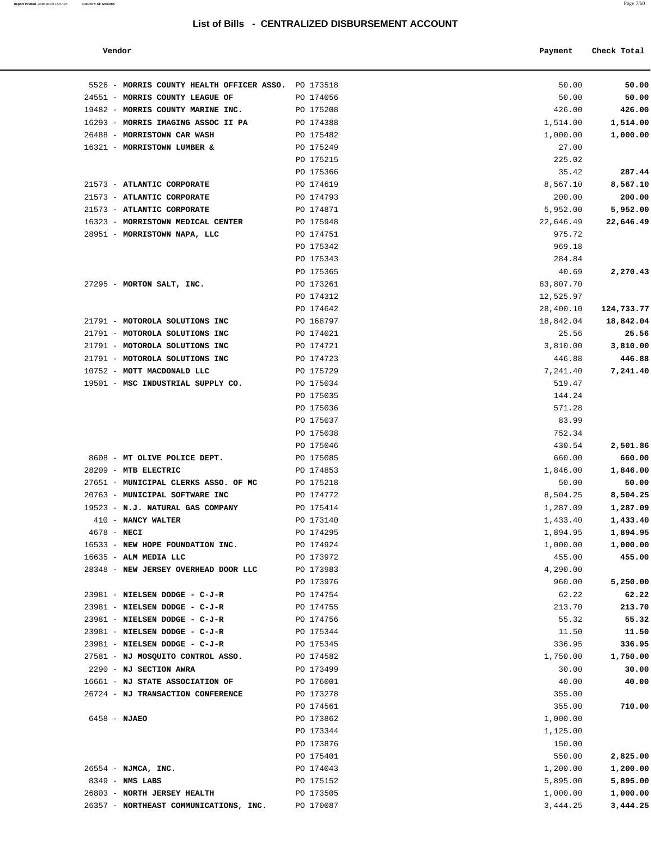5526 - **MORRIS COUNTY HEALTH OFFICER ASSO.** PO 173518 24551 - **MORRIS COUNTY LEAGUE OF** PO 174056 19482 - **MORRIS COUNTY MARINE INC.** PO 175208 16293 - **MORRIS IMAGING ASSOC II PA** PO 174388

**Report Printed** 2018-03-09 16:07:28 **COUNTY OF MORRIS** Page 7/60

| List of Bills - CENTRALIZED DISBURSEMENT ACCOUNT  |           |           |             |  |  |
|---------------------------------------------------|-----------|-----------|-------------|--|--|
| Vendor                                            |           | Payment   | Check Total |  |  |
| 26 - MORRIS COUNTY HEALTH OFFICER ASSO. PO 173518 |           | 50.00     | 50.00       |  |  |
| 51 - MORRIS COUNTY LEAGUE OF                      | PO 174056 | 50.00     | 50.00       |  |  |
| 82 - MORRIS COUNTY MARINE INC.                    | PO 175208 | 426.00    | 426.00      |  |  |
| 93 - MORRIS IMAGING ASSOC II PA                   | PO 174388 | 1,514.00  | 1,514.00    |  |  |
| 88 - MORRISTOWN CAR WASH                          | PO 175482 | 1,000.00  | 1,000.00    |  |  |
| 21 - MORRISTOWN LUMBER &                          | PO 175249 | 27.00     |             |  |  |
|                                                   | PO 175215 | 225.02    |             |  |  |
|                                                   | PO 175366 | 35.42     | 287.44      |  |  |
| 73 - ATLANTIC CORPORATE                           | PO 174619 | 8,567.10  | 8,567.10    |  |  |
| 73 - ATLANTIC CORPORATE                           | PO 174793 | 200.00    | 200.00      |  |  |
| 73 - ATLANTIC CORPORATE                           | PO 174871 | 5,952.00  | 5,952.00    |  |  |
| 23 - MORRISTOWN MEDICAL CENTER                    | PO 175948 | 22,646.49 | 22,646.49   |  |  |
| 51 - MORRISTOWN NAPA, LLC                         | PO 174751 | 975.72    |             |  |  |
|                                                   | PO 175342 | 969.18    |             |  |  |
|                                                   | PO 175343 | 284.84    |             |  |  |
|                                                   | PO 175365 | 40.69     | 2,270.43    |  |  |
| 95 - MORTON SALT, INC.                            | PO 173261 | 83,807.70 |             |  |  |
|                                                   | PO 174312 | 12,525.97 |             |  |  |
|                                                   | PO 174642 | 28,400.10 | 124,733.77  |  |  |
| 91 - MOTOROLA SOLUTIONS INC                       | PO 168797 | 18,842.04 | 18,842.04   |  |  |
| 91 - MOTOROLA SOLUTIONS INC                       | PO 174021 | 25.56     | 25.56       |  |  |
| 91 - MOTOROLA SOLUTIONS INC                       | PO 174721 | 3,810.00  | 3,810.00    |  |  |
| 91 - MOTOROLA SOLUTIONS INC                       | PO 174723 | 446.88    | 446.88      |  |  |
| 52 - MOTT MACDONALD LLC                           | PO 175729 | 7,241.40  | 7,241.40    |  |  |
| 01 - MSC INDUSTRIAL SUPPLY CO.                    | PO 175034 | 519.47    |             |  |  |
|                                                   | PO 175035 | 144.24    |             |  |  |
|                                                   | PO 175036 | 571.28    |             |  |  |
|                                                   | PO 175037 | 83.99     |             |  |  |
|                                                   | PO 175038 | 752.34    |             |  |  |
|                                                   | PO 175046 | 430.54    | 2,501.86    |  |  |
| 08 - MT OLIVE POLICE DEPT.                        | PO 175085 | 660.00    | 660.00      |  |  |
| 09 - MTB ELECTRIC                                 | PO 174853 | 1,846.00  | 1,846.00    |  |  |
| 51 - MUNICIPAL CLERKS ASSO. OF MC                 | PO 175218 | 50.00     | 50.00       |  |  |
| 63 - MUNICIPAL SOFTWARE INC                       | PO 174772 | 8,504.25  | 8,504.25    |  |  |
| 23 - N.J. NATURAL GAS COMPANY                     | PO 175414 | 1,287.09  | 1,287.09    |  |  |
| 10 - NANCY WALTER                                 | PO 173140 | 1,433.40  | 1,433.40    |  |  |
|                                                   |           |           |             |  |  |

| 26488 - MORRISTOWN CAR WASH     |                                        | PO 175482 | 1,000.00  | 1,000.00   |
|---------------------------------|----------------------------------------|-----------|-----------|------------|
| 16321 - MORRISTOWN LUMBER &     |                                        | PO 175249 | 27.00     |            |
|                                 |                                        | PO 175215 | 225.02    |            |
|                                 |                                        | PO 175366 | 35.42     | 287.44     |
| 21573 - ATLANTIC CORPORATE      |                                        | PO 174619 | 8,567.10  | 8,567.10   |
| 21573 - ATLANTIC CORPORATE      |                                        | PO 174793 | 200.00    | 200.00     |
| 21573 - ATLANTIC CORPORATE      |                                        | PO 174871 | 5,952.00  | 5,952.00   |
|                                 | 16323 - MORRISTOWN MEDICAL CENTER      | PO 175948 | 22,646.49 | 22,646.49  |
| 28951 - MORRISTOWN NAPA, LLC    |                                        | PO 174751 | 975.72    |            |
|                                 |                                        | PO 175342 | 969.18    |            |
|                                 |                                        | PO 175343 | 284.84    |            |
|                                 |                                        | PO 175365 | 40.69     | 2,270.43   |
| 27295 - MORTON SALT, INC.       |                                        | PO 173261 | 83,807.70 |            |
|                                 |                                        | PO 174312 | 12,525.97 |            |
|                                 |                                        | PO 174642 | 28,400.10 | 124,733.77 |
| 21791 - MOTOROLA SOLUTIONS INC  |                                        | PO 168797 | 18,842.04 | 18,842.04  |
| 21791 - MOTOROLA SOLUTIONS INC  |                                        | PO 174021 | 25.56     | 25.56      |
| 21791 - MOTOROLA SOLUTIONS INC  |                                        | PO 174721 | 3,810.00  | 3,810.00   |
| 21791 - MOTOROLA SOLUTIONS INC  |                                        | PO 174723 | 446.88    | 446.88     |
| 10752 - MOTT MACDONALD LLC      |                                        | PO 175729 | 7,241.40  | 7,241.40   |
|                                 | 19501 - MSC INDUSTRIAL SUPPLY CO.      | PO 175034 | 519.47    |            |
|                                 |                                        | PO 175035 | 144.24    |            |
|                                 |                                        | PO 175036 | 571.28    |            |
|                                 |                                        | PO 175037 | 83.99     |            |
|                                 |                                        | PO 175038 | 752.34    |            |
|                                 |                                        | PO 175046 | 430.54    | 2,501.86   |
| 8608 - MT OLIVE POLICE DEPT.    |                                        | PO 175085 | 660.00    | 660.00     |
| 28209 - MTB ELECTRIC            |                                        | PO 174853 | 1,846.00  | 1,846.00   |
|                                 | 27651 - MUNICIPAL CLERKS ASSO. OF MC   | PO 175218 | 50.00     | 50.00      |
| 20763 - MUNICIPAL SOFTWARE INC  |                                        | PO 174772 | 8,504.25  | 8,504.25   |
|                                 | 19523 - N.J. NATURAL GAS COMPANY       | PO 175414 | 1,287.09  | 1,287.09   |
| 410 - NANCY WALTER              |                                        | PO 173140 | 1,433.40  | 1,433.40   |
| $4678 - NECI$                   |                                        | PO 174295 | 1,894.95  | 1,894.95   |
|                                 | 16533 - NEW HOPE FOUNDATION INC.       | PO 174924 | 1,000.00  | 1,000.00   |
| 16635 - ALM MEDIA LLC           |                                        | PO 173972 | 455.00    | 455.00     |
|                                 | 28348 - NEW JERSEY OVERHEAD DOOR LLC   | PO 173983 | 4,290.00  |            |
|                                 |                                        | PO 173976 | 960.00    | 5,250.00   |
| 23981 - NIELSEN DODGE - C-J-R   |                                        | PO 174754 | 62.22     | 62.22      |
| 23981 - NIELSEN DODGE - C-J-R   |                                        | PO 174755 | 213.70    | 213.70     |
| 23981 - NIELSEN DODGE - C-J-R   |                                        | PO 174756 | 55.32     | 55.32      |
| 23981 - NIELSEN DODGE - C-J-R   |                                        | PO 175344 | 11.50     | 11.50      |
| 23981 - NIELSEN DODGE - C-J-R   |                                        | PO 175345 | 336.95    | 336.95     |
|                                 | 27581 - NJ MOSQUITO CONTROL ASSO.      | PO 174582 | 1,750.00  | 1,750.00   |
| 2290 - NJ SECTION AWRA          |                                        | PO 173499 | 30.00     | 30.00      |
| 16661 - NJ STATE ASSOCIATION OF |                                        | PO 176001 | 40.00     | 40.00      |
|                                 | 26724 - NJ TRANSACTION CONFERENCE      | PO 173278 | 355.00    |            |
|                                 |                                        | PO 174561 | 355.00    | 710.00     |
| $6458 - NJABO$                  |                                        | PO 173862 | 1,000.00  |            |
|                                 |                                        | PO 173344 | 1,125.00  |            |
|                                 |                                        | PO 173876 | 150.00    |            |
|                                 |                                        | PO 175401 | 550.00    | 2,825.00   |
| 26554 - NJMCA, INC.             |                                        | PO 174043 | 1,200.00  | 1,200.00   |
| $8349$ - NMS LABS               |                                        | PO 175152 | 5,895.00  | 5,895.00   |
| 26803 - NORTH JERSEY HEALTH     |                                        | PO 173505 | 1,000.00  | 1,000.00   |
|                                 | 26357 - NORTHEAST COMMUNICATIONS, INC. | PO 170087 | 3, 444.25 | 3,444.25   |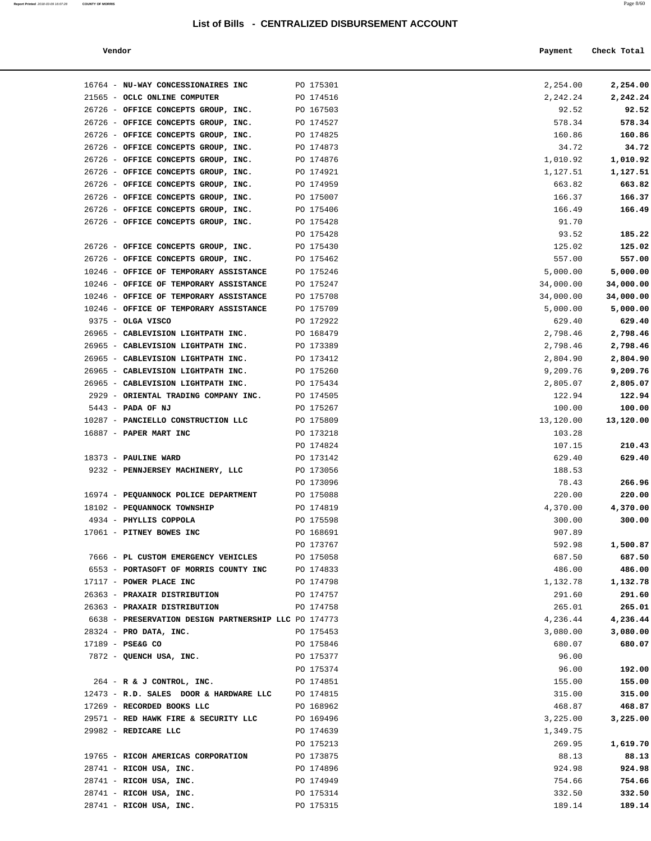**Report Printed** 2018-03-09 16:07:28 **COUNTY OF MORRIS** Page 8/60

| Vendor                          | Payment               | Check Total |               |
|---------------------------------|-----------------------|-------------|---------------|
|                                 |                       |             |               |
| 64 - NU-WAY CONCESSIONAIRES INC | PO 175301             | 2,254.00    | 2,254.00      |
| 65 - OCLC ONLINE COMPUTER       | PO 174516             | 2,242.24    | 2,242.24      |
| $- - - -$                       | $B^0$ $A$ $C^0$ $D^0$ | $00$ $-00$  | $\sim$ $\sim$ |

| 16764 - NU-WAY CONCESSIONAIRES INC                   | PO 175301 | 2,254.00  | 2,254.00  |
|------------------------------------------------------|-----------|-----------|-----------|
| 21565 - OCLC ONLINE COMPUTER                         | PO 174516 | 2,242.24  | 2,242.24  |
| 26726 - OFFICE CONCEPTS GROUP, INC.<br>PO 167503     |           | 92.52     | 92.52     |
| 26726 - OFFICE CONCEPTS GROUP, INC.<br>PO 174527     |           | 578.34    | 578.34    |
| 26726 - OFFICE CONCEPTS GROUP, INC.                  | PO 174825 | 160.86    | 160.86    |
| 26726 - OFFICE CONCEPTS GROUP, INC.                  | PO 174873 | 34.72     | 34.72     |
| 26726 - OFFICE CONCEPTS GROUP, INC.                  | PO 174876 | 1,010.92  | 1,010.92  |
| 26726 - OFFICE CONCEPTS GROUP, INC.                  | PO 174921 | 1,127.51  | 1,127.51  |
| 26726 - OFFICE CONCEPTS GROUP, INC.                  | PO 174959 | 663.82    | 663.82    |
| 26726 - OFFICE CONCEPTS GROUP, INC.                  | PO 175007 | 166.37    | 166.37    |
| 26726 - OFFICE CONCEPTS GROUP, INC.                  | PO 175406 | 166.49    | 166.49    |
| 26726 - OFFICE CONCEPTS GROUP, INC.                  | PO 175428 | 91.70     |           |
|                                                      | PO 175428 | 93.52     | 185.22    |
| 26726 - OFFICE CONCEPTS GROUP, INC.                  | PO 175430 | 125.02    | 125.02    |
| 26726 - OFFICE CONCEPTS GROUP, INC.                  | PO 175462 | 557.00    | 557.00    |
| 10246 - OFFICE OF TEMPORARY ASSISTANCE               | PO 175246 | 5,000.00  | 5,000.00  |
| 10246 - OFFICE OF TEMPORARY ASSISTANCE               | PO 175247 | 34,000.00 | 34,000.00 |
| 10246 - OFFICE OF TEMPORARY ASSISTANCE               | PO 175708 | 34,000.00 | 34,000.00 |
| 10246 - OFFICE OF TEMPORARY ASSISTANCE               | PO 175709 | 5,000.00  | 5,000.00  |
| 9375 - OLGA VISCO                                    | PO 172922 | 629.40    | 629.40    |
| 26965 - CABLEVISION LIGHTPATH INC.                   | PO 168479 | 2,798.46  | 2,798.46  |
| 26965 - CABLEVISION LIGHTPATH INC.<br>PO 173389      |           | 2,798.46  | 2,798.46  |
| 26965 - CABLEVISION LIGHTPATH INC.                   | PO 173412 | 2,804.90  | 2,804.90  |
| 26965 - CABLEVISION LIGHTPATH INC.                   | PO 175260 | 9,209.76  | 9,209.76  |
| 26965 - CABLEVISION LIGHTPATH INC.                   | PO 175434 | 2,805.07  | 2,805.07  |
| 2929 - ORIENTAL TRADING COMPANY INC.                 | PO 174505 | 122.94    | 122.94    |
| 5443 - PADA OF NJ                                    | PO 175267 | 100.00    | 100.00    |
| 10287 - PANCIELLO CONSTRUCTION LLC                   | PO 175809 | 13,120.00 | 13,120.00 |
| 16887 - PAPER MART INC                               | PO 173218 | 103.28    |           |
|                                                      | PO 174824 | 107.15    | 210.43    |
| 18373 - PAULINE WARD                                 | PO 173142 | 629.40    | 629.40    |
| 9232 - PENNJERSEY MACHINERY, LLC                     | PO 173056 | 188.53    |           |
|                                                      | PO 173096 | 78.43     | 266.96    |
| 16974 - PEQUANNOCK POLICE DEPARTMENT                 | PO 175088 | 220.00    | 220.00    |
| 18102 - PEQUANNOCK TOWNSHIP                          | PO 174819 | 4,370.00  | 4,370.00  |
| 4934 - PHYLLIS COPPOLA                               | PO 175598 | 300.00    | 300.00    |
| 17061 - PITNEY BOWES INC                             | PO 168691 | 907.89    |           |
|                                                      | PO 173767 | 592.98    | 1,500.87  |
| 7666 - PL CUSTOM EMERGENCY VEHICLES                  | PO 175058 | 687.50    | 687.50    |
| 6553 - PORTASOFT OF MORRIS COUNTY INC                | PO 174833 | 486.00    | 486.00    |
| 17117 - POWER PLACE INC                              | PO 174798 | 1,132.78  | 1,132.78  |
| 26363 - PRAXAIR DISTRIBUTION                         | PO 174757 | 291.60    | 291.60    |
| 26363 - PRAXAIR DISTRIBUTION                         | PO 174758 | 265.01    | 265.01    |
| 6638 - PRESERVATION DESIGN PARTNERSHIP LLC PO 174773 |           | 4,236.44  | 4,236.44  |
| $28324$ - PRO DATA, INC.                             | PO 175453 | 3,080.00  | 3,080.00  |
| 17189 - PSE&G CO                                     | PO 175846 | 680.07    | 680.07    |
| 7872 - QUENCH USA, INC.                              | PO 175377 | 96.00     |           |
|                                                      | PO 175374 | 96.00     | 192.00    |
| $264$ - R & J CONTROL, INC.                          | PO 174851 | 155.00    | 155.00    |
| 12473 - R.D. SALES DOOR & HARDWARE LLC               | PO 174815 | 315.00    | 315.00    |
| 17269 - RECORDED BOOKS LLC                           | PO 168962 | 468.87    | 468.87    |
| 29571 - RED HAWK FIRE & SECURITY LLC                 | PO 169496 | 3,225.00  | 3,225.00  |
| 29982 - REDICARE LLC                                 | PO 174639 | 1,349.75  |           |
|                                                      | PO 175213 | 269.95    | 1,619.70  |
| 19765 - RICOH AMERICAS CORPORATION                   | PO 173875 | 88.13     | 88.13     |
| 28741 - RICOH USA, INC.                              | PO 174896 | 924.98    | 924.98    |
| 28741 - RICOH USA, INC.                              | PO 174949 | 754.66    | 754.66    |
| 28741 - RICOH USA, INC.                              | PO 175314 | 332.50    | 332.50    |
| 28741 - RICOH USA, INC.                              | PO 175315 | 189.14    | 189.14    |
|                                                      |           |           |           |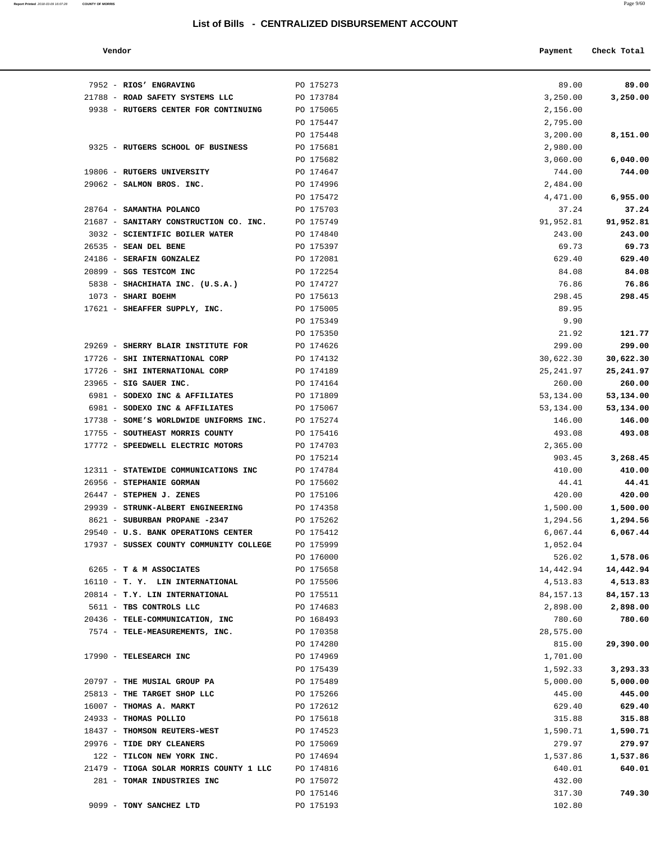| Report Printed 2018-03-09 16:07:28 COUNTY OF MORRIS | Page 9/60 |
|-----------------------------------------------------|-----------|
|                                                     |           |

| Vendor                                  |           | Payment     | Check Total |
|-----------------------------------------|-----------|-------------|-------------|
| 7952 - RIOS' ENGRAVING                  | PO 175273 | 89.00       | 89.00       |
| 21788 - ROAD SAFETY SYSTEMS LLC         | PO 173784 | 3,250.00    | 3,250.00    |
| 9938 - RUTGERS CENTER FOR CONTINUING    | PO 175065 | 2,156.00    |             |
|                                         | PO 175447 | 2,795.00    |             |
|                                         | PO 175448 | 3,200.00    | 8,151.00    |
| 9325 - RUTGERS SCHOOL OF BUSINESS       | PO 175681 | 2,980.00    |             |
|                                         | PO 175682 | 3,060.00    | 6,040.00    |
| 19806 - RUTGERS UNIVERSITY              | PO 174647 | 744.00      | 744.00      |
| 29062 - SALMON BROS. INC.               | PO 174996 | 2,484.00    |             |
|                                         | PO 175472 | 4,471.00    | 6,955.00    |
| 28764 - SAMANTHA POLANCO                | PO 175703 | 37.24       | 37.24       |
| 21687 - SANITARY CONSTRUCTION CO. INC.  | PO 175749 | 91,952.81   | 91,952.81   |
| 3032 - SCIENTIFIC BOILER WATER          | PO 174840 | 243.00      | 243.00      |
| 26535 - SEAN DEL BENE                   | PO 175397 | 69.73       | 69.73       |
| 24186 - SERAFIN GONZALEZ                | PO 172081 | 629.40      | 629.40      |
| 20899 - SGS TESTCOM INC                 | PO 172254 | 84.08       | 84.08       |
| $5838$ - SHACHIHATA INC. $(U.S.A.)$     | PO 174727 | 76.86       | 76.86       |
| 1073 - SHARI BOEHM                      | PO 175613 | 298.45      | 298.45      |
| 17621 - SHEAFFER SUPPLY, INC.           | PO 175005 | 89.95       |             |
|                                         | PO 175349 | 9.90        |             |
|                                         | PO 175350 | 21.92       | 121.77      |
| 29269 - SHERRY BLAIR INSTITUTE FOR      | PO 174626 | 299.00      | 299.00      |
| 17726 - SHI INTERNATIONAL CORP          | PO 174132 | 30,622.30   | 30,622.30   |
| 17726 - SHI INTERNATIONAL CORP          | PO 174189 | 25, 241.97  | 25,241.97   |
| 23965 - SIG SAUER INC.                  | PO 174164 | 260.00      | 260.00      |
| 6981 - SODEXO INC & AFFILIATES          | PO 171809 |             |             |
| 6981 - SODEXO INC & AFFILIATES          | PO 175067 | 53,134.00   | 53,134.00   |
|                                         |           | 53,134.00   | 53,134.00   |
| 17738 - SOME'S WORLDWIDE UNIFORMS INC.  | PO 175274 | 146.00      | 146.00      |
| 17755 - SOUTHEAST MORRIS COUNTY         | PO 175416 | 493.08      | 493.08      |
| 17772 - SPEEDWELL ELECTRIC MOTORS       | PO 174703 | 2,365.00    |             |
|                                         | PO 175214 | 903.45      | 3,268.45    |
| 12311 - STATEWIDE COMMUNICATIONS INC    | PO 174784 | 410.00      | 410.00      |
| 26956 - STEPHANIE GORMAN                | PO 175602 | 44.41       | 44.41       |
| 26447 - STEPHEN J. ZENES                | PO 175106 | 420.00      | 420.00      |
| 29939 - STRUNK-ALBERT ENGINEERING       | PO 174358 | 1,500.00    | 1,500.00    |
| 8621 - SUBURBAN PROPANE -2347           | PO 175262 | 1,294.56    | 1,294.56    |
| 29540 - U.S. BANK OPERATIONS CENTER     | PO 175412 | 6,067.44    | 6,067.44    |
| 17937 - SUSSEX COUNTY COMMUNITY COLLEGE | PO 175999 | 1,052.04    |             |
|                                         | PO 176000 | 526.02      | 1,578.06    |
| $6265$ - T & M ASSOCIATES               | PO 175658 | 14,442.94   | 14,442.94   |
| 16110 - T. Y. LIN INTERNATIONAL         | PO 175506 | 4,513.83    | 4,513.83    |
| 20814 - T.Y. LIN INTERNATIONAL          | PO 175511 | 84, 157. 13 | 84,157.13   |
| 5611 - TBS CONTROLS LLC                 | PO 174683 | 2,898.00    | 2,898.00    |
| 20436 - TELE-COMMUNICATION, INC         | PO 168493 | 780.60      | 780.60      |
| 7574 - TELE-MEASUREMENTS, INC.          | PO 170358 | 28,575.00   |             |
|                                         | PO 174280 | 815.00      | 29,390.00   |
| 17990 - TELESEARCH INC                  | PO 174969 | 1,701.00    |             |
|                                         | PO 175439 | 1,592.33    | 3,293.33    |
| 20797 - THE MUSIAL GROUP PA             | PO 175489 | 5,000.00    | 5,000.00    |
| 25813 - THE TARGET SHOP LLC             | PO 175266 | 445.00      | 445.00      |
| 16007 - THOMAS A. MARKT                 | PO 172612 | 629.40      | 629.40      |
| 24933 - THOMAS POLLIO                   | PO 175618 | 315.88      | 315.88      |
| 18437 - THOMSON REUTERS-WEST            | PO 174523 | 1,590.71    | 1,590.71    |
| 29976 - TIDE DRY CLEANERS               | PO 175069 | 279.97      | 279.97      |
| 122 - TILCON NEW YORK INC.              | PO 174694 | 1,537.86    | 1,537.86    |
| 21479 - TIOGA SOLAR MORRIS COUNTY 1 LLC | PO 174816 | 640.01      | 640.01      |
| 281 - TOMAR INDUSTRIES INC              | PO 175072 | 432.00      |             |
|                                         | PO 175146 | 317.30      | 749.30      |
| 9099 - TONY SANCHEZ LTD                 | PO 175193 | 102.80      |             |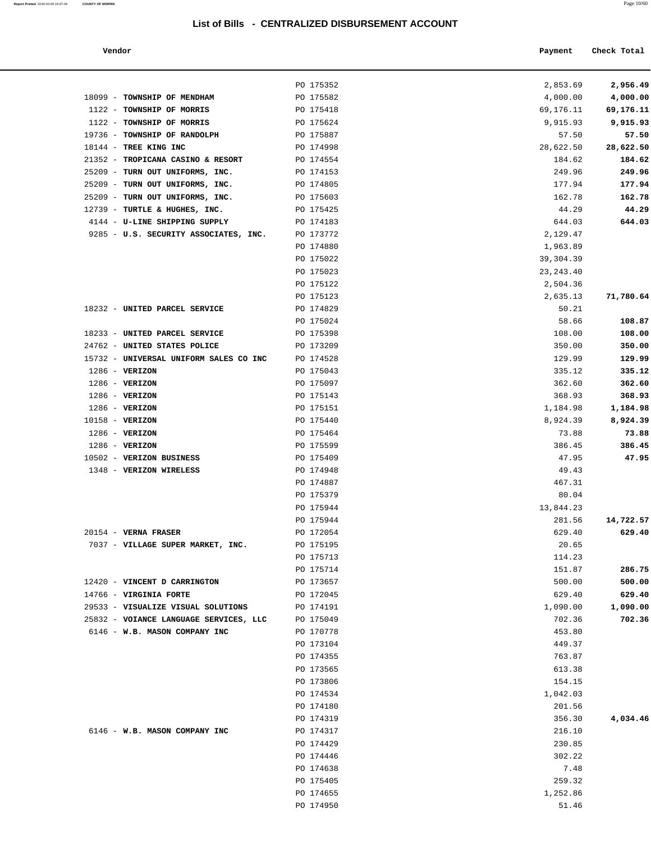| Vendor | _____     | _____ | Payment  | Check Total |
|--------|-----------|-------|----------|-------------|
|        | PO 175352 |       | 2,853.69 | 2,956.49    |

|                                                        | PO 175352              | 2,853.69           | 2,956.49           |
|--------------------------------------------------------|------------------------|--------------------|--------------------|
| 18099 - TOWNSHIP OF MENDHAM                            | PO 175582              | 4,000.00           | 4,000.00           |
| 1122 - TOWNSHIP OF MORRIS                              | PO 175418              | 69,176.11          | 69,176.11          |
| 1122 - TOWNSHIP OF MORRIS                              | PO 175624              | 9,915.93           | 9,915.93           |
| 19736 - TOWNSHIP OF RANDOLPH                           | PO 175887              | 57.50              | 57.50              |
| 18144 - TREE KING INC                                  | PO 174998              | 28,622.50          | 28,622.50          |
| 21352 - TROPICANA CASINO & RESORT                      | PO 174554              | 184.62             | 184.62             |
| 25209 - TURN OUT UNIFORMS, INC.                        | PO 174153              | 249.96             | 249.96             |
| 25209 - TURN OUT UNIFORMS, INC.                        | PO 174805              | 177.94             | 177.94             |
| 25209 - TURN OUT UNIFORMS, INC.                        | PO 175603              | 162.78             | 162.78             |
| 12739 - TURTLE & HUGHES, INC.                          | PO 175425              | 44.29              | 44.29              |
| 4144 - U-LINE SHIPPING SUPPLY                          | PO 174183              | 644.03             | 644.03             |
| 9285 - U.S. SECURITY ASSOCIATES, INC.                  | PO 173772              | 2,129.47           |                    |
|                                                        | PO 174880              | 1,963.89           |                    |
|                                                        | PO 175022              | 39, 304.39         |                    |
|                                                        | PO 175023              | 23, 243.40         |                    |
|                                                        | PO 175122              | 2,504.36           |                    |
|                                                        | PO 175123              | 2,635.13           | 71,780.64          |
| 18232 - UNITED PARCEL SERVICE                          | PO 174829              | 50.21              |                    |
|                                                        | PO 175024              | 58.66              | 108.87             |
| 18233 - UNITED PARCEL SERVICE                          | PO 175398              | 108.00             | 108.00             |
| 24762 - UNITED STATES POLICE                           | PO 173209              | 350.00             | 350.00             |
| 15732 - UNIVERSAL UNIFORM SALES CO INC                 | PO 174528              | 129.99             | 129.99             |
| 1286 - VERIZON                                         | PO 175043              | 335.12             | 335.12             |
| $1286 - VERIZON$                                       | PO 175097              | 362.60             | 362.60             |
| $1286 - VERIZON$                                       | PO 175143              | 368.93             | 368.93             |
| $1286 - VERIZON$                                       | PO 175151              | 1,184.98           | 1,184.98           |
| $10158 - VERIZON$                                      | PO 175440              | 8,924.39           | 8,924.39           |
| $1286 - VERIZON$                                       | PO 175464              | 73.88              | 73.88              |
|                                                        |                        |                    |                    |
| 1286 - VERIZON                                         | PO 175599              | 386.45             | 386.45             |
| 10502 - VERIZON BUSINESS                               | PO 175409              | 47.95              | 47.95              |
| 1348 - VERIZON WIRELESS                                | PO 174948              | 49.43              |                    |
|                                                        | PO 174887              | 467.31             |                    |
|                                                        | PO 175379              | 80.04              |                    |
|                                                        | PO 175944              | 13,844.23          |                    |
|                                                        | PO 175944              | 281.56             | 14,722.57          |
| $20154$ - VERNA FRASER                                 | PO 172054              | 629.40             | 629.40             |
| 7037 - VILLAGE SUPER MARKET, INC.                      | PO 175195              | 20.65              |                    |
|                                                        | PO 175713              | 114.23             |                    |
|                                                        | PO 175714              | 151.87             | 286.75             |
| 12420 - VINCENT D CARRINGTON<br>14766 - VIRGINIA FORTE | PO 173657<br>PO 172045 | 500.00             | 500.00             |
| 29533 - VISUALIZE VISUAL SOLUTIONS                     | PO 174191              | 629.40             | 629.40             |
| 25832 - VOIANCE LANGUAGE SERVICES, LLC                 | PO 175049              | 1,090.00<br>702.36 | 1,090.00<br>702.36 |
| 6146 - W.B. MASON COMPANY INC                          | PO 170778              | 453.80             |                    |
|                                                        | PO 173104              | 449.37             |                    |
|                                                        | PO 174355              | 763.87             |                    |
|                                                        | PO 173565              | 613.38             |                    |
|                                                        | PO 173806              | 154.15             |                    |
|                                                        | PO 174534              | 1,042.03           |                    |
|                                                        | PO 174180              | 201.56             |                    |
|                                                        | PO 174319              | 356.30             | 4,034.46           |
| 6146 - W.B. MASON COMPANY INC                          | PO 174317              | 216.10             |                    |
|                                                        | PO 174429              | 230.85             |                    |
|                                                        | PO 174446              | 302.22             |                    |
|                                                        | PO 174638              | 7.48               |                    |
|                                                        | PO 175405              | 259.32             |                    |
|                                                        | PO 174655              | 1,252.86           |                    |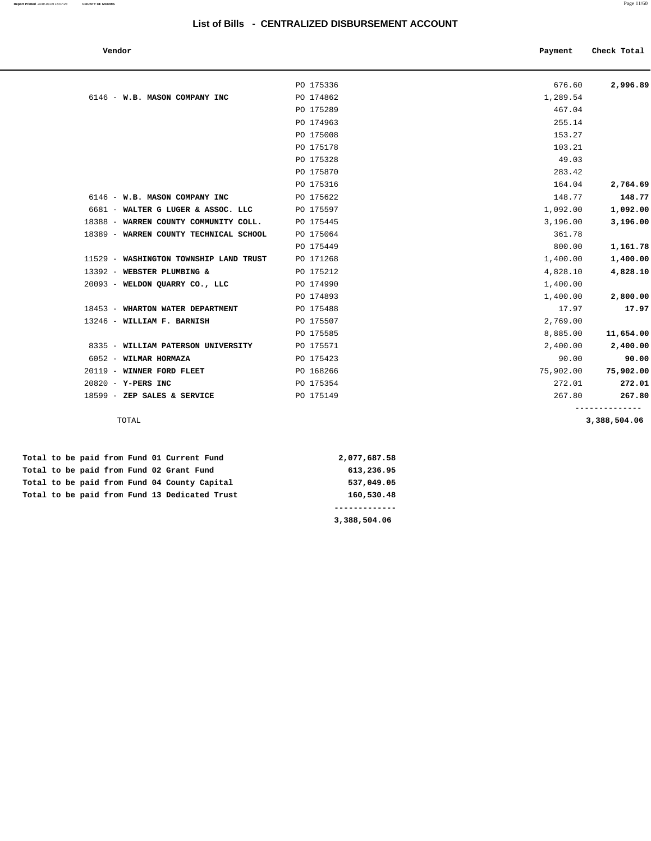| Vendor                                 |           | Payment   | Check Total  |
|----------------------------------------|-----------|-----------|--------------|
|                                        | PO 175336 | 676.60    | 2,996.89     |
| 6146 - W.B. MASON COMPANY INC          | PO 174862 | 1,289.54  |              |
|                                        | PO 175289 | 467.04    |              |
|                                        | PO 174963 | 255.14    |              |
|                                        | PO 175008 | 153.27    |              |
|                                        | PO 175178 | 103.21    |              |
|                                        | PO 175328 | 49.03     |              |
|                                        | PO 175870 | 283.42    |              |
|                                        | PO 175316 | 164.04    | 2,764.69     |
| 6146 - W.B. MASON COMPANY INC          | PO 175622 | 148.77    | 148.77       |
| 6681 - WALTER G LUGER & ASSOC. LLC     | PO 175597 | 1,092.00  | 1,092.00     |
| 18388 - WARREN COUNTY COMMUNITY COLL.  | PO 175445 | 3,196.00  | 3,196.00     |
| 18389 - WARREN COUNTY TECHNICAL SCHOOL | PO 175064 | 361.78    |              |
|                                        | PO 175449 | 800.00    | 1,161.78     |
| 11529 - WASHINGTON TOWNSHIP LAND TRUST | PO 171268 | 1,400.00  | 1,400.00     |
| 13392 - WEBSTER PLUMBING &             | PO 175212 | 4,828.10  | 4,828.10     |
| 20093 - WELDON QUARRY CO., LLC         | PO 174990 | 1,400.00  |              |
|                                        | PO 174893 | 1,400.00  | 2,800.00     |
| 18453 - WHARTON WATER DEPARTMENT       | PO 175488 | 17.97     | 17.97        |
| 13246 - WILLIAM F. BARNISH             | PO 175507 | 2,769.00  |              |
|                                        | PO 175585 | 8,885.00  | 11,654.00    |
| 8335 - WILLIAM PATERSON UNIVERSITY     | PO 175571 | 2,400.00  | 2,400.00     |
| 6052 - WILMAR HORMAZA                  | PO 175423 | 90.00     | 90.00        |
| 20119 - WINNER FORD FLEET              | PO 168266 | 75,902.00 | 75,902.00    |
| 20820 - Y-PERS INC                     | PO 175354 | 272.01    | 272.01       |
| 18599 - ZEP SALES & SERVICE            | PO 175149 | 267.80    | 267.80       |
| TOTAL                                  |           |           | 3,388,504.06 |

|  |  |  |  |                                               | 3,388,504.06 |
|--|--|--|--|-----------------------------------------------|--------------|
|  |  |  |  | Total to be paid from Fund 13 Dedicated Trust | 160,530.48   |
|  |  |  |  | Total to be paid from Fund 04 County Capital  | 537,049.05   |
|  |  |  |  | Total to be paid from Fund 02 Grant Fund      | 613,236.95   |
|  |  |  |  | Total to be paid from Fund 01 Current Fund    | 2,077,687.58 |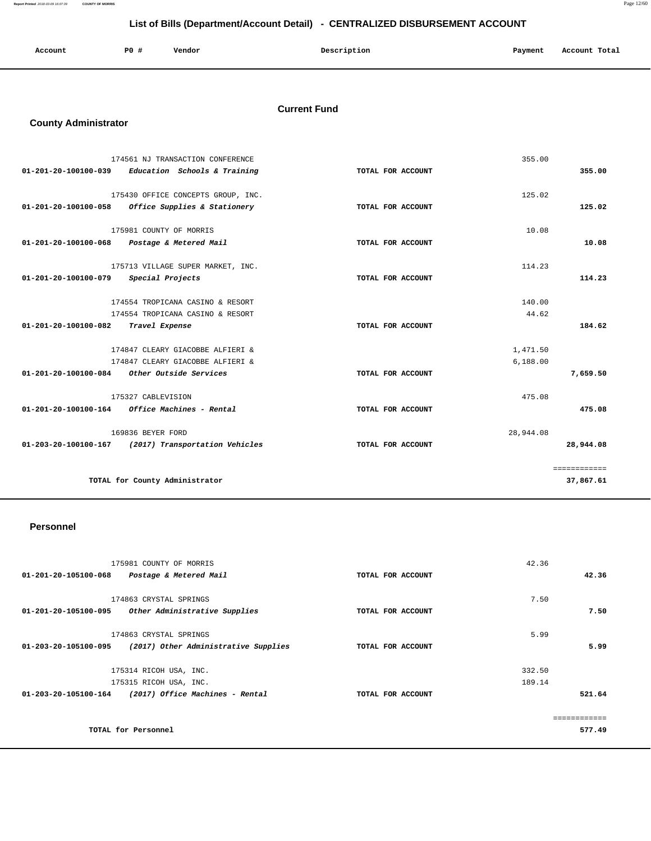**Report Printed** 2018-03-09 16:07:39 **COUNTY OF MORRIS** Page 12/60

# **List of Bills (Department/Account Detail) - CENTRALIZED DISBURSEMENT ACCOUNT**

| Account<br>. | P0 # | Vendor | Description | Payment<br>$\sim$ $\sim$ | Account Total |
|--------------|------|--------|-------------|--------------------------|---------------|
|              |      |        |             |                          |               |

## **Current Fund**

## **County Administrator**

|                      | 174561 NJ TRANSACTION CONFERENCE                    | 355.00            |              |
|----------------------|-----------------------------------------------------|-------------------|--------------|
|                      | $01-201-20-100100-039$ Education Schools & Training | TOTAL FOR ACCOUNT | 355.00       |
|                      |                                                     |                   |              |
|                      | 175430 OFFICE CONCEPTS GROUP, INC.                  | 125.02            |              |
|                      | 01-201-20-100100-058 Office Supplies & Stationery   | TOTAL FOR ACCOUNT | 125.02       |
|                      | 175981 COUNTY OF MORRIS                             | 10.08             |              |
| 01-201-20-100100-068 | Postage & Metered Mail                              | TOTAL FOR ACCOUNT | 10.08        |
|                      | 175713 VILLAGE SUPER MARKET, INC.                   | 114.23            |              |
| 01-201-20-100100-079 | Special Projects                                    | TOTAL FOR ACCOUNT | 114.23       |
|                      |                                                     |                   |              |
|                      | 174554 TROPICANA CASINO & RESORT                    | 140.00            |              |
|                      | 174554 TROPICANA CASINO & RESORT                    | 44.62             |              |
| 01-201-20-100100-082 | Travel Expense                                      | TOTAL FOR ACCOUNT | 184.62       |
|                      | 174847 CLEARY GIACOBBE ALFIERI &                    | 1,471.50          |              |
|                      | 174847 CLEARY GIACOBBE ALFIERI &                    | 6,188.00          |              |
|                      | 01-201-20-100100-084 Other Outside Services         | TOTAL FOR ACCOUNT | 7,659.50     |
|                      | 175327 CABLEVISION                                  | 475.08            |              |
|                      | $01-201-20-100100-164$ Office Machines - Rental     | TOTAL FOR ACCOUNT | 475.08       |
|                      | 169836 BEYER FORD                                   | 28,944.08         |              |
| 01-203-20-100100-167 | (2017) Transportation Vehicles                      | TOTAL FOR ACCOUNT | 28,944.08    |
|                      |                                                     |                   |              |
|                      |                                                     |                   | ============ |
|                      | TOTAL for County Administrator                      |                   | 37,867.61    |
|                      |                                                     |                   |              |

#### **Personnel**

|                      | 175981 COUNTY OF MORRIS              |                   | 42.36  |  |
|----------------------|--------------------------------------|-------------------|--------|--|
| 01-201-20-105100-068 | Postage & Metered Mail               | TOTAL FOR ACCOUNT | 42.36  |  |
|                      |                                      |                   |        |  |
|                      | 174863 CRYSTAL SPRINGS               |                   | 7.50   |  |
| 01-201-20-105100-095 | Other Administrative Supplies        | TOTAL FOR ACCOUNT | 7.50   |  |
|                      |                                      |                   |        |  |
|                      | 174863 CRYSTAL SPRINGS               |                   | 5.99   |  |
| 01-203-20-105100-095 | (2017) Other Administrative Supplies | TOTAL FOR ACCOUNT | 5.99   |  |
|                      |                                      |                   |        |  |
|                      | 175314 RICOH USA, INC.               |                   | 332.50 |  |
|                      | 175315 RICOH USA, INC.               |                   | 189.14 |  |
| 01-203-20-105100-164 | (2017) Office Machines - Rental      | TOTAL FOR ACCOUNT | 521.64 |  |
|                      |                                      |                   |        |  |
|                      |                                      |                   |        |  |
|                      | TOTAL for Personnel                  |                   | 577.49 |  |
|                      |                                      |                   |        |  |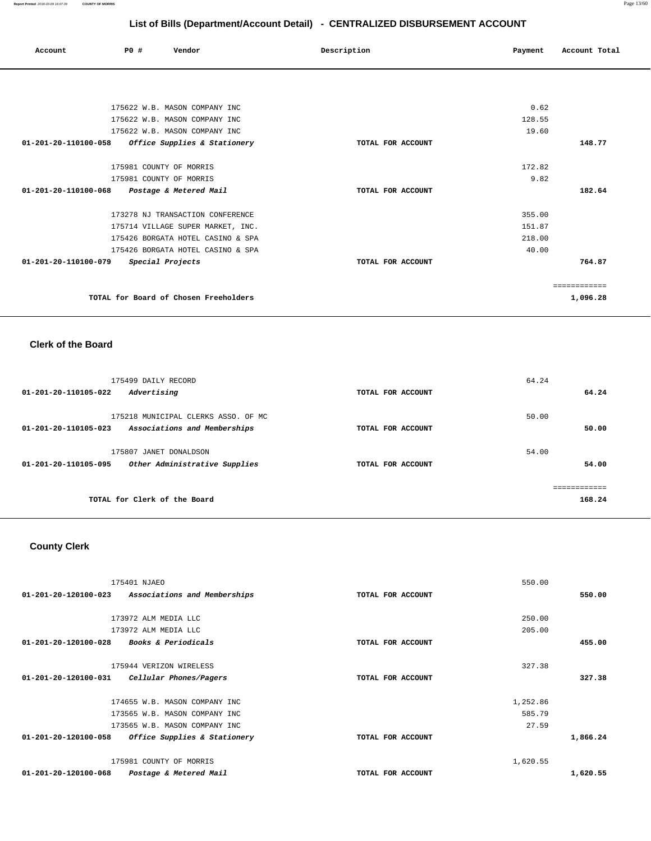| Account                                     | PO# | Vendor                                | Description       | Payment | Account Total |
|---------------------------------------------|-----|---------------------------------------|-------------------|---------|---------------|
|                                             |     |                                       |                   |         |               |
|                                             |     | 175622 W.B. MASON COMPANY INC         |                   | 0.62    |               |
|                                             |     | 175622 W.B. MASON COMPANY INC         |                   | 128.55  |               |
|                                             |     | 175622 W.B. MASON COMPANY INC         |                   | 19.60   |               |
| 01-201-20-110100-058                        |     | Office Supplies & Stationery          | TOTAL FOR ACCOUNT |         | 148.77        |
|                                             |     | 175981 COUNTY OF MORRIS               |                   | 172.82  |               |
|                                             |     | 175981 COUNTY OF MORRIS               |                   | 9.82    |               |
| 01-201-20-110100-068 Postage & Metered Mail |     |                                       | TOTAL FOR ACCOUNT |         | 182.64        |
|                                             |     | 173278 NJ TRANSACTION CONFERENCE      |                   | 355.00  |               |
|                                             |     | 175714 VILLAGE SUPER MARKET, INC.     |                   | 151.87  |               |
|                                             |     | 175426 BORGATA HOTEL CASINO & SPA     |                   | 218.00  |               |
|                                             |     | 175426 BORGATA HOTEL CASINO & SPA     |                   | 40.00   |               |
| 01-201-20-110100-079 Special Projects       |     |                                       | TOTAL FOR ACCOUNT |         | 764.87        |
|                                             |     |                                       |                   |         | ============  |
|                                             |     | TOTAL for Board of Chosen Freeholders |                   |         | 1,096.28      |

## **Clerk of the Board**

| 175499 DAILY RECORD<br>01-201-20-110105-022<br>Advertising                                  | TOTAL FOR ACCOUNT | 64.24 | 64.24  |
|---------------------------------------------------------------------------------------------|-------------------|-------|--------|
| 175218 MUNICIPAL CLERKS ASSO. OF MC<br>01-201-20-110105-023<br>Associations and Memberships | TOTAL FOR ACCOUNT | 50.00 | 50.00  |
| 175807 JANET DONALDSON<br>Other Administrative Supplies<br>01-201-20-110105-095             | TOTAL FOR ACCOUNT | 54.00 | 54.00  |
| TOTAL for Clerk of the Board                                                                |                   |       | 168.24 |

# **County Clerk**

| 175401 NJAEO                                         |                   | 550.00   |
|------------------------------------------------------|-------------------|----------|
| 01-201-20-120100-023<br>Associations and Memberships | TOTAL FOR ACCOUNT | 550.00   |
|                                                      |                   |          |
| 173972 ALM MEDIA LLC                                 |                   | 250.00   |
| 173972 ALM MEDIA LLC                                 |                   | 205.00   |
| Books & Periodicals<br>01-201-20-120100-028          | TOTAL FOR ACCOUNT | 455.00   |
|                                                      |                   |          |
| 175944 VERIZON WIRELESS                              |                   | 327.38   |
| 01-201-20-120100-031<br>Cellular Phones/Pagers       | TOTAL FOR ACCOUNT | 327.38   |
|                                                      |                   |          |
| 174655 W.B. MASON COMPANY INC                        |                   | 1,252.86 |
| 173565 W.B. MASON COMPANY INC                        |                   | 585.79   |
| 173565 W.B. MASON COMPANY INC                        |                   | 27.59    |
| 01-201-20-120100-058<br>Office Supplies & Stationery | TOTAL FOR ACCOUNT | 1,866.24 |
|                                                      |                   |          |
| 175981 COUNTY OF MORRIS                              |                   | 1,620.55 |
| 01-201-20-120100-068<br>Postage & Metered Mail       | TOTAL FOR ACCOUNT | 1,620.55 |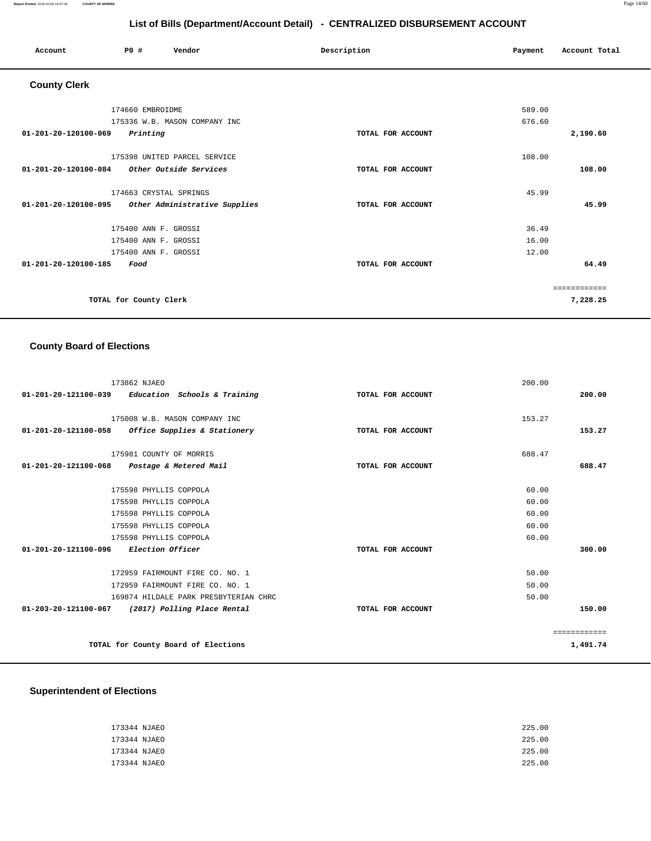| Account              | <b>PO #</b>            | Vendor                        | Description       | Payment | Account Total |
|----------------------|------------------------|-------------------------------|-------------------|---------|---------------|
| <b>County Clerk</b>  |                        |                               |                   |         |               |
|                      | 174660 EMBROIDME       |                               |                   | 589.00  |               |
|                      |                        | 175336 W.B. MASON COMPANY INC |                   | 676.60  |               |
| 01-201-20-120100-069 | Printing               |                               | TOTAL FOR ACCOUNT |         | 2,190.60      |
|                      |                        | 175398 UNITED PARCEL SERVICE  |                   | 108.00  |               |
| 01-201-20-120100-084 |                        | <i>Other Outside Services</i> | TOTAL FOR ACCOUNT |         | 108.00        |
|                      | 174663 CRYSTAL SPRINGS |                               |                   | 45.99   |               |
| 01-201-20-120100-095 |                        | Other Administrative Supplies | TOTAL FOR ACCOUNT |         | 45.99         |
|                      | 175400 ANN F. GROSSI   |                               |                   | 36.49   |               |
|                      | 175400 ANN F. GROSSI   |                               |                   | 16.00   |               |
|                      | 175400 ANN F. GROSSI   |                               |                   | 12.00   |               |
| 01-201-20-120100-185 | Food                   |                               | TOTAL FOR ACCOUNT |         | 64.49         |
|                      |                        |                               |                   |         | ============  |
|                      | TOTAL for County Clerk |                               |                   |         | 7,228.25      |

# **County Board of Elections**

| 173862 NJAEO                                        |                   | 200.00       |
|-----------------------------------------------------|-------------------|--------------|
| $01-201-20-121100-039$ Education Schools & Training | TOTAL FOR ACCOUNT | 200.00       |
|                                                     |                   |              |
| 175008 W.B. MASON COMPANY INC                       |                   | 153.27       |
| 01-201-20-121100-058 Office Supplies & Stationery   | TOTAL FOR ACCOUNT | 153.27       |
| 175981 COUNTY OF MORRIS                             |                   | 688.47       |
| 01-201-20-121100-068 Postage & Metered Mail         | TOTAL FOR ACCOUNT | 688.47       |
| 175598 PHYLLIS COPPOLA                              |                   | 60.00        |
|                                                     |                   |              |
| 175598 PHYLLIS COPPOLA                              |                   | 60.00        |
| 175598 PHYLLIS COPPOLA                              |                   | 60.00        |
| 175598 PHYLLIS COPPOLA                              |                   | 60.00        |
| 175598 PHYLLIS COPPOLA                              |                   | 60.00        |
| 01-201-20-121100-096 Election Officer               | TOTAL FOR ACCOUNT | 300.00       |
| 172959 FAIRMOUNT FIRE CO. NO. 1                     |                   | 50.00        |
| 172959 FAIRMOUNT FIRE CO. NO. 1                     |                   | 50.00        |
| 169874 HILDALE PARK PRESBYTERIAN CHRC               |                   | 50.00        |
| 01-203-20-121100-067 (2017) Polling Place Rental    | TOTAL FOR ACCOUNT | 150.00       |
|                                                     |                   |              |
|                                                     |                   | ============ |
| TOTAL for County Board of Elections                 |                   | 1,491.74     |

## **Superintendent of Elections**

| 173344 NJAEO | 225.00 |
|--------------|--------|
| 173344 NJAEO | 225.00 |
| 173344 NJAEO | 225.00 |
| 173344 NJAEO | 225.00 |
|              |        |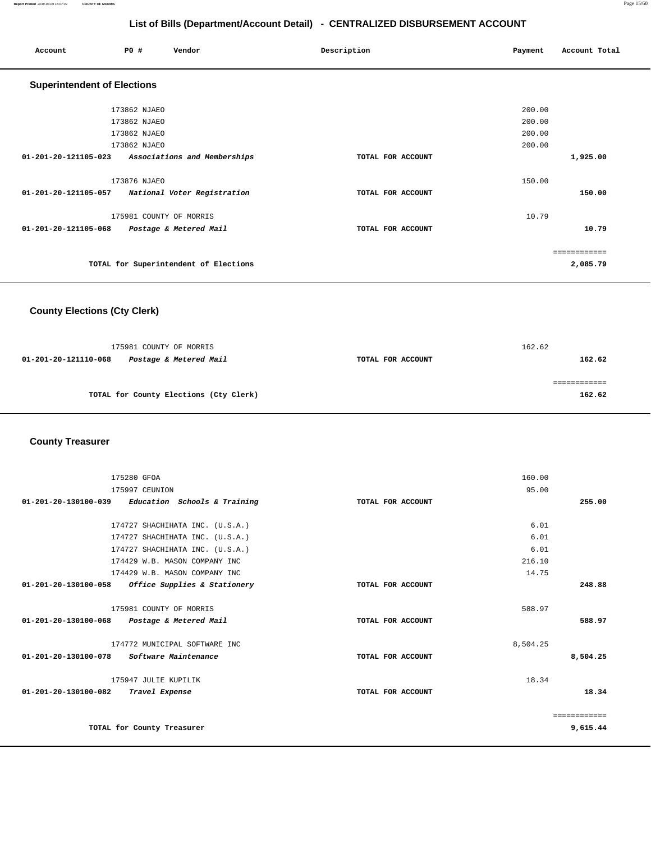**Report Printed** 2018-03-09 16:07:39 **COUNTY OF MORRIS** Page 15/60

## **List of Bills (Department/Account Detail) - CENTRALIZED DISBURSEMENT ACCOUNT**

| Account                            | PO# |                                              | Vendor                                            | Description       | Payment                    | Account Total            |
|------------------------------------|-----|----------------------------------------------|---------------------------------------------------|-------------------|----------------------------|--------------------------|
| <b>Superintendent of Elections</b> |     |                                              |                                                   |                   |                            |                          |
|                                    |     | 173862 NJAEO<br>173862 NJAEO<br>173862 NJAEO |                                                   |                   | 200.00<br>200.00<br>200.00 |                          |
| 01-201-20-121105-023               |     | 173862 NJAEO                                 | Associations and Memberships                      | TOTAL FOR ACCOUNT | 200.00                     | 1,925.00                 |
|                                    |     | 173876 NJAEO                                 | 01-201-20-121105-057 National Voter Registration  | TOTAL FOR ACCOUNT | 150.00                     | 150.00                   |
| $01 - 201 - 20 - 121105 - 068$     |     |                                              | 175981 COUNTY OF MORRIS<br>Postage & Metered Mail | TOTAL FOR ACCOUNT | 10.79                      | 10.79                    |
|                                    |     |                                              | TOTAL for Superintendent of Elections             |                   |                            | ============<br>2,085.79 |

# **County Elections (Cty Clerk)**

|                      | 175981 COUNTY OF MORRIS                |                   | 162.62 |
|----------------------|----------------------------------------|-------------------|--------|
| 01-201-20-121110-068 | Postage & Metered Mail                 | TOTAL FOR ACCOUNT | 162.62 |
|                      |                                        |                   |        |
|                      |                                        |                   |        |
|                      | TOTAL for County Elections (Cty Clerk) |                   | 162.62 |

## **County Treasurer**

| 175280 GFOA                                          |                   | 160.00       |
|------------------------------------------------------|-------------------|--------------|
| 175997 CEUNION                                       |                   | 95.00        |
| $01-201-20-130100-039$ Education Schools & Training  | TOTAL FOR ACCOUNT | 255.00       |
|                                                      |                   |              |
| 174727 SHACHIHATA INC. (U.S.A.)                      |                   | 6.01         |
| 174727 SHACHIHATA INC. (U.S.A.)                      |                   | 6.01         |
| 174727 SHACHIHATA INC. (U.S.A.)                      |                   | 6.01         |
| 174429 W.B. MASON COMPANY INC                        |                   | 216.10       |
| 174429 W.B. MASON COMPANY INC                        |                   | 14.75        |
| 01-201-20-130100-058<br>Office Supplies & Stationery | TOTAL FOR ACCOUNT | 248.88       |
|                                                      |                   |              |
| 175981 COUNTY OF MORRIS                              |                   | 588.97       |
| 01-201-20-130100-068 Postage & Metered Mail          | TOTAL FOR ACCOUNT | 588.97       |
|                                                      |                   |              |
| 174772 MUNICIPAL SOFTWARE INC                        |                   | 8,504.25     |
| 01-201-20-130100-078 Software Maintenance            | TOTAL FOR ACCOUNT | 8,504.25     |
|                                                      |                   |              |
| 175947 JULIE KUPILIK                                 |                   | 18.34        |
| 01-201-20-130100-082<br>Travel Expense               | TOTAL FOR ACCOUNT | 18.34        |
|                                                      |                   |              |
|                                                      |                   | ============ |
| TOTAL for County Treasurer                           |                   | 9,615.44     |
|                                                      |                   |              |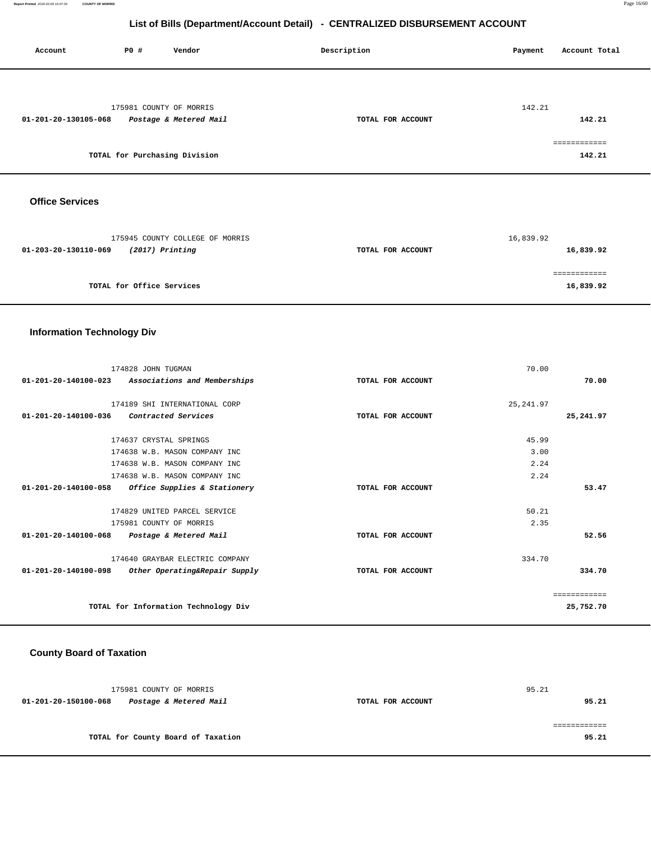**Report Printed** 2018-03-09 16:07:39 **COUNTY OF MORRIS** Page 16/60

## **List of Bills (Department/Account Detail) - CENTRALIZED DISBURSEMENT ACCOUNT**

| Account                           | P0 #                      | Vendor                                                        | Description       | Payment    | Account Total             |
|-----------------------------------|---------------------------|---------------------------------------------------------------|-------------------|------------|---------------------------|
|                                   |                           |                                                               |                   |            |                           |
|                                   |                           | 175981 COUNTY OF MORRIS                                       |                   | 142.21     |                           |
| 01-201-20-130105-068              |                           | Postage & Metered Mail                                        | TOTAL FOR ACCOUNT |            | 142.21                    |
|                                   |                           |                                                               |                   |            | ============              |
|                                   |                           | TOTAL for Purchasing Division                                 |                   |            | 142.21                    |
| <b>Office Services</b>            |                           |                                                               |                   |            |                           |
|                                   |                           | 175945 COUNTY COLLEGE OF MORRIS                               |                   | 16,839.92  |                           |
| 01-203-20-130110-069              | (2017) Printing           |                                                               | TOTAL FOR ACCOUNT |            | 16,839.92                 |
|                                   |                           |                                                               |                   |            |                           |
|                                   | TOTAL for Office Services |                                                               |                   |            | ============<br>16,839.92 |
|                                   |                           |                                                               |                   |            |                           |
| <b>Information Technology Div</b> |                           |                                                               |                   |            |                           |
|                                   | 174828 JOHN TUGMAN        |                                                               | TOTAL FOR ACCOUNT | 70.00      | 70.00                     |
| 01-201-20-140100-023              |                           | Associations and Memberships                                  |                   |            |                           |
|                                   |                           | 174189 SHI INTERNATIONAL CORP                                 |                   | 25, 241.97 |                           |
| 01-201-20-140100-036              |                           | Contracted Services                                           | TOTAL FOR ACCOUNT |            | 25, 241.97                |
|                                   | 174637 CRYSTAL SPRINGS    |                                                               |                   | 45.99      |                           |
|                                   |                           | 174638 W.B. MASON COMPANY INC                                 |                   | 3.00       |                           |
|                                   |                           | 174638 W.B. MASON COMPANY INC                                 |                   | 2.24       |                           |
| $01 - 201 - 20 - 140100 - 058$    |                           | 174638 W.B. MASON COMPANY INC<br>Office Supplies & Stationery | TOTAL FOR ACCOUNT | 2.24       | 53.47                     |
|                                   |                           |                                                               |                   |            |                           |
|                                   |                           | 174829 UNITED PARCEL SERVICE                                  |                   | 50.21      |                           |
|                                   | 175981 COUNTY OF MORRIS   |                                                               |                   | 2.35       |                           |
| 01-201-20-140100-068              |                           | Postage & Metered Mail                                        | TOTAL FOR ACCOUNT |            | 52.56                     |
|                                   |                           | 174640 GRAYBAR ELECTRIC COMPANY                               |                   | 334.70     |                           |
| 01-201-20-140100-098              |                           | Other Operating&Repair Supply                                 | TOTAL FOR ACCOUNT |            | 334.70                    |
|                                   |                           |                                                               |                   |            | ============              |
|                                   |                           | TOTAL for Information Technology Div                          |                   |            | 25,752.70                 |
|                                   |                           |                                                               |                   |            |                           |

# **County Board of Taxation**

| 175981 COUNTY OF MORRIS                        |                   | 95.21 |
|------------------------------------------------|-------------------|-------|
| Postage & Metered Mail<br>01-201-20-150100-068 | TOTAL FOR ACCOUNT | 95.21 |
|                                                |                   |       |
|                                                |                   |       |
| TOTAL for County Board of Taxation             |                   | 95.21 |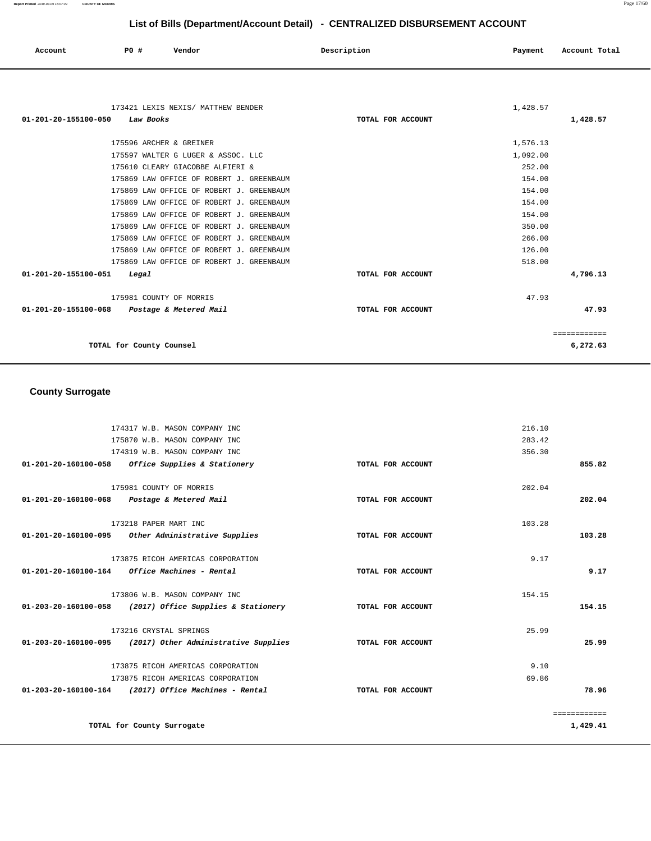| Account | PO# | Vendor | Description | Payment | Account Total |
|---------|-----|--------|-------------|---------|---------------|
|         |     |        |             |         |               |
|         |     |        |             |         |               |

| 173421 LEXIS NEXIS/ MATTHEW BENDER<br>01-201-20-155100-050<br>Law Books | TOTAL FOR ACCOUNT | 1,428.57<br>1,428.57 |  |
|-------------------------------------------------------------------------|-------------------|----------------------|--|
| 175596 ARCHER & GREINER                                                 |                   | 1,576.13             |  |
| 175597 WALTER G LUGER & ASSOC. LLC                                      |                   | 1,092.00             |  |
| 175610 CLEARY GIACOBBE ALFIERI &                                        |                   | 252.00               |  |
| 175869 LAW OFFICE OF ROBERT J. GREENBAUM                                |                   | 154.00               |  |
| 175869 LAW OFFICE OF ROBERT J. GREENBAUM                                |                   | 154.00               |  |
| 175869 LAW OFFICE OF ROBERT J. GREENBAUM                                |                   | 154.00               |  |
| 175869 LAW OFFICE OF ROBERT J. GREENBAUM                                |                   | 154.00               |  |
| 175869 LAW OFFICE OF ROBERT J. GREENBAUM                                |                   | 350.00               |  |
| 175869 LAW OFFICE OF ROBERT J. GREENBAUM                                |                   | 266.00               |  |
| 175869 LAW OFFICE OF ROBERT J. GREENBAUM                                |                   | 126.00               |  |
| 175869 LAW OFFICE OF ROBERT J. GREENBAUM                                |                   | 518.00               |  |
| 01-201-20-155100-051<br>Legal                                           | TOTAL FOR ACCOUNT | 4,796.13             |  |
| 175981 COUNTY OF MORRIS                                                 |                   | 47.93                |  |
| 01-201-20-155100-068<br>Postage & Metered Mail                          | TOTAL FOR ACCOUNT | 47.93                |  |
|                                                                         |                   | ============         |  |
| TOTAL for County Counsel                                                |                   | 6,272.63             |  |

# **County Surrogate**

|                      | 174317 W.B. MASON COMPANY INC                               |                   | 216.10 |              |
|----------------------|-------------------------------------------------------------|-------------------|--------|--------------|
|                      | 175870 W.B. MASON COMPANY INC                               |                   | 283.42 |              |
|                      | 174319 W.B. MASON COMPANY INC                               |                   | 356.30 |              |
| 01-201-20-160100-058 | Office Supplies & Stationery                                | TOTAL FOR ACCOUNT |        | 855.82       |
|                      | 175981 COUNTY OF MORRIS                                     |                   | 202.04 |              |
|                      | 01-201-20-160100-068 Postage & Metered Mail                 | TOTAL FOR ACCOUNT |        | 202.04       |
|                      | 173218 PAPER MART INC                                       |                   | 103.28 |              |
|                      | 01-201-20-160100-095 Other Administrative Supplies          | TOTAL FOR ACCOUNT |        | 103.28       |
|                      | 173875 RICOH AMERICAS CORPORATION                           |                   | 9.17   |              |
|                      | $01-201-20-160100-164$ Office Machines - Rental             | TOTAL FOR ACCOUNT |        | 9.17         |
|                      | 173806 W.B. MASON COMPANY INC                               |                   | 154.15 |              |
|                      | 01-203-20-160100-058 (2017) Office Supplies & Stationery    | TOTAL FOR ACCOUNT |        | 154.15       |
|                      | 173216 CRYSTAL SPRINGS                                      |                   | 25.99  |              |
|                      | $01-203-20-160100-095$ (2017) Other Administrative Supplies | TOTAL FOR ACCOUNT |        | 25.99        |
|                      | 173875 RICOH AMERICAS CORPORATION                           |                   | 9.10   |              |
|                      | 173875 RICOH AMERICAS CORPORATION                           |                   | 69.86  |              |
|                      | 01-203-20-160100-164 (2017) Office Machines - Rental        | TOTAL FOR ACCOUNT |        | 78.96        |
|                      |                                                             |                   |        | ============ |
|                      | TOTAL for County Surrogate                                  |                   |        | 1,429.41     |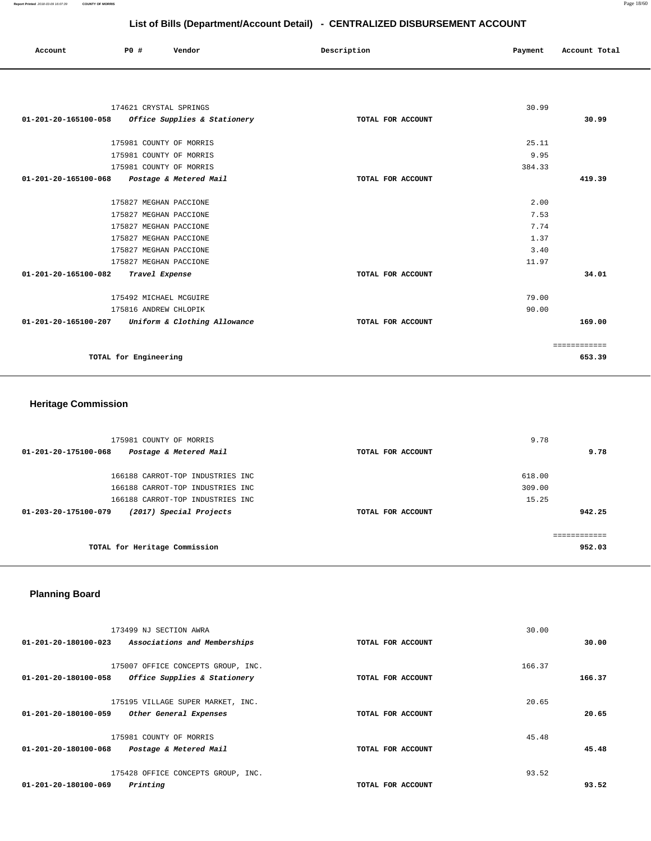| Account | P0 # | Vendor | Description | Payment | Account Total |
|---------|------|--------|-------------|---------|---------------|
|         |      |        |             |         |               |

| 174621 CRYSTAL SPRINGS                               |                   | 30.99        |  |
|------------------------------------------------------|-------------------|--------------|--|
| 01-201-20-165100-058<br>Office Supplies & Stationery | TOTAL FOR ACCOUNT | 30.99        |  |
|                                                      |                   |              |  |
| 175981 COUNTY OF MORRIS                              |                   | 25.11        |  |
| 175981 COUNTY OF MORRIS                              |                   | 9.95         |  |
| 175981 COUNTY OF MORRIS                              |                   | 384.33       |  |
| 01-201-20-165100-068<br>Postage & Metered Mail       | TOTAL FOR ACCOUNT | 419.39       |  |
|                                                      |                   |              |  |
| 175827 MEGHAN PACCIONE                               |                   | 2.00         |  |
| 175827 MEGHAN PACCIONE                               |                   | 7.53         |  |
| 175827 MEGHAN PACCIONE                               |                   | 7.74         |  |
| 175827 MEGHAN PACCIONE                               |                   | 1.37         |  |
| 175827 MEGHAN PACCIONE                               |                   | 3.40         |  |
| 175827 MEGHAN PACCIONE                               |                   | 11.97        |  |
| 01-201-20-165100-082<br>Travel Expense               | TOTAL FOR ACCOUNT | 34.01        |  |
|                                                      |                   |              |  |
| 175492 MICHAEL MCGUIRE                               |                   | 79.00        |  |
| 175816 ANDREW CHLOPIK                                |                   | 90.00        |  |
| 01-201-20-165100-207<br>Uniform & Clothing Allowance | TOTAL FOR ACCOUNT | 169.00       |  |
|                                                      |                   | eessessesses |  |
| TOTAL for Engineering                                |                   | 653.39       |  |
|                                                      |                   |              |  |

## **Heritage Commission**

| 175981 COUNTY OF MORRIS                         |                   | 9.78   |
|-------------------------------------------------|-------------------|--------|
| 01-201-20-175100-068<br>Postage & Metered Mail  | TOTAL FOR ACCOUNT | 9.78   |
| 166188 CARROT-TOP INDUSTRIES INC                |                   | 618.00 |
|                                                 |                   |        |
| 166188 CARROT-TOP INDUSTRIES INC                |                   | 309.00 |
| 166188 CARROT-TOP INDUSTRIES INC                |                   | 15.25  |
| 01-203-20-175100-079<br>(2017) Special Projects | TOTAL FOR ACCOUNT | 942.25 |
|                                                 |                   |        |
|                                                 |                   |        |
| TOTAL for Heritage Commission                   |                   | 952.03 |
|                                                 |                   |        |

# **Planning Board**

| 173499 NJ SECTION AWRA                                   |                   | 30.00  |        |
|----------------------------------------------------------|-------------------|--------|--------|
| 01-201-20-180100-023<br>Associations and Memberships     | TOTAL FOR ACCOUNT |        | 30.00  |
|                                                          |                   |        |        |
| 175007 OFFICE CONCEPTS GROUP, INC.                       |                   | 166.37 |        |
| Office Supplies & Stationery<br>01-201-20-180100-058     | TOTAL FOR ACCOUNT |        | 166.37 |
|                                                          |                   |        |        |
| 175195 VILLAGE SUPER MARKET, INC.                        |                   | 20.65  |        |
| 01-201-20-180100-059<br>Other General Expenses           | TOTAL FOR ACCOUNT |        | 20.65  |
|                                                          |                   |        |        |
| 175981 COUNTY OF MORRIS                                  |                   | 45.48  |        |
| $01 - 201 - 20 - 180100 - 068$<br>Postage & Metered Mail | TOTAL FOR ACCOUNT |        | 45.48  |
| 175428 OFFICE CONCEPTS GROUP, INC.                       |                   | 93.52  |        |
| 01-201-20-180100-069<br>Printing                         | TOTAL FOR ACCOUNT |        | 93.52  |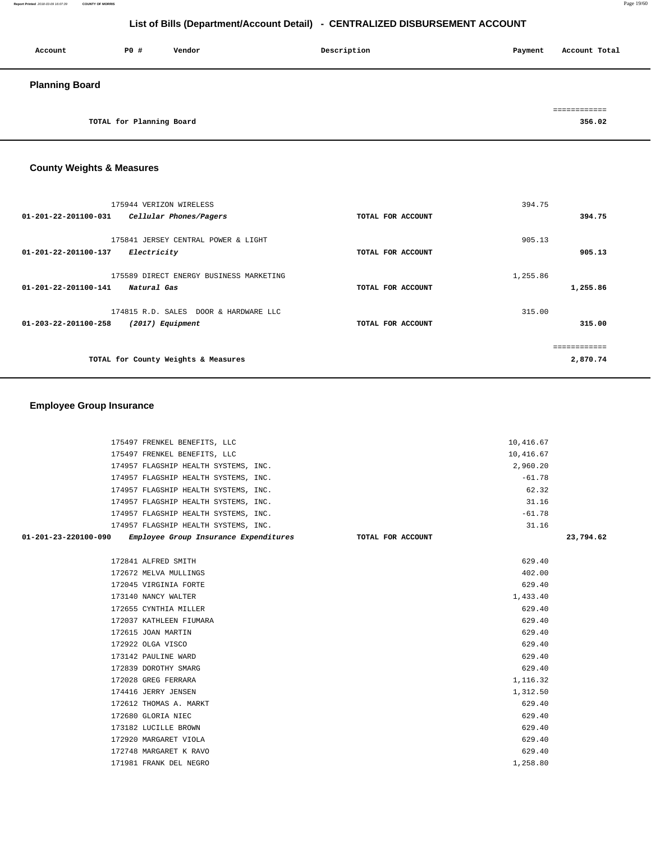**Report Printed** 2018-03-09 16:07:39 **COUNTY OF MORRIS** Page 19/60

## **List of Bills (Department/Account Detail) - CENTRALIZED DISBURSEMENT ACCOUNT**

| Account               | P0 #                     | Vendor | Description | Payment | Account Total |
|-----------------------|--------------------------|--------|-------------|---------|---------------|
| <b>Planning Board</b> |                          |        |             |         |               |
|                       |                          |        |             |         | ============  |
|                       | TOTAL for Planning Board |        |             |         | 356.02        |

# **County Weights & Measures**

| 175944 VERIZON WIRELESS<br>01-201-22-201100-031<br>Cellular Phones/Pagers                | TOTAL FOR ACCOUNT | 394.75<br>394.75         |
|------------------------------------------------------------------------------------------|-------------------|--------------------------|
| 175841 JERSEY CENTRAL POWER & LIGHT<br>01-201-22-201100-137<br>Electricity               | TOTAL FOR ACCOUNT | 905.13<br>905.13         |
| 175589 DIRECT ENERGY BUSINESS MARKETING<br>$01 - 201 - 22 - 201100 - 141$<br>Natural Gas | TOTAL FOR ACCOUNT | 1,255.86<br>1,255.86     |
| 174815 R.D. SALES DOOR & HARDWARE LLC<br>01-203-22-201100-258<br>(2017) Equipment        | TOTAL FOR ACCOUNT | 315.00<br>315.00         |
| TOTAL for County Weights & Measures                                                      |                   | ============<br>2,870.74 |

# **Employee Group Insurance**

|                      | 175497 FRENKEL BENEFITS, LLC          | 10,416.67         |           |
|----------------------|---------------------------------------|-------------------|-----------|
|                      | 175497 FRENKEL BENEFITS, LLC          | 10,416.67         |           |
|                      | 174957 FLAGSHIP HEALTH SYSTEMS, INC.  | 2,960.20          |           |
|                      | 174957 FLAGSHIP HEALTH SYSTEMS, INC.  | $-61.78$          |           |
|                      | 174957 FLAGSHIP HEALTH SYSTEMS, INC.  | 62.32             |           |
|                      | 174957 FLAGSHIP HEALTH SYSTEMS, INC.  | 31.16             |           |
|                      | 174957 FLAGSHIP HEALTH SYSTEMS, INC.  | $-61.78$          |           |
|                      | 174957 FLAGSHIP HEALTH SYSTEMS, INC.  | 31.16             |           |
| 01-201-23-220100-090 | Employee Group Insurance Expenditures | TOTAL FOR ACCOUNT | 23,794.62 |
|                      | 172841 ALFRED SMITH                   | 629.40            |           |
|                      | 172672 MELVA MULLINGS                 | 402.00            |           |
|                      | 172045 VIRGINIA FORTE                 | 629.40            |           |
|                      | 173140 NANCY WALTER                   | 1,433.40          |           |
|                      | 172655 CYNTHIA MILLER                 | 629.40            |           |
|                      | 172037 KATHLEEN FIUMARA               | 629.40            |           |
|                      | 172615 JOAN MARTIN                    | 629.40            |           |
|                      | 172922 OLGA VISCO                     | 629.40            |           |
|                      | 173142 PAULINE WARD                   | 629.40            |           |
|                      | 172839 DOROTHY SMARG                  | 629.40            |           |
|                      | 172028 GREG FERRARA                   | 1,116.32          |           |
|                      | 174416 JERRY JENSEN                   | 1,312.50          |           |
|                      | 172612 THOMAS A. MARKT                | 629.40            |           |
|                      | 172680 GLORIA NIEC                    | 629.40            |           |
|                      | 173182 LUCILLE BROWN                  | 629.40            |           |
|                      | 172920 MARGARET VIOLA                 | 629.40            |           |
|                      | 172748 MARGARET K RAVO                | 629.40            |           |
|                      | 171981 FRANK DEL NEGRO                | 1,258.80          |           |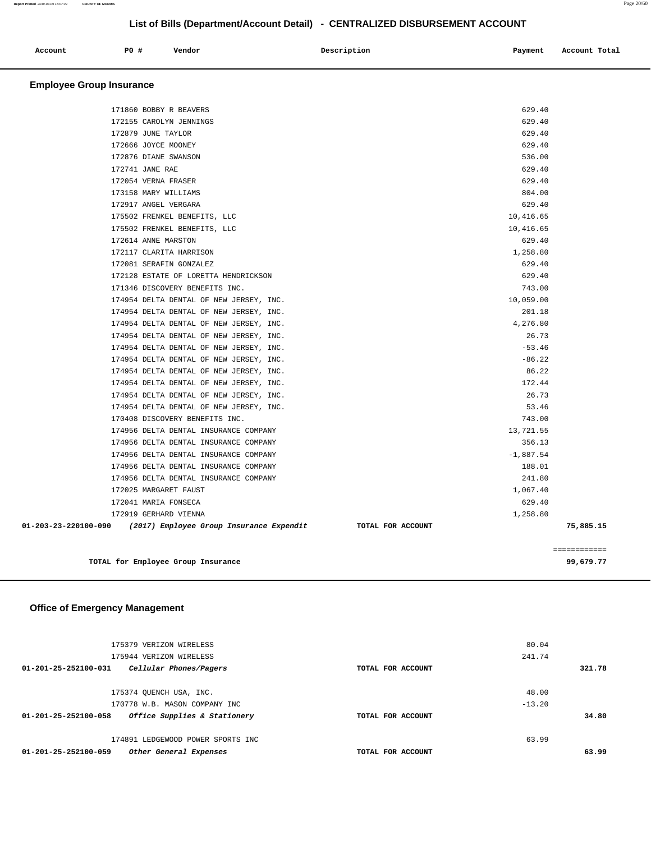| Account | PO# | Vendor | Description | Payment | Account Total |
|---------|-----|--------|-------------|---------|---------------|
|         |     | .      |             |         |               |
|         |     |        |             |         |               |

## **Employee Group Insurance**

| TOTAL for Employee Group Insurance                            |                   |                  | 99,679.77    |
|---------------------------------------------------------------|-------------------|------------------|--------------|
|                                                               |                   |                  | ============ |
| 01-203-23-220100-090 (2017) Employee Group Insurance Expendit | TOTAL FOR ACCOUNT |                  | 75,885.15    |
| 172919 GERHARD VIENNA                                         |                   | 1,258.80         |              |
| 172041 MARIA FONSECA                                          |                   | 629.40           |              |
| 172025 MARGARET FAUST                                         |                   | 1,067.40         |              |
| 174956 DELTA DENTAL INSURANCE COMPANY                         |                   | 241.80           |              |
| 174956 DELTA DENTAL INSURANCE COMPANY                         |                   | 188.01           |              |
| 174956 DELTA DENTAL INSURANCE COMPANY                         |                   | $-1,887.54$      |              |
| 174956 DELTA DENTAL INSURANCE COMPANY                         |                   | 356.13           |              |
| 174956 DELTA DENTAL INSURANCE COMPANY                         |                   | 13,721.55        |              |
| 170408 DISCOVERY BENEFITS INC.                                |                   | 743.00           |              |
| 174954 DELTA DENTAL OF NEW JERSEY, INC.                       |                   | 53.46            |              |
| 174954 DELTA DENTAL OF NEW JERSEY, INC.                       |                   | 26.73            |              |
| 174954 DELTA DENTAL OF NEW JERSEY, INC.                       |                   | 172.44           |              |
| 174954 DELTA DENTAL OF NEW JERSEY, INC.                       |                   | 86.22            |              |
| 174954 DELTA DENTAL OF NEW JERSEY, INC.                       |                   | $-86.22$         |              |
| 174954 DELTA DENTAL OF NEW JERSEY, INC.                       |                   | $-53.46$         |              |
| 174954 DELTA DENTAL OF NEW JERSEY, INC.                       |                   | 26.73            |              |
| 174954 DELTA DENTAL OF NEW JERSEY, INC.                       |                   | 4,276.80         |              |
| 174954 DELTA DENTAL OF NEW JERSEY, INC.                       |                   | 201.18           |              |
| 174954 DELTA DENTAL OF NEW JERSEY, INC.                       |                   | 10,059.00        |              |
| 171346 DISCOVERY BENEFITS INC.                                |                   | 743.00           |              |
| 172128 ESTATE OF LORETTA HENDRICKSON                          |                   | 629.40           |              |
| 172081 SERAFIN GONZALEZ                                       |                   | 629.40           |              |
| 172117 CLARITA HARRISON                                       |                   | 1,258.80         |              |
| 172614 ANNE MARSTON                                           |                   | 629.40           |              |
| 175502 FRENKEL BENEFITS, LLC                                  |                   | 10,416.65        |              |
| 175502 FRENKEL BENEFITS, LLC                                  |                   | 10,416.65        |              |
| 172917 ANGEL VERGARA                                          |                   | 629.40           |              |
| 173158 MARY WILLIAMS                                          |                   | 804.00           |              |
| 172741 JANE RAE<br>172054 VERNA FRASER                        |                   | 629.40<br>629.40 |              |
| 172876 DIANE SWANSON                                          |                   | 536.00           |              |
| 172666 JOYCE MOONEY                                           |                   | 629.40           |              |
| 172879 JUNE TAYLOR                                            |                   | 629.40           |              |
| 172155 CAROLYN JENNINGS                                       |                   | 629.40           |              |
|                                                               |                   |                  |              |
| 171860 BOBBY R BEAVERS                                        |                   | 629.40           |              |

## **Office of Emergency Management**

| 175379 VERIZON WIRELESS<br>175944 VERIZON WIRELESS   |                   | 80.04<br>241.74 |
|------------------------------------------------------|-------------------|-----------------|
| 01-201-25-252100-031<br>Cellular Phones/Pagers       | TOTAL FOR ACCOUNT | 321.78          |
| 175374 OUENCH USA, INC.                              |                   | 48.00           |
| 170778 W.B. MASON COMPANY INC                        |                   | $-13.20$        |
| Office Supplies & Stationery<br>01-201-25-252100-058 | TOTAL FOR ACCOUNT | 34.80           |
| 174891 LEDGEWOOD POWER SPORTS INC                    |                   | 63.99           |
| 01-201-25-252100-059<br>Other General Expenses       | TOTAL FOR ACCOUNT | 63.99           |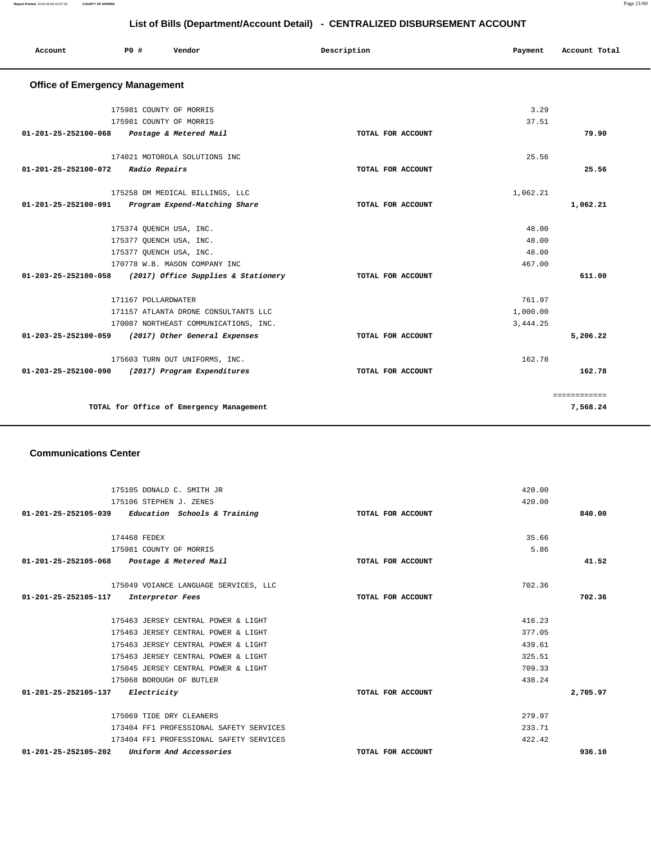| Account                               | PO# |                     | Vendor                                             |  | Description       | Payment  | Account Total |
|---------------------------------------|-----|---------------------|----------------------------------------------------|--|-------------------|----------|---------------|
| <b>Office of Emergency Management</b> |     |                     |                                                    |  |                   |          |               |
|                                       |     |                     | 175981 COUNTY OF MORRIS                            |  |                   | 3.29     |               |
|                                       |     |                     | 175981 COUNTY OF MORRIS                            |  |                   | 37.51    |               |
| 01-201-25-252100-068                  |     |                     | Postage & Metered Mail                             |  | TOTAL FOR ACCOUNT |          | 79.90         |
|                                       |     |                     | 174021 MOTOROLA SOLUTIONS INC                      |  |                   | 25.56    |               |
| 01-201-25-252100-072                  |     | Radio Repairs       |                                                    |  | TOTAL FOR ACCOUNT |          | 25.56         |
|                                       |     |                     | 175258 DM MEDICAL BILLINGS, LLC                    |  |                   | 1,062.21 |               |
| 01-201-25-252100-091                  |     |                     | Program Expend-Matching Share                      |  | TOTAL FOR ACCOUNT |          | 1,062.21      |
|                                       |     |                     | 175374 QUENCH USA, INC.                            |  |                   | 48.00    |               |
|                                       |     |                     | 175377 QUENCH USA, INC.                            |  |                   | 48.00    |               |
|                                       |     |                     | 175377 QUENCH USA, INC.                            |  |                   | 48.00    |               |
|                                       |     |                     | 170778 W.B. MASON COMPANY INC                      |  |                   | 467.00   |               |
| 01-203-25-252100-058                  |     |                     | (2017) Office Supplies & Stationery                |  | TOTAL FOR ACCOUNT |          | 611.00        |
|                                       |     | 171167 POLLARDWATER |                                                    |  |                   | 761.97   |               |
|                                       |     |                     | 171157 ATLANTA DRONE CONSULTANTS LLC               |  |                   | 1,000.00 |               |
|                                       |     |                     | 170087 NORTHEAST COMMUNICATIONS, INC.              |  |                   | 3,444.25 |               |
|                                       |     |                     | 01-203-25-252100-059 (2017) Other General Expenses |  | TOTAL FOR ACCOUNT |          | 5,206.22      |
|                                       |     |                     | 175603 TURN OUT UNIFORMS, INC.                     |  |                   | 162.78   |               |
| 01-203-25-252100-090                  |     |                     | (2017) Program Expenditures                        |  | TOTAL FOR ACCOUNT |          | 162.78        |
|                                       |     |                     |                                                    |  |                   |          | ============  |
|                                       |     |                     | TOTAL for Office of Emergency Management           |  |                   |          | 7,568.24      |

### **Communications Center**

| 175105 DONALD C. SMITH JR                                 |                   | 420.00   |
|-----------------------------------------------------------|-------------------|----------|
| 175106 STEPHEN J. ZENES                                   |                   | 420.00   |
| $01-201-25-252105-039$ Education Schools & Training       | TOTAL FOR ACCOUNT | 840.00   |
|                                                           |                   |          |
| 174468 FEDEX                                              |                   | 35.66    |
| 175981 COUNTY OF MORRIS                                   |                   | 5.86     |
| Postage & Metered Mail<br>01-201-25-252105-068            | TOTAL FOR ACCOUNT | 41.52    |
|                                                           |                   |          |
| 175049 VOIANCE LANGUAGE SERVICES, LLC                     |                   | 702.36   |
| 01-201-25-252105-117<br>Interpretor Fees                  | TOTAL FOR ACCOUNT | 702.36   |
|                                                           |                   |          |
| 175463 JERSEY CENTRAL POWER & LIGHT                       |                   | 416.23   |
| 175463 JERSEY CENTRAL POWER & LIGHT                       |                   | 377.05   |
| 175463 JERSEY CENTRAL POWER & LIGHT                       |                   | 439.61   |
| 175463 JERSEY CENTRAL POWER & LIGHT                       |                   | 325.51   |
| 175045 JERSEY CENTRAL POWER & LIGHT                       |                   | 709.33   |
| 175068 BOROUGH OF BUTLER                                  |                   | 438.24   |
| 01-201-25-252105-137<br>Electricity                       | TOTAL FOR ACCOUNT | 2,705.97 |
|                                                           |                   |          |
| 175069 TIDE DRY CLEANERS                                  |                   | 279.97   |
| 173404 FF1 PROFESSIONAL SAFETY SERVICES                   |                   | 233.71   |
| 173404 FF1 PROFESSIONAL SAFETY SERVICES                   |                   | 422.42   |
| $01 - 201 - 25 - 252105 - 202$<br>Uniform And Accessories | TOTAL FOR ACCOUNT | 936.10   |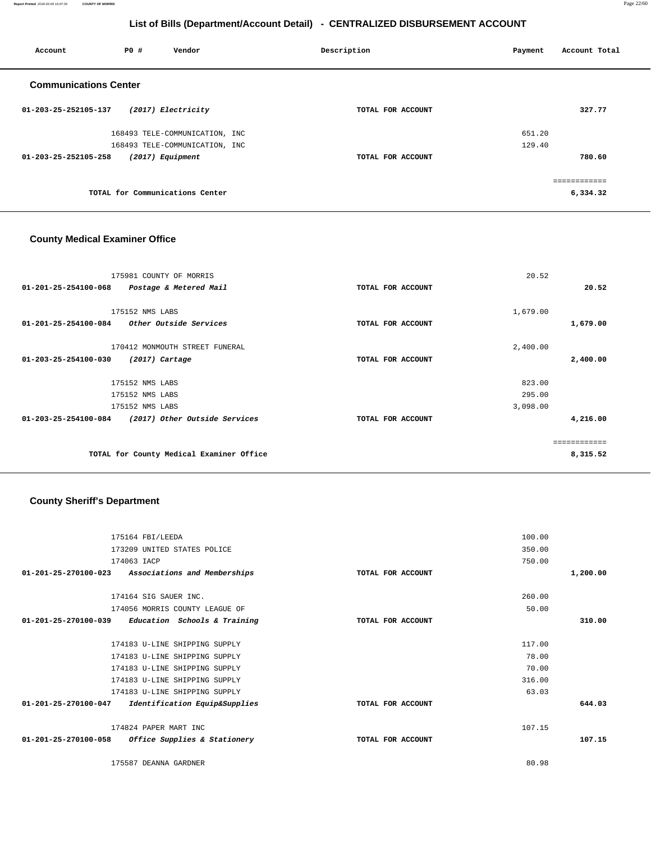**Report Printed** 2018-03-09 16:07:39 **COUNTY OF MORRIS** Page 22/60

## **List of Bills (Department/Account Detail) - CENTRALIZED DISBURSEMENT ACCOUNT**

| Account                        | PO#              | Vendor                          | Description       | Payment | Account Total |
|--------------------------------|------------------|---------------------------------|-------------------|---------|---------------|
| <b>Communications Center</b>   |                  |                                 |                   |         |               |
| 01-203-25-252105-137           |                  | (2017) Electricity              | TOTAL FOR ACCOUNT |         | 327.77        |
|                                |                  | 168493 TELE-COMMUNICATION, INC  |                   | 651.20  |               |
| 168493 TELE-COMMUNICATION, INC |                  |                                 | 129.40            |         |               |
| 01-203-25-252105-258           | (2017) Equipment |                                 | TOTAL FOR ACCOUNT |         | 780.60        |
|                                |                  |                                 |                   |         | ============  |
|                                |                  | TOTAL for Communications Center |                   |         | 6,334.32      |

## **County Medical Examiner Office**

| 175981 COUNTY OF MORRIS                               |                   | 20.52        |
|-------------------------------------------------------|-------------------|--------------|
| 01-201-25-254100-068<br>Postage & Metered Mail        | TOTAL FOR ACCOUNT | 20.52        |
|                                                       |                   |              |
| 175152 NMS LABS                                       |                   | 1,679.00     |
| 01-201-25-254100-084<br>Other Outside Services        | TOTAL FOR ACCOUNT | 1,679.00     |
|                                                       |                   |              |
| 170412 MONMOUTH STREET FUNERAL                        |                   | 2,400.00     |
| 01-203-25-254100-030<br>$(2017)$ Cartage              | TOTAL FOR ACCOUNT | 2,400.00     |
|                                                       |                   |              |
| 175152 NMS LABS                                       |                   | 823.00       |
| 175152 NMS LABS                                       |                   | 295.00       |
| 175152 NMS LABS                                       |                   | 3,098.00     |
| 01-203-25-254100-084<br>(2017) Other Outside Services | TOTAL FOR ACCOUNT | 4,216.00     |
|                                                       |                   |              |
|                                                       |                   | ============ |
| TOTAL for County Medical Examiner Office              |                   | 8,315.52     |
|                                                       |                   |              |

# **County Sheriff's Department**

| 175164 FBI/LEEDA                                               |                   | 100.00 |          |
|----------------------------------------------------------------|-------------------|--------|----------|
| 173209 UNITED STATES POLICE                                    |                   | 350.00 |          |
| 174063 IACP                                                    |                   | 750.00 |          |
| $01 - 201 - 25 - 270100 - 023$<br>Associations and Memberships | TOTAL FOR ACCOUNT |        | 1,200.00 |
|                                                                |                   |        |          |
| 174164 SIG SAUER INC.                                          |                   | 260.00 |          |
| 174056 MORRIS COUNTY LEAGUE OF                                 |                   | 50.00  |          |
| $01-201-25-270100-039$ Education Schools & Training            | TOTAL FOR ACCOUNT |        | 310.00   |
|                                                                |                   |        |          |
| 174183 U-LINE SHIPPING SUPPLY                                  |                   | 117.00 |          |
| 174183 U-LINE SHIPPING SUPPLY                                  |                   | 78.00  |          |
| 174183 U-LINE SHIPPING SUPPLY                                  |                   | 70.00  |          |
| 174183 U-LINE SHIPPING SUPPLY                                  |                   | 316.00 |          |
| 174183 U-LINE SHIPPING SUPPLY                                  |                   | 63.03  |          |
| 01-201-25-270100-047<br>Identification Equip&Supplies          | TOTAL FOR ACCOUNT |        | 644.03   |
| 174824 PAPER MART INC                                          |                   | 107.15 |          |
| 01-201-25-270100-058<br>Office Supplies & Stationery           | TOTAL FOR ACCOUNT |        | 107.15   |
| 175587 DEANNA GARDNER                                          |                   | 80.98  |          |
|                                                                |                   |        |          |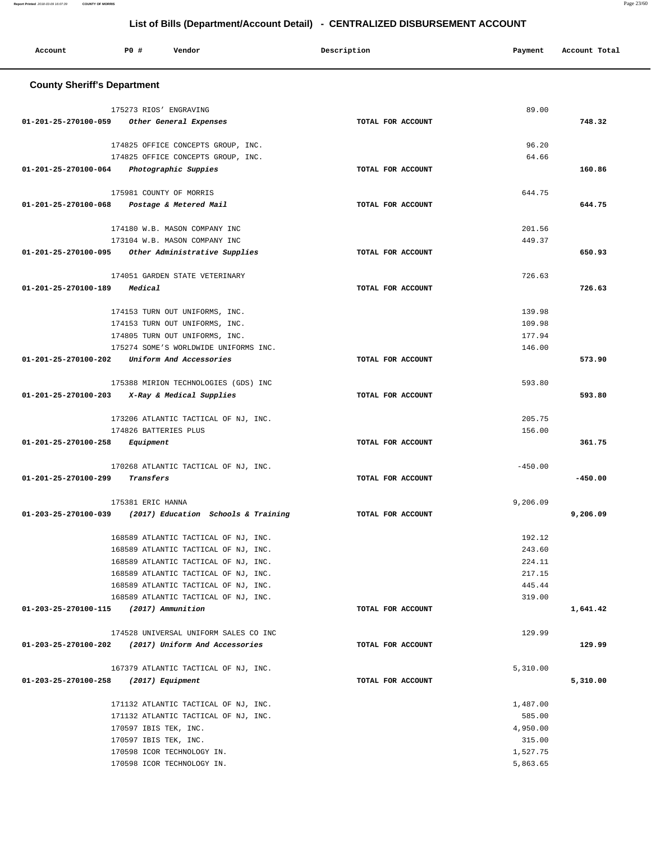| Account                            | PO#<br>Vendor                                                            | Description       | Payment        | Account Total |
|------------------------------------|--------------------------------------------------------------------------|-------------------|----------------|---------------|
| <b>County Sheriff's Department</b> |                                                                          |                   |                |               |
|                                    | 175273 RIOS' ENGRAVING                                                   |                   | 89.00          |               |
| 01-201-25-270100-059               | Other General Expenses                                                   | TOTAL FOR ACCOUNT |                | 748.32        |
|                                    |                                                                          |                   |                |               |
|                                    | 174825 OFFICE CONCEPTS GROUP, INC.<br>174825 OFFICE CONCEPTS GROUP, INC. |                   | 96.20<br>64.66 |               |
|                                    | 01-201-25-270100-064 Photographic Suppies                                | TOTAL FOR ACCOUNT |                | 160.86        |
|                                    |                                                                          |                   |                |               |
| 01-201-25-270100-068               | 175981 COUNTY OF MORRIS<br>Postage & Metered Mail                        | TOTAL FOR ACCOUNT | 644.75         | 644.75        |
|                                    |                                                                          |                   |                |               |
|                                    | 174180 W.B. MASON COMPANY INC                                            |                   | 201.56         |               |
|                                    | 173104 W.B. MASON COMPANY INC                                            |                   | 449.37         |               |
| 01-201-25-270100-095               | Other Administrative Supplies                                            | TOTAL FOR ACCOUNT |                | 650.93        |
|                                    | 174051 GARDEN STATE VETERINARY                                           |                   | 726.63         |               |
| 01-201-25-270100-189               | Medical                                                                  | TOTAL FOR ACCOUNT |                | 726.63        |
|                                    | 174153 TURN OUT UNIFORMS, INC.                                           |                   | 139.98         |               |
|                                    | 174153 TURN OUT UNIFORMS, INC.                                           |                   | 109.98         |               |
|                                    | 174805 TURN OUT UNIFORMS, INC.                                           |                   | 177.94         |               |
|                                    | 175274 SOME'S WORLDWIDE UNIFORMS INC.                                    |                   | 146.00         |               |
| 01-201-25-270100-202               | Uniform And Accessories                                                  | TOTAL FOR ACCOUNT |                | 573.90        |
|                                    | 175388 MIRION TECHNOLOGIES (GDS) INC                                     |                   | 593.80         |               |
| 01-201-25-270100-203               | X-Ray & Medical Supplies                                                 | TOTAL FOR ACCOUNT |                | 593.80        |
|                                    | 173206 ATLANTIC TACTICAL OF NJ, INC.                                     |                   | 205.75         |               |
|                                    | 174826 BATTERIES PLUS                                                    |                   | 156.00         |               |
| 01-201-25-270100-258               | Equipment                                                                | TOTAL FOR ACCOUNT |                | 361.75        |
|                                    | 170268 ATLANTIC TACTICAL OF NJ, INC.                                     |                   | $-450.00$      |               |
| 01-201-25-270100-299               | Transfers                                                                | TOTAL FOR ACCOUNT |                | $-450.00$     |
|                                    | 175381 ERIC HANNA                                                        |                   | 9,206.09       |               |
|                                    | 01-203-25-270100-039 (2017) Education Schools & Training                 | TOTAL FOR ACCOUNT |                | 9,206.09      |
|                                    | 168589 ATLANTIC TACTICAL OF NJ, INC.                                     |                   | 192.12         |               |
|                                    | 168589 ATLANTIC TACTICAL OF NJ, INC.                                     |                   | 243.60         |               |
|                                    | 168589 ATLANTIC TACTICAL OF NJ, INC.                                     |                   | 224.11         |               |
|                                    | 168589 ATLANTIC TACTICAL OF NJ, INC.                                     |                   | 217.15         |               |
|                                    | 168589 ATLANTIC TACTICAL OF NJ, INC.                                     |                   | 445.44         |               |
|                                    | 168589 ATLANTIC TACTICAL OF NJ, INC.                                     |                   | 319.00         |               |
|                                    | 01-203-25-270100-115 (2017) Ammunition                                   | TOTAL FOR ACCOUNT |                | 1,641.42      |
|                                    | 174528 UNIVERSAL UNIFORM SALES CO INC                                    |                   | 129.99         |               |
|                                    | 01-203-25-270100-202 (2017) Uniform And Accessories                      | TOTAL FOR ACCOUNT |                | 129.99        |
|                                    | 167379 ATLANTIC TACTICAL OF NJ, INC.                                     |                   | 5,310.00       |               |
| 01-203-25-270100-258               | (2017) Equipment                                                         | TOTAL FOR ACCOUNT |                | 5,310.00      |
|                                    | 171132 ATLANTIC TACTICAL OF NJ, INC.                                     |                   | 1,487.00       |               |
|                                    | 171132 ATLANTIC TACTICAL OF NJ, INC.                                     |                   | 585.00         |               |
|                                    | 170597 IBIS TEK, INC.                                                    |                   | 4,950.00       |               |
|                                    | 170597 IBIS TEK, INC.                                                    |                   | 315.00         |               |
|                                    | 170598 ICOR TECHNOLOGY IN.                                               |                   | 1,527.75       |               |
|                                    | 170598 ICOR TECHNOLOGY IN.                                               |                   | 5,863.65       |               |
|                                    |                                                                          |                   |                |               |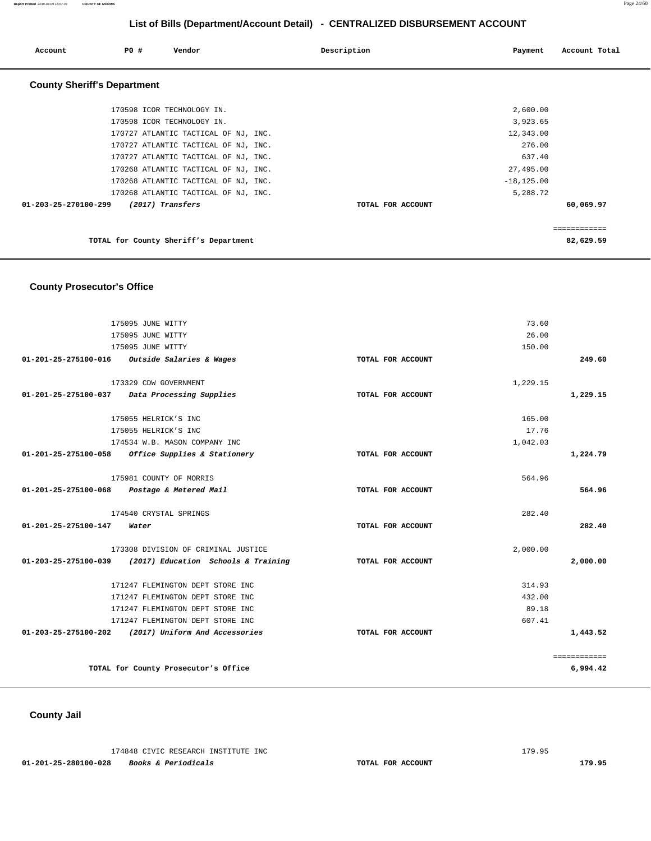**Report Printed** 2018-03-09 16:07:39 **COUNTY OF MORRIS** Page 24/60

## **List of Bills (Department/Account Detail) - CENTRALIZED DISBURSEMENT ACCOUNT**

| Account                            | <b>PO #</b> | Vendor                                | Description       | Payment       | Account Total |
|------------------------------------|-------------|---------------------------------------|-------------------|---------------|---------------|
| <b>County Sheriff's Department</b> |             |                                       |                   |               |               |
|                                    |             | 170598 ICOR TECHNOLOGY IN.            |                   | 2,600.00      |               |
|                                    |             | 170598 ICOR TECHNOLOGY IN.            |                   | 3,923.65      |               |
|                                    |             | 170727 ATLANTIC TACTICAL OF NJ, INC.  |                   | 12,343.00     |               |
|                                    |             | 170727 ATLANTIC TACTICAL OF NJ, INC.  |                   | 276.00        |               |
|                                    |             | 170727 ATLANTIC TACTICAL OF NJ, INC.  |                   | 637.40        |               |
|                                    |             | 170268 ATLANTIC TACTICAL OF NJ, INC.  |                   | 27,495.00     |               |
|                                    |             | 170268 ATLANTIC TACTICAL OF NJ, INC.  |                   | $-18, 125.00$ |               |
|                                    |             | 170268 ATLANTIC TACTICAL OF NJ, INC.  |                   | 5,288.72      |               |
| 01-203-25-270100-299               |             | (2017) Transfers                      | TOTAL FOR ACCOUNT |               | 60,069.97     |
|                                    |             |                                       |                   |               | ============  |
|                                    |             | TOTAL for County Sheriff's Department |                   |               | 82,629.59     |

## **County Prosecutor's Office**

| 01-201-25-275100-058 Office Supplies & Stationery<br>175981 COUNTY OF MORRIS                                                                 | TOTAL FOR ACCOUNT | 564.96                              | 1,224.79                 |
|----------------------------------------------------------------------------------------------------------------------------------------------|-------------------|-------------------------------------|--------------------------|
| 01-201-25-275100-068 Postage & Metered Mail<br>174540 CRYSTAL SPRINGS                                                                        | TOTAL FOR ACCOUNT | 282.40                              | 564.96                   |
| 01-201-25-275100-147<br>Water                                                                                                                | TOTAL FOR ACCOUNT |                                     | 282.40                   |
| 173308 DIVISION OF CRIMINAL JUSTICE<br>01-203-25-275100-039 (2017) Education Schools & Training                                              | TOTAL FOR ACCOUNT | 2,000.00                            | 2,000.00                 |
| 171247 FLEMINGTON DEPT STORE INC<br>171247 FLEMINGTON DEPT STORE INC<br>171247 FLEMINGTON DEPT STORE INC<br>171247 FLEMINGTON DEPT STORE INC |                   | 314.93<br>432.00<br>89.18<br>607.41 |                          |
| 01-203-25-275100-202 (2017) Uniform And Accessories                                                                                          | TOTAL FOR ACCOUNT |                                     | 1,443.52<br>============ |
| TOTAL for County Prosecutor's Office                                                                                                         |                   |                                     | 6,994.42                 |

## **County Jail**

174848 CIVIC RESEARCH INSTITUTE INC 179.95  **01-201-25-280100-028 Books & Periodicals TOTAL FOR ACCOUNT 179.95**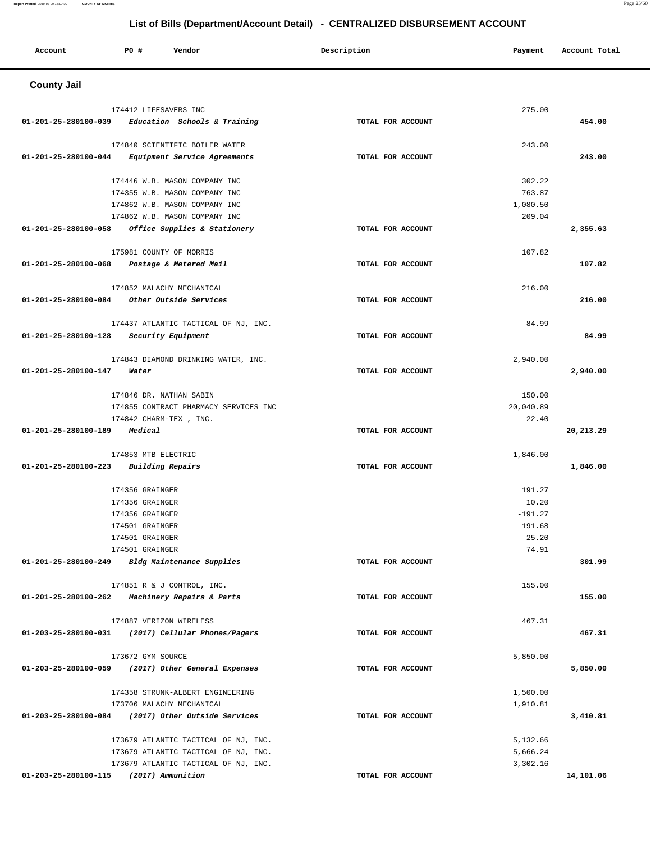**Report Printed** 2018-03-09 16:07:39 **COUNTY OF MORRIS** Page 25/60

# **List of Bills (Department/Account Detail) - CENTRALIZED DISBURSEMENT ACCOUNT**

| Account | P0 # | Vendor | Description | Payment | Account Total |
|---------|------|--------|-------------|---------|---------------|
| .       |      |        |             |         |               |

## **County Jail**

| 174412 LIFESAVERS INC                                                             |                   | 275.00    |           |
|-----------------------------------------------------------------------------------|-------------------|-----------|-----------|
| 01-201-25-280100-039<br>Education Schools & Training                              | TOTAL FOR ACCOUNT |           | 454.00    |
|                                                                                   |                   |           |           |
| 174840 SCIENTIFIC BOILER WATER                                                    |                   | 243.00    |           |
| 01-201-25-280100-044<br>Equipment Service Agreements                              | TOTAL FOR ACCOUNT |           | 243.00    |
|                                                                                   |                   |           |           |
| 174446 W.B. MASON COMPANY INC                                                     |                   | 302.22    |           |
| 174355 W.B. MASON COMPANY INC                                                     |                   | 763.87    |           |
| 174862 W.B. MASON COMPANY INC                                                     |                   | 1,080.50  |           |
| 174862 W.B. MASON COMPANY INC                                                     |                   | 209.04    |           |
| Office Supplies & Stationery<br>01-201-25-280100-058                              | TOTAL FOR ACCOUNT |           | 2,355.63  |
|                                                                                   |                   |           |           |
| 175981 COUNTY OF MORRIS                                                           |                   | 107.82    |           |
| 01-201-25-280100-068<br>Postage & Metered Mail                                    | TOTAL FOR ACCOUNT |           | 107.82    |
|                                                                                   |                   |           |           |
| 174852 MALACHY MECHANICAL                                                         |                   | 216.00    |           |
| 01-201-25-280100-084 Other Outside Services                                       | TOTAL FOR ACCOUNT |           | 216.00    |
|                                                                                   |                   |           |           |
| 174437 ATLANTIC TACTICAL OF NJ, INC.                                              |                   | 84.99     |           |
| 01-201-25-280100-128<br>Security Equipment                                        | TOTAL FOR ACCOUNT |           | 84.99     |
|                                                                                   |                   |           |           |
| 174843 DIAMOND DRINKING WATER, INC.                                               |                   | 2,940.00  |           |
| 01-201-25-280100-147<br>Water                                                     | TOTAL FOR ACCOUNT |           | 2,940.00  |
|                                                                                   |                   |           |           |
| 174846 DR. NATHAN SABIN                                                           |                   | 150.00    |           |
| 174855 CONTRACT PHARMACY SERVICES INC                                             |                   | 20,040.89 |           |
| 174842 CHARM-TEX, INC.                                                            |                   | 22.40     |           |
| Medical<br>01-201-25-280100-189                                                   | TOTAL FOR ACCOUNT |           | 20,213.29 |
|                                                                                   |                   |           |           |
| 174853 MTB ELECTRIC                                                               |                   | 1,846.00  |           |
| 01-201-25-280100-223<br>Building Repairs                                          | TOTAL FOR ACCOUNT |           | 1,846.00  |
|                                                                                   |                   |           |           |
| 174356 GRAINGER                                                                   |                   | 191.27    |           |
| 174356 GRAINGER                                                                   |                   | 10.20     |           |
| 174356 GRAINGER                                                                   |                   | $-191.27$ |           |
| 174501 GRAINGER                                                                   |                   | 191.68    |           |
| 174501 GRAINGER                                                                   |                   | 25.20     |           |
|                                                                                   |                   | 74.91     |           |
| 174501 GRAINGER                                                                   |                   |           |           |
| 01-201-25-280100-249<br>Bldg Maintenance Supplies                                 | TOTAL FOR ACCOUNT |           | 301.99    |
|                                                                                   |                   |           |           |
| 174851 R & J CONTROL, INC.                                                        |                   | 155.00    |           |
| 01-201-25-280100-262 Machinery Repairs & Parts                                    | TOTAL FOR ACCOUNT |           | 155.00    |
|                                                                                   |                   |           |           |
| 174887 VERIZON WIRELESS                                                           |                   | 467.31    |           |
| 01-203-25-280100-031 (2017) Cellular Phones/Pagers                                | TOTAL FOR ACCOUNT |           | 467.31    |
| 173672 GYM SOURCE                                                                 |                   |           |           |
| 01-203-25-280100-059<br>(2017) Other General Expenses                             |                   | 5,850.00  |           |
|                                                                                   | TOTAL FOR ACCOUNT |           | 5,850.00  |
|                                                                                   |                   |           |           |
| 174358 STRUNK-ALBERT ENGINEERING                                                  |                   | 1,500.00  |           |
| 173706 MALACHY MECHANICAL                                                         |                   | 1,910.81  |           |
| 01-203-25-280100-084 (2017) Other Outside Services                                | TOTAL FOR ACCOUNT |           | 3,410.81  |
|                                                                                   |                   |           |           |
| 173679 ATLANTIC TACTICAL OF NJ, INC.                                              |                   | 5,132.66  |           |
| 173679 ATLANTIC TACTICAL OF NJ, INC.                                              |                   | 5,666.24  |           |
| 173679 ATLANTIC TACTICAL OF NJ, INC.<br>(2017) Ammunition<br>01-203-25-280100-115 | TOTAL FOR ACCOUNT | 3,302.16  | 14,101.06 |
|                                                                                   |                   |           |           |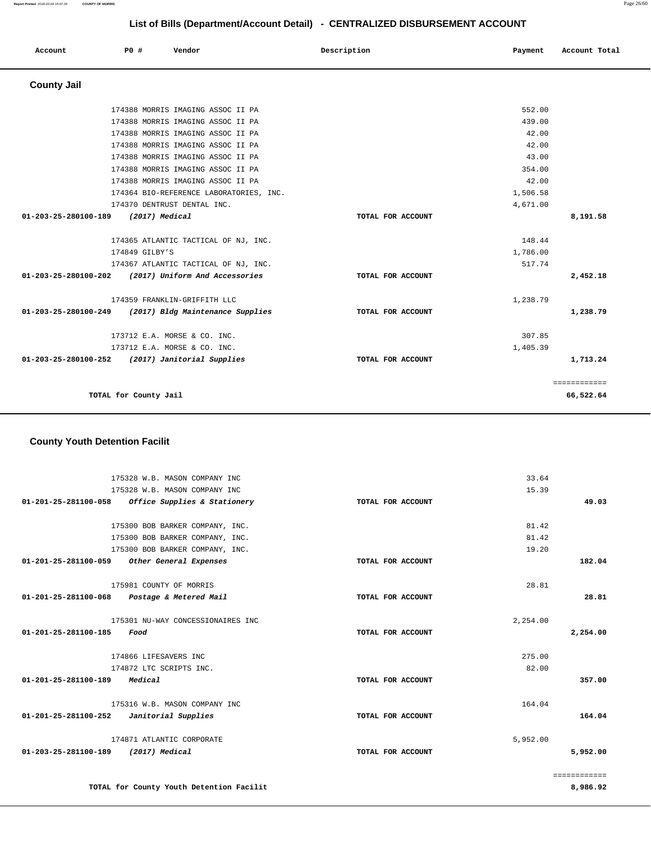**Report Printed** 2018-03-09 16:07:39 **COUNTY OF MORRIS** Page 26/60

## **List of Bills (Department/Account Detail) - CENTRALIZED DISBURSEMENT ACCOUNT**

| Account              | PO#                   | Vendor                                              | Description       | Payment  | Account Total             |
|----------------------|-----------------------|-----------------------------------------------------|-------------------|----------|---------------------------|
| <b>County Jail</b>   |                       |                                                     |                   |          |                           |
|                      |                       | 174388 MORRIS IMAGING ASSOC II PA                   |                   | 552.00   |                           |
|                      |                       | 174388 MORRIS IMAGING ASSOC II PA                   |                   | 439.00   |                           |
|                      |                       | 174388 MORRIS IMAGING ASSOC II PA                   |                   | 42.00    |                           |
|                      |                       | 174388 MORRIS IMAGING ASSOC II PA                   |                   | 42.00    |                           |
|                      |                       | 174388 MORRIS IMAGING ASSOC II PA                   |                   | 43.00    |                           |
|                      |                       | 174388 MORRIS IMAGING ASSOC II PA                   |                   | 354.00   |                           |
|                      |                       | 174388 MORRIS IMAGING ASSOC II PA                   |                   | 42.00    |                           |
|                      |                       | 174364 BIO-REFERENCE LABORATORIES, INC.             |                   | 1,506.58 |                           |
|                      |                       | 174370 DENTRUST DENTAL INC.                         |                   | 4,671.00 |                           |
| 01-203-25-280100-189 | (2017) Medical        |                                                     | TOTAL FOR ACCOUNT |          | 8,191.58                  |
|                      |                       | 174365 ATLANTIC TACTICAL OF NJ, INC.                |                   | 148.44   |                           |
|                      | 174849 GILBY'S        |                                                     |                   | 1,786.00 |                           |
|                      |                       | 174367 ATLANTIC TACTICAL OF NJ, INC.                |                   | 517.74   |                           |
|                      |                       | 01-203-25-280100-202 (2017) Uniform And Accessories | TOTAL FOR ACCOUNT |          | 2,452.18                  |
|                      |                       | 174359 FRANKLIN-GRIFFITH LLC                        |                   | 1,238.79 |                           |
| 01-203-25-280100-249 |                       | (2017) Bldg Maintenance Supplies                    | TOTAL FOR ACCOUNT |          | 1,238.79                  |
|                      |                       | 173712 E.A. MORSE & CO. INC.                        |                   | 307.85   |                           |
|                      |                       | 173712 E.A. MORSE & CO. INC.                        |                   | 1,405.39 |                           |
|                      |                       | 01-203-25-280100-252 (2017) Janitorial Supplies     | TOTAL FOR ACCOUNT |          | 1,713.24                  |
|                      | TOTAL for County Jail |                                                     |                   |          | ============<br>66,522.64 |

## **County Youth Detention Facilit**

| 175328 W.B. MASON COMPANY INC                     |                   | 33.64        |
|---------------------------------------------------|-------------------|--------------|
| 175328 W.B. MASON COMPANY INC                     |                   | 15.39        |
| 01-201-25-281100-058 Office Supplies & Stationery | TOTAL FOR ACCOUNT | 49.03        |
|                                                   |                   |              |
| 175300 BOB BARKER COMPANY, INC.                   |                   | 81.42        |
| 175300 BOB BARKER COMPANY, INC.                   |                   | 81.42        |
| 175300 BOB BARKER COMPANY, INC.                   |                   | 19.20        |
| 01-201-25-281100-059<br>Other General Expenses    | TOTAL FOR ACCOUNT | 182.04       |
| 175981 COUNTY OF MORRIS                           |                   | 28.81        |
| 01-201-25-281100-068 Postage & Metered Mail       | TOTAL FOR ACCOUNT | 28.81        |
| 175301 NU-WAY CONCESSIONAIRES INC                 |                   | 2,254.00     |
| 01-201-25-281100-185<br>Food                      | TOTAL FOR ACCOUNT | 2,254.00     |
|                                                   |                   |              |
| 174866 LIFESAVERS INC                             |                   | 275.00       |
| 174872 LTC SCRIPTS INC.                           |                   | 82.00        |
| 01-201-25-281100-189 Medical                      | TOTAL FOR ACCOUNT | 357.00       |
| 175316 W.B. MASON COMPANY INC                     |                   | 164.04       |
| 01-201-25-281100-252<br>Janitorial Supplies       | TOTAL FOR ACCOUNT | 164.04       |
| 174871 ATLANTIC CORPORATE                         |                   | 5,952.00     |
| 01-203-25-281100-189 (2017) Medical               | TOTAL FOR ACCOUNT | 5,952.00     |
|                                                   |                   | ============ |
| TOTAL for County Youth Detention Facilit          |                   | 8,986.92     |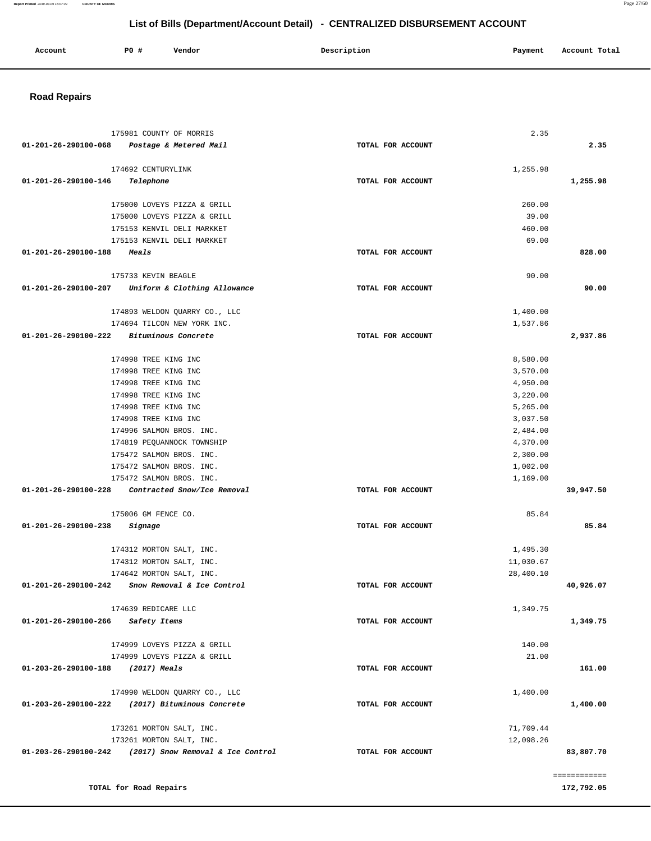**Report Printed** 2018-03-09 16:07:39 **COUNTY OF MORRIS** Page 27/60

# **List of Bills (Department/Account Detail) - CENTRALIZED DISBURSEMENT ACCOUNT**

| Account | P0 # | Vendor | Description   | Payment | Account Total |
|---------|------|--------|---------------|---------|---------------|
|         |      | .      | $\sim$ $\sim$ |         |               |
|         |      |        |               |         |               |

# **Road Repairs**

| 175981 COUNTY OF MORRIS                                   | 2.35              |              |
|-----------------------------------------------------------|-------------------|--------------|
| 01-201-26-290100-068 Postage & Metered Mail               | TOTAL FOR ACCOUNT | 2.35         |
|                                                           |                   |              |
| 174692 CENTURYLINK                                        | 1,255.98          |              |
| 01-201-26-290100-146<br>Telephone                         | TOTAL FOR ACCOUNT | 1,255.98     |
|                                                           |                   |              |
| 175000 LOVEYS PIZZA & GRILL                               | 260.00            |              |
| 175000 LOVEYS PIZZA & GRILL                               | 39.00             |              |
| 175153 KENVIL DELI MARKKET                                | 460.00            |              |
| 175153 KENVIL DELI MARKKET                                | 69.00             |              |
| 01-201-26-290100-188<br><i><b>Meals</b></i>               | TOTAL FOR ACCOUNT | 828.00       |
|                                                           |                   |              |
| 175733 KEVIN BEAGLE                                       | 90.00             |              |
| Uniform & Clothing Allowance<br>01-201-26-290100-207      | TOTAL FOR ACCOUNT | 90.00        |
|                                                           |                   |              |
| 174893 WELDON QUARRY CO., LLC                             | 1,400.00          |              |
| 174694 TILCON NEW YORK INC.                               | 1,537.86          |              |
| 01-201-26-290100-222<br><i>Bituminous Concrete</i>        | TOTAL FOR ACCOUNT | 2,937.86     |
|                                                           |                   |              |
| 174998 TREE KING INC                                      | 8,580.00          |              |
| 174998 TREE KING INC                                      | 3,570.00          |              |
| 174998 TREE KING INC                                      | 4,950.00          |              |
| 174998 TREE KING INC                                      | 3,220.00          |              |
| 174998 TREE KING INC                                      | 5,265.00          |              |
| 174998 TREE KING INC                                      | 3,037.50          |              |
| 174996 SALMON BROS. INC.                                  | 2,484.00          |              |
| 174819 PEQUANNOCK TOWNSHIP                                | 4,370.00          |              |
| 175472 SALMON BROS. INC.                                  | 2,300.00          |              |
| 175472 SALMON BROS. INC.                                  | 1,002.00          |              |
| 175472 SALMON BROS. INC.                                  | 1,169.00          |              |
| 01-201-26-290100-228<br>Contracted Snow/Ice Removal       | TOTAL FOR ACCOUNT | 39,947.50    |
|                                                           |                   |              |
| 175006 GM FENCE CO.                                       | 85.84             |              |
| 01-201-26-290100-238<br>Signage                           | TOTAL FOR ACCOUNT | 85.84        |
|                                                           |                   |              |
| 174312 MORTON SALT, INC.                                  | 1,495.30          |              |
| 174312 MORTON SALT, INC.                                  | 11,030.67         |              |
| 174642 MORTON SALT, INC.                                  | 28,400.10         |              |
| 01-201-26-290100-242<br>Snow Removal & Ice Control        | TOTAL FOR ACCOUNT | 40,926.07    |
|                                                           |                   |              |
| 174639 REDICARE LLC                                       | 1,349.75          |              |
| 01-201-26-290100-266<br>Safety Items                      | TOTAL FOR ACCOUNT | 1,349.75     |
|                                                           |                   |              |
| 174999 LOVEYS PIZZA & GRILL                               | 140.00            |              |
| 174999 LOVEYS PIZZA & GRILL                               | 21.00             |              |
| 01-203-26-290100-188<br>(2017) Meals                      | TOTAL FOR ACCOUNT | 161.00       |
|                                                           |                   |              |
| 174990 WELDON QUARRY CO., LLC                             | 1,400.00          |              |
| 01-203-26-290100-222<br>(2017) Bituminous Concrete        | TOTAL FOR ACCOUNT | 1,400.00     |
|                                                           |                   |              |
| 173261 MORTON SALT, INC.                                  | 71,709.44         |              |
| 173261 MORTON SALT, INC.                                  | 12,098.26         |              |
| 01-203-26-290100-242<br>(2017) Snow Removal & Ice Control | TOTAL FOR ACCOUNT | 83,807.70    |
|                                                           |                   |              |
|                                                           |                   | ============ |
| TOTAL for Road Repairs                                    |                   | 172,792.05   |
|                                                           |                   |              |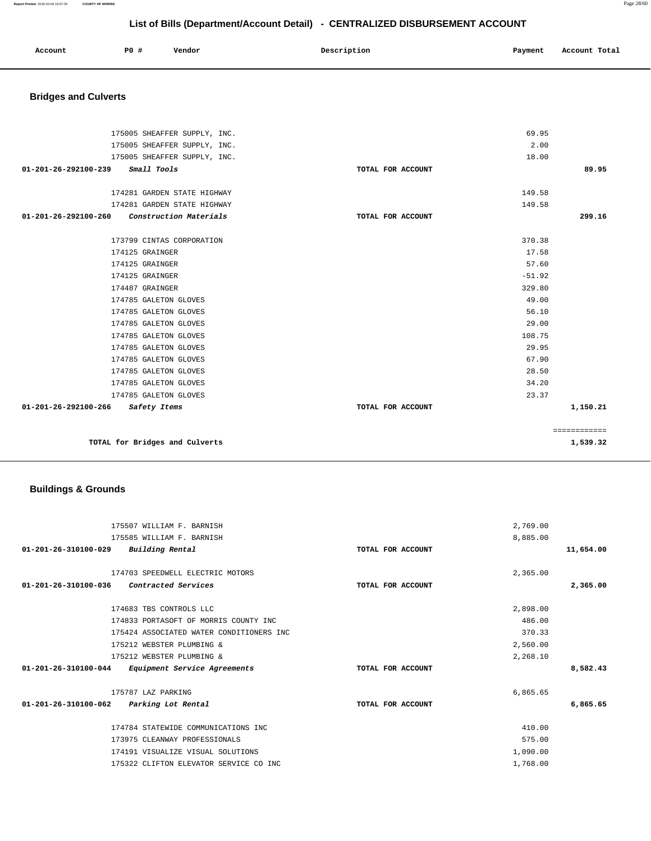**Report Printed** 2018-03-09 16:07:39 **COUNTY OF MORRIS** Page 28/60

# **List of Bills (Department/Account Detail) - CENTRALIZED DISBURSEMENT ACCOUNT**

| Account<br>. | P <sub>0</sub> | Vendor | Description | Payment | Account Total |
|--------------|----------------|--------|-------------|---------|---------------|
|              |                |        |             |         |               |

# **Bridges and Culverts**

| 175005 SHEAFFER SUPPLY, INC.                |                   | 69.95        |        |
|---------------------------------------------|-------------------|--------------|--------|
| 175005 SHEAFFER SUPPLY, INC.                |                   | 2.00         |        |
| 175005 SHEAFFER SUPPLY, INC.                |                   | 18.00        |        |
| Small Tools<br>01-201-26-292100-239         | TOTAL FOR ACCOUNT |              | 89.95  |
|                                             |                   |              |        |
| 174281 GARDEN STATE HIGHWAY                 |                   | 149.58       |        |
| 174281 GARDEN STATE HIGHWAY                 |                   | 149.58       |        |
| 01-201-26-292100-260 Construction Materials | TOTAL FOR ACCOUNT |              | 299.16 |
|                                             |                   |              |        |
| 173799 CINTAS CORPORATION                   |                   | 370.38       |        |
| 174125 GRAINGER                             |                   | 17.58        |        |
| 174125 GRAINGER                             |                   | 57.60        |        |
| 174125 GRAINGER                             |                   | $-51.92$     |        |
| 174487 GRAINGER                             |                   | 329.80       |        |
| 174785 GALETON GLOVES                       |                   | 49.00        |        |
| 174785 GALETON GLOVES                       |                   | 56.10        |        |
| 174785 GALETON GLOVES                       |                   | 29.00        |        |
| 174785 GALETON GLOVES                       |                   | 108.75       |        |
| 174785 GALETON GLOVES                       |                   | 29.95        |        |
| 174785 GALETON GLOVES                       |                   | 67.90        |        |
| 174785 GALETON GLOVES                       |                   | 28.50        |        |
| 174785 GALETON GLOVES                       |                   | 34.20        |        |
| 174785 GALETON GLOVES                       |                   | 23.37        |        |
| 01-201-26-292100-266<br>Safety Items        | TOTAL FOR ACCOUNT | 1,150.21     |        |
|                                             |                   |              |        |
|                                             |                   | ============ |        |
| TOTAL for Bridges and Culverts              |                   | 1,539.32     |        |
|                                             |                   |              |        |

# **Buildings & Grounds**

|                   | 2,769.00 |           |
|-------------------|----------|-----------|
|                   | 8,885.00 |           |
| TOTAL FOR ACCOUNT |          | 11,654.00 |
|                   |          |           |
|                   | 2,365.00 |           |
| TOTAL FOR ACCOUNT |          | 2,365.00  |
|                   | 2,898.00 |           |
|                   | 486.00   |           |
|                   | 370.33   |           |
|                   | 2,560.00 |           |
|                   | 2,268.10 |           |
| TOTAL FOR ACCOUNT |          | 8,582.43  |
|                   | 6,865.65 |           |
| TOTAL FOR ACCOUNT |          | 6,865.65  |
|                   | 410.00   |           |
|                   | 575.00   |           |
|                   | 1,090.00 |           |
|                   | 1,768.00 |           |
|                   |          |           |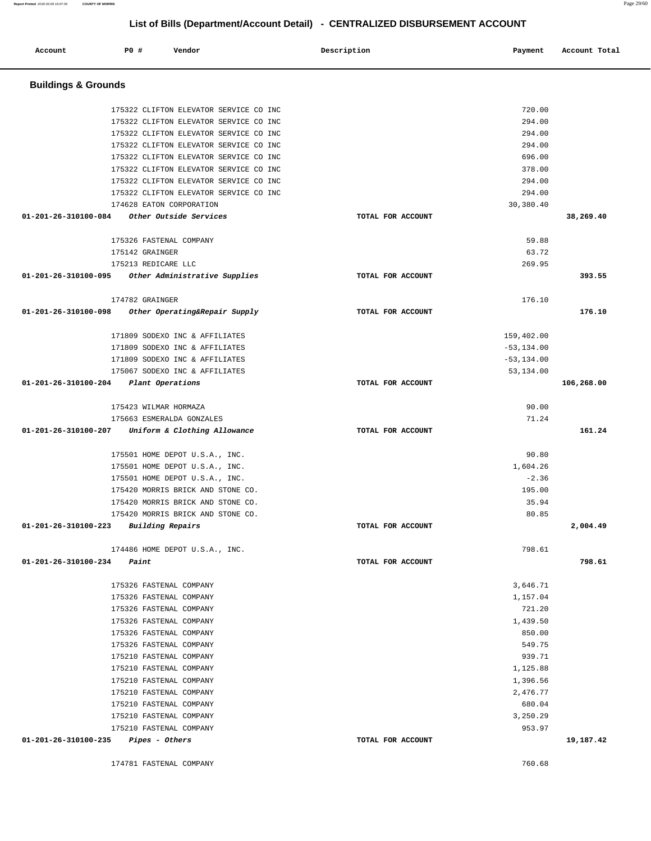|                                                 | 175322 CLIFTON ELEVATOR SERVICE CO INC             |                   | 294.00        |            |
|-------------------------------------------------|----------------------------------------------------|-------------------|---------------|------------|
|                                                 | 174628 EATON CORPORATION                           |                   | 30,380.40     |            |
|                                                 | $01-201-26-310100-084$ Other Outside Services      | TOTAL FOR ACCOUNT |               | 38,269.40  |
|                                                 | 175326 FASTENAL COMPANY                            |                   | 59.88         |            |
|                                                 | 175142 GRAINGER                                    |                   | 63.72         |            |
|                                                 | 175213 REDICARE LLC                                |                   | 269.95        |            |
|                                                 | 01-201-26-310100-095 Other Administrative Supplies | TOTAL FOR ACCOUNT |               | 393.55     |
|                                                 | 174782 GRAINGER                                    |                   | 176.10        |            |
|                                                 | 01-201-26-310100-098 Other Operating&Repair Supply | TOTAL FOR ACCOUNT |               | 176.10     |
|                                                 | 171809 SODEXO INC & AFFILIATES                     |                   | 159,402.00    |            |
|                                                 | 171809 SODEXO INC & AFFILIATES                     |                   | $-53, 134.00$ |            |
|                                                 | 171809 SODEXO INC & AFFILIATES                     |                   | $-53,134.00$  |            |
|                                                 | 175067 SODEXO INC & AFFILIATES                     |                   | 53,134.00     |            |
| 01-201-26-310100-204 Plant Operations           |                                                    | TOTAL FOR ACCOUNT |               | 106,268.00 |
|                                                 | 175423 WILMAR HORMAZA                              |                   | 90.00         |            |
|                                                 | 175663 ESMERALDA GONZALES                          |                   | 71.24         |            |
|                                                 | 01-201-26-310100-207 Uniform & Clothing Allowance  | TOTAL FOR ACCOUNT |               | 161.24     |
|                                                 | 175501 HOME DEPOT U.S.A., INC.                     |                   | 90.80         |            |
|                                                 | 175501 HOME DEPOT U.S.A., INC.                     |                   | 1,604.26      |            |
|                                                 | 175501 HOME DEPOT U.S.A., INC.                     |                   | $-2.36$       |            |
|                                                 | 175420 MORRIS BRICK AND STONE CO.                  |                   | 195.00        |            |
|                                                 | 175420 MORRIS BRICK AND STONE CO.                  |                   | 35.94         |            |
|                                                 | 175420 MORRIS BRICK AND STONE CO.                  |                   | 80.85         |            |
| $01 - 201 - 26 - 310100 - 223$ Building Repairs |                                                    | TOTAL FOR ACCOUNT |               | 2,004.49   |
|                                                 | 174486 HOME DEPOT U.S.A., INC.                     |                   | 798.61        |            |
| $01 - 201 - 26 - 310100 - 234$ Paint            |                                                    | TOTAL FOR ACCOUNT |               | 798.61     |
|                                                 | 175326 FASTENAL COMPANY                            |                   | 3,646.71      |            |
|                                                 | 175326 FASTENAL COMPANY                            |                   | 1,157.04      |            |
|                                                 | 175326 FASTENAL COMPANY                            |                   | 721.20        |            |
|                                                 | 175326 FASTENAL COMPANY                            |                   | 1,439.50      |            |
|                                                 | 175326 FASTENAL COMPANY                            |                   | 850.00        |            |
|                                                 | 175326 FASTENAL COMPANY                            |                   | 549.75        |            |
|                                                 | 175210 FASTENAL COMPANY                            |                   | 939.71        |            |
|                                                 | 175210 FASTENAL COMPANY                            |                   | 1,125.88      |            |
|                                                 | 175210 FASTENAL COMPANY                            |                   | 1,396.56      |            |
|                                                 | 175210 FASTENAL COMPANY                            |                   | 2,476.77      |            |
|                                                 | 175210 FASTENAL COMPANY                            |                   | 680.04        |            |
|                                                 | 175210 FASTENAL COMPANY                            |                   | 3,250.29      |            |
|                                                 | 175210 FASTENAL COMPANY                            |                   | 953.97        |            |
| $01 - 201 - 26 - 310100 - 235$ Pipes - Others   |                                                    | TOTAL FOR ACCOUNT |               | 19,187.42  |
|                                                 | 174781 FASTENAL COMPANY                            |                   | 760.68        |            |
|                                                 |                                                    |                   |               |            |

 **Account P0 # Vendor Description Payment Account Total** 

**Buildings & Grounds** 

175322 CLIFTON ELEVATOR SERVICE CO INC 175322 CLIFTON ELEVATOR SERVICE CO INC 175322 CLIFTON ELEVATOR SERVICE CO INC 175322 CLIFTON ELEVATOR SERVICE CO INC 175322 CLIFTON ELEVATOR SERVICE CO INC 175322 CLIFTON ELEVATOR SERVICE CO INC 175322 CLIFTON ELEVATOR SERVICE CO INC

**Report Printed** 2018-03-09 16:07:39 **COUNTY OF MORRIS** Page 29/60

720.00 294.00 294.00 294.00 696.00 378.00 294.00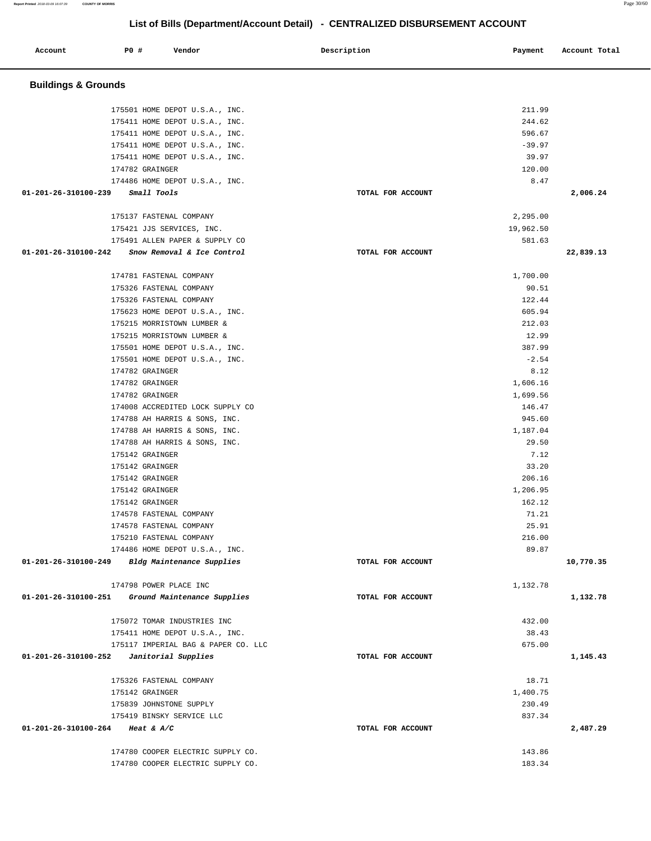#### **Report Printed** 2018-03-09 16:07:39 **COUNTY OF MORRIS** Page 30/60

# **List of Bills (Department/Account Detail) - CENTRALIZED DISBURSEMENT ACCOUNT**

| Account                                    | P0 # | Vendor                                                    | Description       | Payment         | Account Total |
|--------------------------------------------|------|-----------------------------------------------------------|-------------------|-----------------|---------------|
| <b>Buildings &amp; Grounds</b>             |      |                                                           |                   |                 |               |
|                                            |      | 175501 HOME DEPOT U.S.A., INC.                            |                   | 211.99          |               |
|                                            |      | 175411 HOME DEPOT U.S.A., INC.                            |                   | 244.62          |               |
|                                            |      | 175411 HOME DEPOT U.S.A., INC.                            |                   | 596.67          |               |
|                                            |      | 175411 HOME DEPOT U.S.A., INC.                            |                   | $-39.97$        |               |
|                                            |      | 175411 HOME DEPOT U.S.A., INC.                            |                   | 39.97           |               |
|                                            |      | 174782 GRAINGER                                           |                   | 120.00          |               |
|                                            |      | 174486 HOME DEPOT U.S.A., INC.                            |                   | 8.47            |               |
| 01-201-26-310100-239                       |      | Small Tools                                               | TOTAL FOR ACCOUNT |                 | 2,006.24      |
|                                            |      | 175137 FASTENAL COMPANY                                   |                   | 2,295.00        |               |
|                                            |      | 175421 JJS SERVICES, INC.                                 |                   | 19,962.50       |               |
|                                            |      | 175491 ALLEN PAPER & SUPPLY CO                            |                   | 581.63          |               |
| 01-201-26-310100-242                       |      | Snow Removal & Ice Control                                | TOTAL FOR ACCOUNT |                 | 22,839.13     |
|                                            |      | 174781 FASTENAL COMPANY                                   |                   | 1,700.00        |               |
|                                            |      | 175326 FASTENAL COMPANY                                   |                   | 90.51           |               |
|                                            |      | 175326 FASTENAL COMPANY                                   |                   | 122.44          |               |
|                                            |      | 175623 HOME DEPOT U.S.A., INC.                            |                   | 605.94          |               |
|                                            |      | 175215 MORRISTOWN LUMBER &                                |                   | 212.03          |               |
|                                            |      | 175215 MORRISTOWN LUMBER &                                |                   | 12.99           |               |
|                                            |      | 175501 HOME DEPOT U.S.A., INC.                            |                   | 387.99          |               |
|                                            |      | 175501 HOME DEPOT U.S.A., INC.                            |                   | $-2.54$         |               |
|                                            |      | 174782 GRAINGER                                           |                   | 8.12            |               |
|                                            |      | 174782 GRAINGER                                           |                   | 1,606.16        |               |
|                                            |      | 174782 GRAINGER                                           |                   | 1,699.56        |               |
|                                            |      | 174008 ACCREDITED LOCK SUPPLY CO                          |                   | 146.47          |               |
|                                            |      | 174788 AH HARRIS & SONS, INC.                             |                   | 945.60          |               |
|                                            |      | 174788 AH HARRIS & SONS, INC.                             |                   | 1,187.04        |               |
|                                            |      | 174788 AH HARRIS & SONS, INC.                             |                   | 29.50           |               |
|                                            |      | 175142 GRAINGER                                           |                   | 7.12            |               |
|                                            |      | 175142 GRAINGER                                           |                   | 33.20           |               |
|                                            |      | 175142 GRAINGER                                           |                   | 206.16          |               |
|                                            |      | 175142 GRAINGER                                           |                   | 1,206.95        |               |
|                                            |      | 175142 GRAINGER                                           |                   | 162.12          |               |
|                                            |      | 174578 FASTENAL COMPANY                                   |                   | 71.21           |               |
|                                            |      | 174578 FASTENAL COMPANY                                   |                   | 25.91<br>216.00 |               |
|                                            |      | 175210 FASTENAL COMPANY<br>174486 HOME DEPOT U.S.A., INC. |                   | 89.87           |               |
|                                            |      | 01-201-26-310100-249 Bldg Maintenance Supplies            | TOTAL FOR ACCOUNT |                 | 10,770.35     |
|                                            |      | 174798 POWER PLACE INC                                    |                   | 1,132.78        |               |
|                                            |      | 01-201-26-310100-251 Ground Maintenance Supplies          | TOTAL FOR ACCOUNT |                 | 1,132.78      |
|                                            |      | 175072 TOMAR INDUSTRIES INC                               |                   | 432.00          |               |
|                                            |      | 175411 HOME DEPOT U.S.A., INC.                            |                   | 38.43           |               |
|                                            |      | 175117 IMPERIAL BAG & PAPER CO. LLC                       |                   | 675.00          |               |
| $01-201-26-310100-252$ Janitorial Supplies |      |                                                           | TOTAL FOR ACCOUNT |                 | 1,145.43      |
|                                            |      |                                                           |                   |                 |               |
|                                            |      | 175326 FASTENAL COMPANY                                   |                   | 18.71           |               |
|                                            |      | 175142 GRAINGER                                           |                   | 1,400.75        |               |
|                                            |      | 175839 JOHNSTONE SUPPLY                                   |                   | 230.49          |               |
|                                            |      | 175419 BINSKY SERVICE LLC                                 |                   | 837.34          |               |
| 01-201-26-310100-264 Heat & A/C            |      |                                                           | TOTAL FOR ACCOUNT |                 | 2,487.29      |
|                                            |      | 174780 COOPER ELECTRIC SUPPLY CO.                         |                   | 143.86          |               |
|                                            |      | 174780 COOPER ELECTRIC SUPPLY CO.                         |                   | 183.34          |               |
|                                            |      |                                                           |                   |                 |               |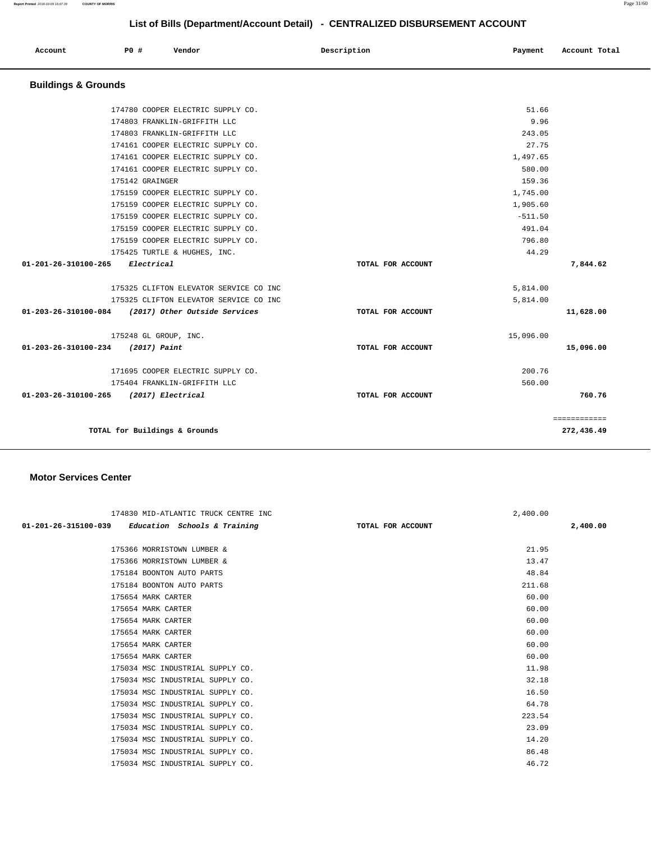**Report Printed** 2018-03-09 16:07:39 **COUNTY OF MORRIS** Page 31/60

# **List of Bills (Department/Account Detail) - CENTRALIZED DISBURSEMENT ACCOUNT**

| Account                        | PO# | Vendor | Description | Payment | Account Total |
|--------------------------------|-----|--------|-------------|---------|---------------|
| <b>Buildings &amp; Grounds</b> |     |        |             |         |               |

|                                                    | 174780 COOPER ELECTRIC SUPPLY CO.      |                   | 51.66     |              |
|----------------------------------------------------|----------------------------------------|-------------------|-----------|--------------|
|                                                    | 174803 FRANKLIN-GRIFFITH LLC           |                   | 9.96      |              |
|                                                    | 174803 FRANKLIN-GRIFFITH LLC           |                   | 243.05    |              |
|                                                    | 174161 COOPER ELECTRIC SUPPLY CO.      |                   | 27.75     |              |
|                                                    | 174161 COOPER ELECTRIC SUPPLY CO.      |                   | 1,497.65  |              |
|                                                    | 174161 COOPER ELECTRIC SUPPLY CO.      |                   | 580.00    |              |
|                                                    | 175142 GRAINGER                        |                   | 159.36    |              |
|                                                    | 175159 COOPER ELECTRIC SUPPLY CO.      |                   | 1,745.00  |              |
|                                                    | 175159 COOPER ELECTRIC SUPPLY CO.      |                   | 1,905.60  |              |
|                                                    | 175159 COOPER ELECTRIC SUPPLY CO.      |                   | $-511.50$ |              |
|                                                    | 175159 COOPER ELECTRIC SUPPLY CO.      |                   | 491.04    |              |
|                                                    | 175159 COOPER ELECTRIC SUPPLY CO.      |                   | 796.80    |              |
|                                                    | 175425 TURTLE & HUGHES, INC.           |                   | 44.29     |              |
| 01-201-26-310100-265 Electrical                    |                                        | TOTAL FOR ACCOUNT |           | 7,844.62     |
|                                                    |                                        |                   |           |              |
|                                                    | 175325 CLIFTON ELEVATOR SERVICE CO INC |                   | 5,814.00  |              |
|                                                    | 175325 CLIFTON ELEVATOR SERVICE CO INC |                   | 5,814.00  |              |
| 01-203-26-310100-084 (2017) Other Outside Services |                                        | TOTAL FOR ACCOUNT |           | 11,628.00    |
|                                                    | 175248 GL GROUP, INC.                  |                   | 15,096.00 |              |
| 01-203-26-310100-234 (2017) Paint                  |                                        | TOTAL FOR ACCOUNT |           | 15,096.00    |
|                                                    | 171695 COOPER ELECTRIC SUPPLY CO.      |                   | 200.76    |              |
|                                                    | 175404 FRANKLIN-GRIFFITH LLC           |                   | 560.00    |              |
| 01-203-26-310100-265 (2017) Electrical             |                                        | TOTAL FOR ACCOUNT |           | 760.76       |
|                                                    |                                        |                   |           | ============ |
|                                                    | TOTAL for Buildings & Grounds          |                   |           | 272,436.49   |
|                                                    |                                        |                   |           |              |

### **Motor Services Center**

|                                                   | 174830 MID-ATLANTIC TRUCK CENTRE INC | 2,400.00          |          |
|---------------------------------------------------|--------------------------------------|-------------------|----------|
| 01-201-26-315100-039 Education Schools & Training |                                      | TOTAL FOR ACCOUNT | 2,400.00 |
|                                                   |                                      |                   |          |
|                                                   | 175366 MORRISTOWN LUMBER &           | 21.95             |          |
|                                                   | 175366 MORRISTOWN LUMBER &           | 13.47             |          |
| 175184 BOONTON AUTO PARTS                         |                                      | 48.84             |          |
| 175184 BOONTON AUTO PARTS                         |                                      | 211.68            |          |
| 175654 MARK CARTER                                |                                      | 60.00             |          |
| 175654 MARK CARTER                                |                                      | 60.00             |          |
| 175654 MARK CARTER                                |                                      | 60.00             |          |
| 175654 MARK CARTER                                |                                      | 60.00             |          |
| 175654 MARK CARTER                                |                                      | 60.00             |          |
| 175654 MARK CARTER                                |                                      | 60.00             |          |
|                                                   | 175034 MSC INDUSTRIAL SUPPLY CO.     | 11.98             |          |
|                                                   | 175034 MSC INDUSTRIAL SUPPLY CO.     | 32.18             |          |
|                                                   | 175034 MSC INDUSTRIAL SUPPLY CO.     | 16.50             |          |
|                                                   | 175034 MSC INDUSTRIAL SUPPLY CO.     | 64.78             |          |
|                                                   | 175034 MSC INDUSTRIAL SUPPLY CO.     | 223.54            |          |
|                                                   | 175034 MSC INDUSTRIAL SUPPLY CO.     | 23.09             |          |
|                                                   | 175034 MSC INDUSTRIAL SUPPLY CO.     | 14.20             |          |
|                                                   | 175034 MSC INDUSTRIAL SUPPLY CO.     | 86.48             |          |
|                                                   | 175034 MSC INDUSTRIAL SUPPLY CO.     | 46.72             |          |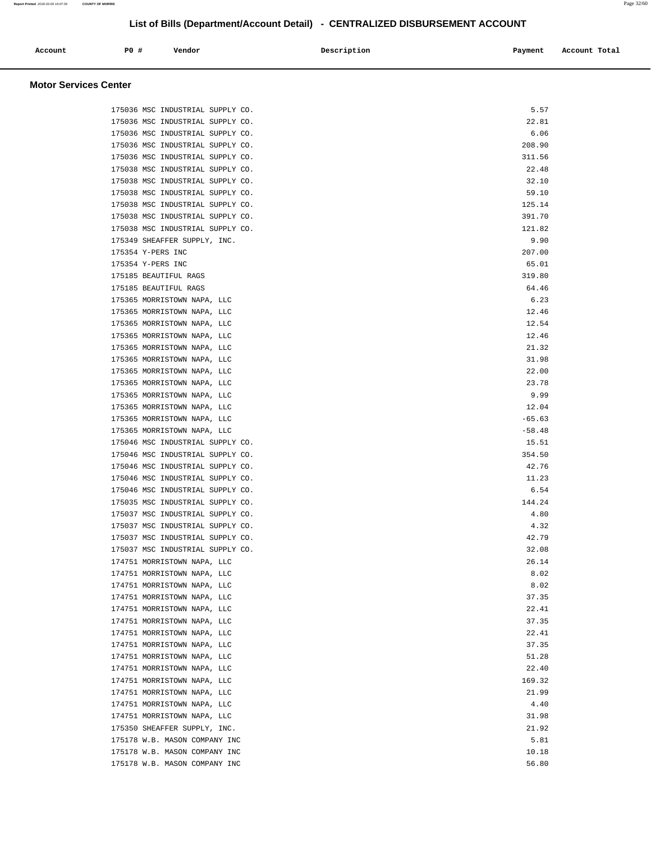| Account | PO# | Vendor | Description | Payment | Account Total |
|---------|-----|--------|-------------|---------|---------------|
|         |     |        |             |         |               |

## **Motor Services Center**

| 175036 MSC INDUSTRIAL SUPPLY CO. | 5.57     |
|----------------------------------|----------|
| 175036 MSC INDUSTRIAL SUPPLY CO. | 22.81    |
| 175036 MSC INDUSTRIAL SUPPLY CO. | 6.06     |
| 175036 MSC INDUSTRIAL SUPPLY CO. | 208.90   |
| 175036 MSC INDUSTRIAL SUPPLY CO. | 311.56   |
| 175038 MSC INDUSTRIAL SUPPLY CO. | 22.48    |
| 175038 MSC INDUSTRIAL SUPPLY CO. | 32.10    |
| 175038 MSC INDUSTRIAL SUPPLY CO. | 59.10    |
| 175038 MSC INDUSTRIAL SUPPLY CO. | 125.14   |
| 175038 MSC INDUSTRIAL SUPPLY CO. | 391.70   |
| 175038 MSC INDUSTRIAL SUPPLY CO. | 121.82   |
| 175349 SHEAFFER SUPPLY, INC.     | 9.90     |
| 175354 Y-PERS INC                | 207.00   |
| 175354 Y-PERS INC                | 65.01    |
| 175185 BEAUTIFUL RAGS            | 319.80   |
| 175185 BEAUTIFUL RAGS            | 64.46    |
| 175365 MORRISTOWN NAPA, LLC      | 6.23     |
| 175365 MORRISTOWN NAPA, LLC      | 12.46    |
| 175365 MORRISTOWN NAPA, LLC      | 12.54    |
| 175365 MORRISTOWN NAPA, LLC      | 12.46    |
| 175365 MORRISTOWN NAPA, LLC      | 21.32    |
| 175365 MORRISTOWN NAPA, LLC      | 31.98    |
| 175365 MORRISTOWN NAPA, LLC      | 22.00    |
| 175365 MORRISTOWN NAPA, LLC      | 23.78    |
| 175365 MORRISTOWN NAPA, LLC      | 9.99     |
| 175365 MORRISTOWN NAPA, LLC      | 12.04    |
| 175365 MORRISTOWN NAPA, LLC      | $-65.63$ |
| 175365 MORRISTOWN NAPA, LLC      | $-58.48$ |
| 175046 MSC INDUSTRIAL SUPPLY CO. | 15.51    |
| 175046 MSC INDUSTRIAL SUPPLY CO. | 354.50   |
| 175046 MSC INDUSTRIAL SUPPLY CO. | 42.76    |
| 175046 MSC INDUSTRIAL SUPPLY CO. | 11.23    |
| 175046 MSC INDUSTRIAL SUPPLY CO. | 6.54     |
| 175035 MSC INDUSTRIAL SUPPLY CO. | 144.24   |
| 175037 MSC INDUSTRIAL SUPPLY CO. | 4.80     |
| 175037 MSC INDUSTRIAL SUPPLY CO. | 4.32     |
| 175037 MSC INDUSTRIAL SUPPLY CO. | 42.79    |
| 175037 MSC INDUSTRIAL SUPPLY CO. | 32.08    |
| 174751 MORRISTOWN NAPA, LLC      | 26.14    |
| 174751 MORRISTOWN NAPA, LLC      | 8.02     |
| 174751 MORRISTOWN NAPA, LLC      | 8.02     |
| 174751 MORRISTOWN NAPA, LLC      | 37.35    |
| 174751 MORRISTOWN NAPA, LLC      | 22.41    |
| 174751 MORRISTOWN NAPA, LLC      | 37.35    |
| 174751 MORRISTOWN NAPA, LLC      | 22.41    |
| 174751 MORRISTOWN NAPA, LLC      | 37.35    |
| 174751 MORRISTOWN NAPA, LLC      | 51.28    |
| 174751 MORRISTOWN NAPA, LLC      | 22.40    |
| 174751 MORRISTOWN NAPA, LLC      | 169.32   |
| 174751 MORRISTOWN NAPA, LLC      | 21.99    |
| 174751 MORRISTOWN NAPA, LLC      | 4.40     |
| 174751 MORRISTOWN NAPA, LLC      | 31.98    |
| 175350 SHEAFFER SUPPLY, INC.     | 21.92    |
| 175178 W.B. MASON COMPANY INC    | 5.81     |
| 175178 W.B. MASON COMPANY INC    | 10.18    |
| 175178 W.B. MASON COMPANY INC    | 56.80    |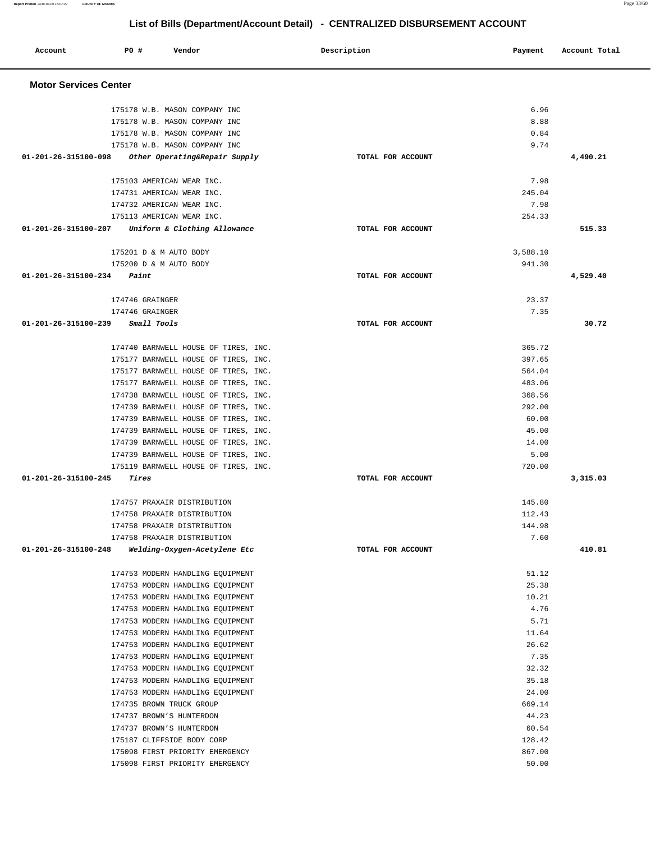| Account                      | <b>PO #</b><br>Vendor                                                                                                            | Description       | Payment                      | Account Total |
|------------------------------|----------------------------------------------------------------------------------------------------------------------------------|-------------------|------------------------------|---------------|
| <b>Motor Services Center</b> |                                                                                                                                  |                   |                              |               |
|                              | 175178 W.B. MASON COMPANY INC<br>175178 W.B. MASON COMPANY INC<br>175178 W.B. MASON COMPANY INC<br>175178 W.B. MASON COMPANY INC |                   | 6.96<br>8.88<br>0.84<br>9.74 |               |
| 01-201-26-315100-098         | Other Operating&Repair Supply                                                                                                    | TOTAL FOR ACCOUNT |                              | 4,490.21      |
|                              | 175103 AMERICAN WEAR INC.<br>174731 AMERICAN WEAR INC.<br>174732 AMERICAN WEAR INC.                                              |                   | 7.98<br>245.04<br>7.98       |               |
| 01-201-26-315100-207         | 175113 AMERICAN WEAR INC.<br>Uniform & Clothing Allowance                                                                        | TOTAL FOR ACCOUNT | 254.33                       | 515.33        |
|                              | 175201 D & M AUTO BODY                                                                                                           |                   | 3,588.10                     |               |
| 01-201-26-315100-234         | 175200 D & M AUTO BODY<br>Paint                                                                                                  | TOTAL FOR ACCOUNT | 941.30                       | 4,529.40      |
|                              |                                                                                                                                  |                   |                              |               |
|                              | 174746 GRAINGER                                                                                                                  |                   | 23.37                        |               |
|                              | 174746 GRAINGER                                                                                                                  |                   | 7.35                         |               |
| 01-201-26-315100-239         | Small Tools                                                                                                                      | TOTAL FOR ACCOUNT |                              | 30.72         |
|                              | 174740 BARNWELL HOUSE OF TIRES, INC.<br>175177 BARNWELL HOUSE OF TIRES, INC.                                                     |                   | 365.72<br>397.65             |               |
|                              | 175177 BARNWELL HOUSE OF TIRES, INC.                                                                                             |                   | 564.04                       |               |
|                              | 175177 BARNWELL HOUSE OF TIRES, INC.                                                                                             |                   | 483.06                       |               |
|                              | 174738 BARNWELL HOUSE OF TIRES, INC.                                                                                             |                   | 368.56                       |               |
|                              | 174739 BARNWELL HOUSE OF TIRES, INC.                                                                                             |                   | 292.00                       |               |
|                              | 174739 BARNWELL HOUSE OF TIRES, INC.                                                                                             |                   | 60.00                        |               |
|                              | 174739 BARNWELL HOUSE OF TIRES, INC.                                                                                             |                   | 45.00                        |               |
|                              | 174739 BARNWELL HOUSE OF TIRES, INC.                                                                                             |                   | 14.00                        |               |
|                              | 174739 BARNWELL HOUSE OF TIRES, INC.                                                                                             |                   | 5.00                         |               |
| 01-201-26-315100-245         | 175119 BARNWELL HOUSE OF TIRES, INC.<br>Tires                                                                                    | TOTAL FOR ACCOUNT | 720.00                       | 3,315.03      |
|                              |                                                                                                                                  |                   |                              |               |
|                              | 174757 PRAXAIR DISTRIBUTION                                                                                                      |                   | 145.80                       |               |
|                              | 174758 PRAXAIR DISTRIBUTION                                                                                                      |                   | 112.43                       |               |
|                              | 174758 PRAXAIR DISTRIBUTION                                                                                                      |                   | 144.98                       |               |
|                              | 174758 PRAXAIR DISTRIBUTION                                                                                                      |                   | 7.60                         |               |
| 01-201-26-315100-248         | Welding-Oxygen-Acetylene Etc                                                                                                     | TOTAL FOR ACCOUNT |                              | 410.81        |
|                              | 174753 MODERN HANDLING EQUIPMENT                                                                                                 |                   | 51.12                        |               |
|                              | 174753 MODERN HANDLING EQUIPMENT                                                                                                 |                   | 25.38                        |               |
|                              | 174753 MODERN HANDLING EQUIPMENT                                                                                                 |                   | 10.21                        |               |
|                              | 174753 MODERN HANDLING EQUIPMENT                                                                                                 |                   | 4.76                         |               |
|                              | 174753 MODERN HANDLING EQUIPMENT                                                                                                 |                   | 5.71                         |               |
|                              | 174753 MODERN HANDLING EQUIPMENT                                                                                                 |                   | 11.64                        |               |
|                              | 174753 MODERN HANDLING EQUIPMENT                                                                                                 |                   | 26.62                        |               |
|                              | 174753 MODERN HANDLING EQUIPMENT                                                                                                 |                   | 7.35                         |               |
|                              | 174753 MODERN HANDLING EQUIPMENT                                                                                                 |                   | 32.32                        |               |
|                              | 174753 MODERN HANDLING EQUIPMENT                                                                                                 |                   | 35.18                        |               |
|                              | 174753 MODERN HANDLING EQUIPMENT                                                                                                 |                   | 24.00                        |               |
|                              | 174735 BROWN TRUCK GROUP                                                                                                         |                   | 669.14                       |               |
|                              | 174737 BROWN'S HUNTERDON                                                                                                         |                   | 44.23                        |               |
|                              | 174737 BROWN'S HUNTERDON                                                                                                         |                   | 60.54                        |               |
|                              | 175187 CLIFFSIDE BODY CORP                                                                                                       |                   | 128.42                       |               |
|                              | 175098 FIRST PRIORITY EMERGENCY                                                                                                  |                   | 867.00                       |               |
|                              | 175098 FIRST PRIORITY EMERGENCY                                                                                                  |                   | 50.00                        |               |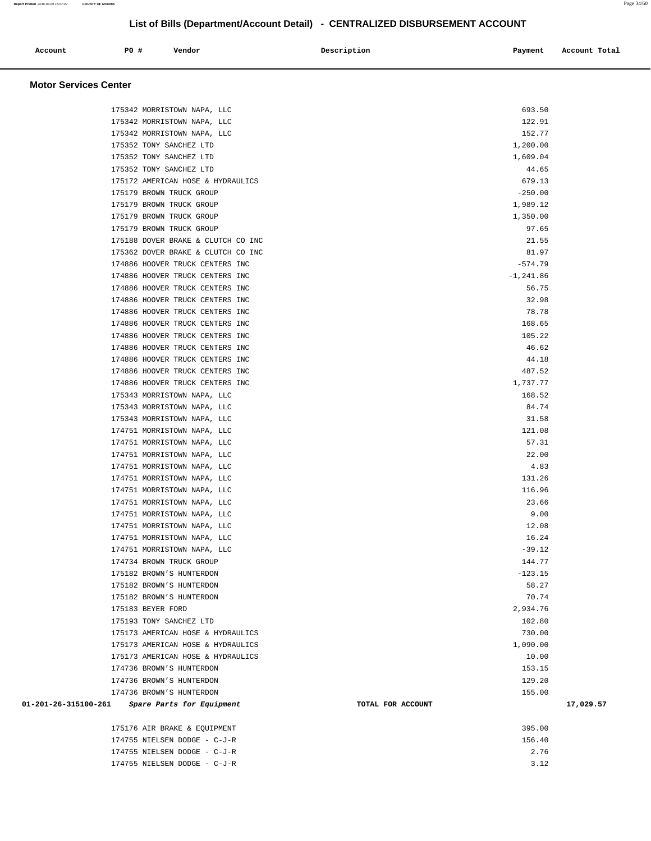| Account | P0 # | Vendor | Description | Payment | Account Total |
|---------|------|--------|-------------|---------|---------------|
|         |      |        |             |         |               |

#### **Motor Services Center**

|                      | 175342 MORRISTOWN NAPA, LLC                          | 693.50            |           |
|----------------------|------------------------------------------------------|-------------------|-----------|
|                      | 175342 MORRISTOWN NAPA, LLC                          | 122.91            |           |
|                      | 175342 MORRISTOWN NAPA, LLC                          | 152.77            |           |
|                      | 175352 TONY SANCHEZ LTD                              | 1,200.00          |           |
|                      | 175352 TONY SANCHEZ LTD                              | 1,609.04          |           |
|                      | 175352 TONY SANCHEZ LTD                              | 44.65             |           |
|                      | 175172 AMERICAN HOSE & HYDRAULICS                    | 679.13            |           |
|                      | 175179 BROWN TRUCK GROUP                             | $-250.00$         |           |
|                      | 175179 BROWN TRUCK GROUP                             | 1,989.12          |           |
|                      | 175179 BROWN TRUCK GROUP                             | 1,350.00          |           |
|                      | 175179 BROWN TRUCK GROUP                             | 97.65             |           |
|                      | 175188 DOVER BRAKE & CLUTCH CO INC                   | 21.55             |           |
|                      | 175362 DOVER BRAKE & CLUTCH CO INC                   | 81.97             |           |
|                      | 174886 HOOVER TRUCK CENTERS INC                      | $-574.79$         |           |
|                      | 174886 HOOVER TRUCK CENTERS INC                      | $-1, 241.86$      |           |
|                      | 174886 HOOVER TRUCK CENTERS INC                      | 56.75             |           |
|                      | 174886 HOOVER TRUCK CENTERS INC                      | 32.98             |           |
|                      | 174886 HOOVER TRUCK CENTERS INC                      | 78.78             |           |
|                      | 174886 HOOVER TRUCK CENTERS INC                      | 168.65            |           |
|                      | 174886 HOOVER TRUCK CENTERS INC                      | 105.22            |           |
|                      | 174886 HOOVER TRUCK CENTERS INC                      | 46.62             |           |
|                      | 174886 HOOVER TRUCK CENTERS INC                      | 44.18             |           |
|                      | 174886 HOOVER TRUCK CENTERS INC                      | 487.52            |           |
|                      | 174886 HOOVER TRUCK CENTERS INC                      | 1,737.77          |           |
|                      | 175343 MORRISTOWN NAPA, LLC                          | 168.52            |           |
|                      | 175343 MORRISTOWN NAPA, LLC                          | 84.74             |           |
|                      | 175343 MORRISTOWN NAPA, LLC                          | 31.58             |           |
|                      | 174751 MORRISTOWN NAPA, LLC                          | 121.08            |           |
|                      | 174751 MORRISTOWN NAPA, LLC                          | 57.31             |           |
|                      | 174751 MORRISTOWN NAPA, LLC                          | 22.00             |           |
|                      | 174751 MORRISTOWN NAPA, LLC                          | 4.83              |           |
|                      | 174751 MORRISTOWN NAPA, LLC                          | 131.26            |           |
|                      | 174751 MORRISTOWN NAPA, LLC                          | 116.96            |           |
|                      | 174751 MORRISTOWN NAPA, LLC                          | 23.66             |           |
|                      | 174751 MORRISTOWN NAPA, LLC                          | 9.00              |           |
|                      | 174751 MORRISTOWN NAPA, LLC                          | 12.08             |           |
|                      | 174751 MORRISTOWN NAPA, LLC                          | 16.24             |           |
|                      | 174751 MORRISTOWN NAPA, LLC                          | $-39.12$          |           |
|                      | 174734 BROWN TRUCK GROUP                             | 144.77            |           |
|                      | 175182 BROWN'S HUNTERDON                             | $-123.15$         |           |
|                      | 175182 BROWN'S HUNTERDON                             | 58.27             |           |
|                      | 175182 BROWN'S HUNTERDON                             | 70.74             |           |
|                      | 175183 BEYER FORD                                    | 2,934.76          |           |
|                      | 175193 TONY SANCHEZ LTD                              | 102.80            |           |
|                      | 175173 AMERICAN HOSE & HYDRAULICS                    | 730.00            |           |
|                      | 175173 AMERICAN HOSE & HYDRAULICS                    | 1,090.00          |           |
|                      | 175173 AMERICAN HOSE & HYDRAULICS                    | 10.00             |           |
|                      | 174736 BROWN'S HUNTERDON<br>174736 BROWN'S HUNTERDON | 153.15<br>129.20  |           |
|                      | 174736 BROWN'S HUNTERDON                             | 155.00            |           |
| 01-201-26-315100-261 | Spare Parts for Equipment                            | TOTAL FOR ACCOUNT | 17,029.57 |
|                      |                                                      |                   |           |
|                      | 175176 AIR BRAKE & EQUIPMENT                         | 395.00            |           |
|                      | 174755 NIELSEN DODGE - C-J-R                         | 156.40            |           |
|                      | 174755 NIELSEN DODGE - C-J-R                         | 2.76              |           |
|                      | 174755 NIELSEN DODGE - C-J-R                         | 3.12              |           |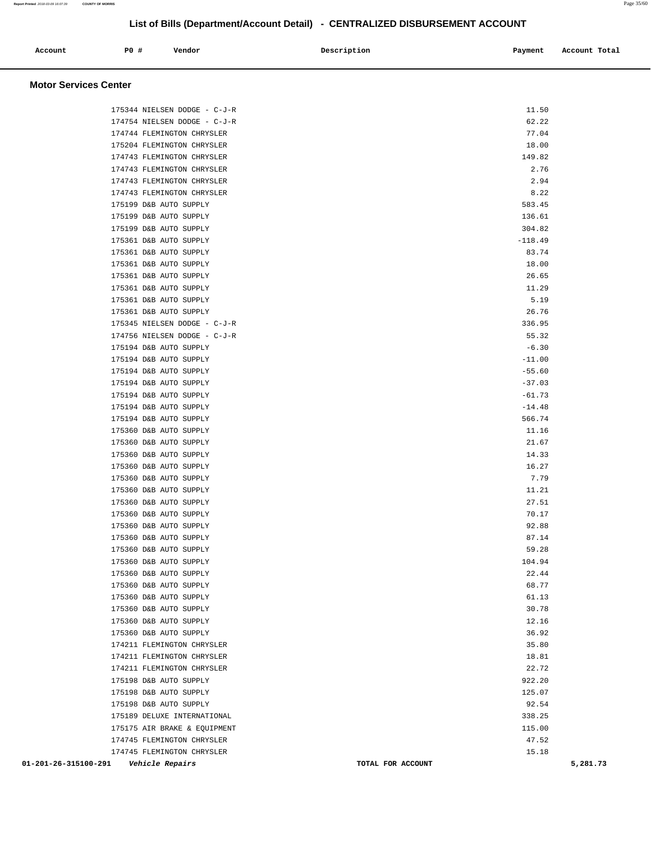| Account | P0 # | Vendor | Description | Payment | Account Total |
|---------|------|--------|-------------|---------|---------------|
|         |      |        |             |         |               |

### **Motor Services Center**

| 175344 NIELSEN DODGE - C-J-R                   | 11.50                         |
|------------------------------------------------|-------------------------------|
| 174754 NIELSEN DODGE - C-J-R                   | 62.22                         |
| 174744 FLEMINGTON CHRYSLER                     | 77.04                         |
| 175204 FLEMINGTON CHRYSLER                     | 18.00                         |
| 174743 FLEMINGTON CHRYSLER                     | 149.82                        |
| 174743 FLEMINGTON CHRYSLER                     | 2.76                          |
| 174743 FLEMINGTON CHRYSLER                     | 2.94                          |
| 174743 FLEMINGTON CHRYSLER                     | 8.22                          |
| 175199 D&B AUTO SUPPLY                         | 583.45                        |
| 175199 D&B AUTO SUPPLY                         | 136.61                        |
| 175199 D&B AUTO SUPPLY                         | 304.82                        |
| 175361 D&B AUTO SUPPLY                         | $-118.49$                     |
| 175361 D&B AUTO SUPPLY                         | 83.74                         |
| 175361 D&B AUTO SUPPLY                         | 18.00                         |
| 175361 D&B AUTO SUPPLY                         | 26.65                         |
| 175361 D&B AUTO SUPPLY                         | 11.29                         |
| 175361 D&B AUTO SUPPLY                         | 5.19                          |
| 175361 D&B AUTO SUPPLY                         | 26.76                         |
| 175345 NIELSEN DODGE - C-J-R                   | 336.95                        |
| 174756 NIELSEN DODGE - C-J-R                   | 55.32                         |
| 175194 D&B AUTO SUPPLY                         | $-6.30$                       |
| 175194 D&B AUTO SUPPLY                         | $-11.00$                      |
| 175194 D&B AUTO SUPPLY                         | $-55.60$                      |
| 175194 D&B AUTO SUPPLY                         | $-37.03$                      |
| 175194 D&B AUTO SUPPLY                         | $-61.73$                      |
| 175194 D&B AUTO SUPPLY                         | $-14.48$                      |
| 175194 D&B AUTO SUPPLY                         | 566.74                        |
| 175360 D&B AUTO SUPPLY                         | 11.16                         |
| 175360 D&B AUTO SUPPLY                         | 21.67                         |
| 175360 D&B AUTO SUPPLY                         | 14.33                         |
| 175360 D&B AUTO SUPPLY                         | 16.27                         |
| 175360 D&B AUTO SUPPLY                         | 7.79                          |
| 175360 D&B AUTO SUPPLY                         | 11.21                         |
| 175360 D&B AUTO SUPPLY                         | 27.51                         |
| 175360 D&B AUTO SUPPLY                         | 70.17                         |
| 175360 D&B AUTO SUPPLY                         | 92.88                         |
| 175360 D&B AUTO SUPPLY                         | 87.14                         |
| 175360 D&B AUTO SUPPLY                         | 59.28                         |
| 175360 D&B AUTO SUPPLY                         | 104.94                        |
| 175360 D&B AUTO SUPPLY                         | 22.44                         |
| 175360 D&B AUTO SUPPLY                         | 68.77                         |
| 175360 D&B AUTO SUPPLY                         | 61.13                         |
| 175360 D&B AUTO SUPPLY                         | 30.78                         |
| 175360 D&B AUTO SUPPLY                         | 12.16                         |
| 175360 D&B AUTO SUPPLY                         | 36.92                         |
| 174211 FLEMINGTON CHRYSLER                     | 35.80                         |
| 174211 FLEMINGTON CHRYSLER                     | 18.81                         |
| 174211 FLEMINGTON CHRYSLER                     | 22.72                         |
| 175198 D&B AUTO SUPPLY                         | 922.20                        |
| 175198 D&B AUTO SUPPLY                         | 125.07                        |
| 175198 D&B AUTO SUPPLY                         | 92.54                         |
| 175189 DELUXE INTERNATIONAL                    | 338.25                        |
| 175175 AIR BRAKE & EQUIPMENT                   | 115.00                        |
| 174745 FLEMINGTON CHRYSLER                     | 47.52                         |
| 174745 FLEMINGTON CHRYSLER                     | 15.18                         |
| 01-201-26-315100-291<br><i>Vehicle Repairs</i> | 5,281.73<br>TOTAL FOR ACCOUNT |
|                                                |                               |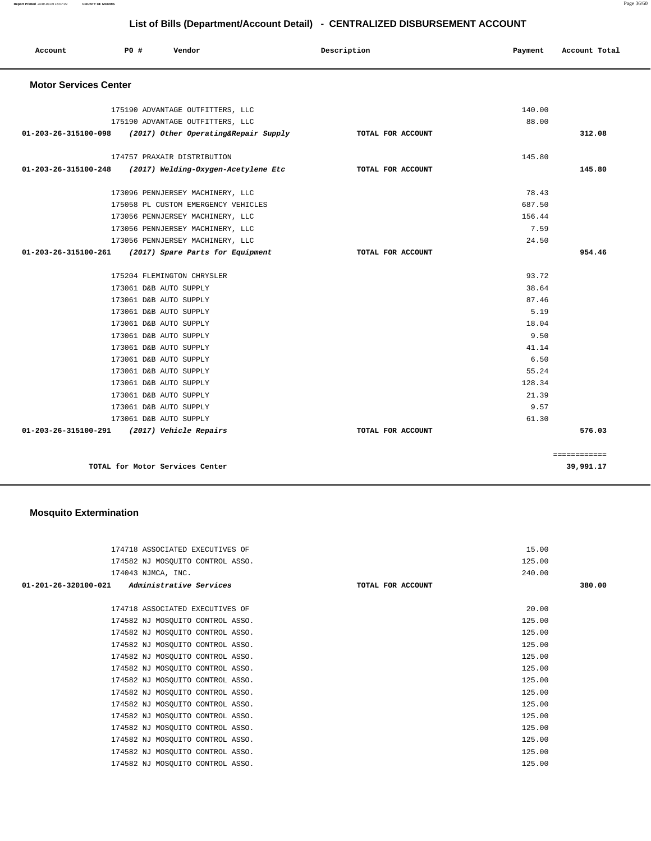**Report Printed** 2018-03-09 16:07:39 **COUNTY OF MORRIS** Page 36/60

# **List of Bills (Department/Account Detail) - CENTRALIZED DISBURSEMENT ACCOUNT**

| Account                      | PO# | Vendor                               | Description       | Payment | Account Total             |
|------------------------------|-----|--------------------------------------|-------------------|---------|---------------------------|
| <b>Motor Services Center</b> |     |                                      |                   |         |                           |
|                              |     | 175190 ADVANTAGE OUTFITTERS, LLC     |                   | 140.00  |                           |
|                              |     | 175190 ADVANTAGE OUTFITTERS, LLC     |                   | 88.00   |                           |
| 01-203-26-315100-098         |     | (2017) Other Operating&Repair Supply | TOTAL FOR ACCOUNT |         | 312.08                    |
|                              |     | 174757 PRAXAIR DISTRIBUTION          |                   | 145.80  |                           |
| 01-203-26-315100-248         |     | (2017) Welding-Oxygen-Acetylene Etc  | TOTAL FOR ACCOUNT |         | 145.80                    |
|                              |     | 173096 PENNJERSEY MACHINERY, LLC     |                   | 78.43   |                           |
|                              |     | 175058 PL CUSTOM EMERGENCY VEHICLES  |                   | 687.50  |                           |
|                              |     | 173056 PENNJERSEY MACHINERY, LLC     |                   | 156.44  |                           |
|                              |     | 173056 PENNJERSEY MACHINERY, LLC     |                   | 7.59    |                           |
|                              |     | 173056 PENNJERSEY MACHINERY, LLC     |                   | 24.50   |                           |
| 01-203-26-315100-261         |     | (2017) Spare Parts for Equipment     | TOTAL FOR ACCOUNT |         | 954.46                    |
|                              |     | 175204 FLEMINGTON CHRYSLER           |                   | 93.72   |                           |
|                              |     | 173061 D&B AUTO SUPPLY               |                   | 38.64   |                           |
|                              |     | 173061 D&B AUTO SUPPLY               |                   | 87.46   |                           |
|                              |     | 173061 D&B AUTO SUPPLY               |                   | 5.19    |                           |
|                              |     | 173061 D&B AUTO SUPPLY               |                   | 18.04   |                           |
|                              |     | 173061 D&B AUTO SUPPLY               |                   | 9.50    |                           |
|                              |     | 173061 D&B AUTO SUPPLY               |                   | 41.14   |                           |
|                              |     | 173061 D&B AUTO SUPPLY               |                   | 6.50    |                           |
|                              |     | 173061 D&B AUTO SUPPLY               |                   | 55.24   |                           |
|                              |     | 173061 D&B AUTO SUPPLY               |                   | 128.34  |                           |
|                              |     | 173061 D&B AUTO SUPPLY               |                   | 21.39   |                           |
|                              |     | 173061 D&B AUTO SUPPLY               |                   | 9.57    |                           |
|                              |     | 173061 D&B AUTO SUPPLY               |                   | 61.30   |                           |
| 01-203-26-315100-291         |     | (2017) Vehicle Repairs               | TOTAL FOR ACCOUNT |         | 576.03                    |
|                              |     | TOTAL for Motor Services Center      |                   |         | ============<br>39,991.17 |
|                              |     |                                      |                   |         |                           |

# **Mosquito Extermination**

| 174718 ASSOCIATED EXECUTIVES OF                |                   | 15.00  |        |
|------------------------------------------------|-------------------|--------|--------|
| 174582 NJ MOSQUITO CONTROL ASSO.               |                   | 125.00 |        |
| 174043 NJMCA, INC.                             |                   | 240.00 |        |
| $01-201-26-320100-021$ Administrative Services | TOTAL FOR ACCOUNT |        | 380.00 |
|                                                |                   |        |        |
| 174718 ASSOCIATED EXECUTIVES OF                |                   | 20.00  |        |
| 174582 NJ MOSQUITO CONTROL ASSO.               |                   | 125.00 |        |
| 174582 NJ MOSQUITO CONTROL ASSO.               |                   | 125.00 |        |
| 174582 NJ MOSQUITO CONTROL ASSO.               |                   | 125.00 |        |
| 174582 NJ MOSQUITO CONTROL ASSO.               |                   | 125.00 |        |
| 174582 NJ MOSQUITO CONTROL ASSO.               |                   | 125.00 |        |
| 174582 NJ MOSQUITO CONTROL ASSO.               |                   | 125.00 |        |
| 174582 NJ MOSQUITO CONTROL ASSO.               |                   | 125.00 |        |
| 174582 NJ MOSQUITO CONTROL ASSO.               |                   | 125.00 |        |
| 174582 NJ MOSQUITO CONTROL ASSO.               |                   | 125.00 |        |
| 174582 NJ MOSQUITO CONTROL ASSO.               |                   | 125.00 |        |
| 174582 NJ MOSQUITO CONTROL ASSO.               |                   | 125.00 |        |
| 174582 NJ MOSQUITO CONTROL ASSO.               |                   | 125.00 |        |
| 174582 NJ MOSOUITO CONTROL ASSO.               |                   | 125.00 |        |
|                                                |                   |        |        |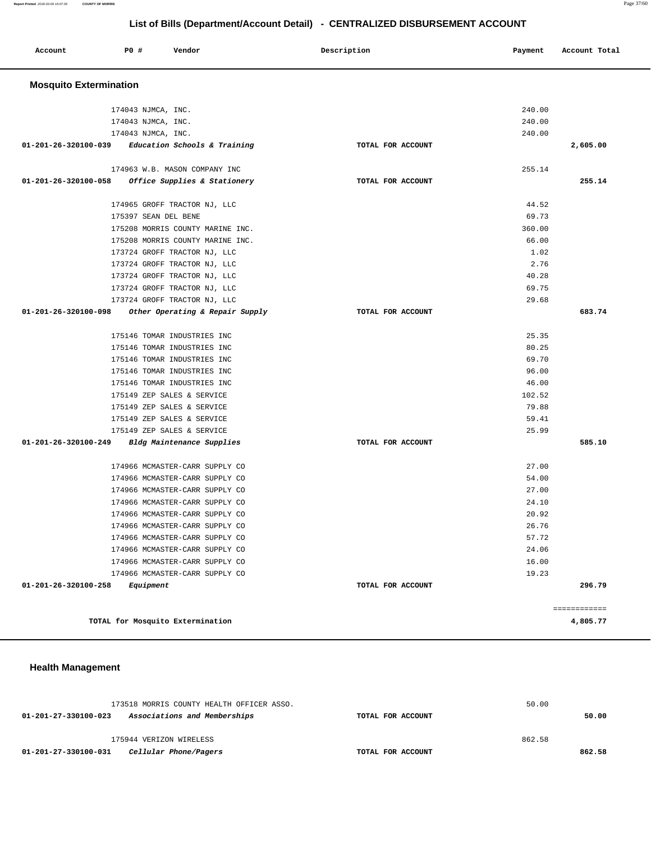**Report Printed** 2018-03-09 16:07:39 **COUNTY OF MORRIS** Page 37/60

### **List of Bills (Department/Account Detail) - CENTRALIZED DISBURSEMENT ACCOUNT**

|                               |             | --------------------                                |                   |         |               |
|-------------------------------|-------------|-----------------------------------------------------|-------------------|---------|---------------|
| Account                       | <b>PO #</b> | Vendor                                              | Description       | Payment | Account Total |
| <b>Mosquito Extermination</b> |             |                                                     |                   |         |               |
|                               |             |                                                     |                   |         |               |
|                               |             | 174043 NJMCA, INC.                                  |                   | 240.00  |               |
|                               |             | 174043 NJMCA, INC.                                  |                   | 240.00  |               |
|                               |             | 174043 NJMCA, INC.                                  |                   | 240.00  |               |
|                               |             | $01-201-26-320100-039$ Education Schools & Training | TOTAL FOR ACCOUNT |         | 2,605.00      |
|                               |             | 174963 W.B. MASON COMPANY INC                       |                   | 255.14  |               |
|                               |             | $01-201-26-320100-058$ Office Supplies & Stationery | TOTAL FOR ACCOUNT |         | 255.14        |
|                               |             | 174965 GROFF TRACTOR NJ, LLC                        |                   | 44.52   |               |
|                               |             | 175397 SEAN DEL BENE                                |                   | 69.73   |               |
|                               |             | 175208 MORRIS COUNTY MARINE INC.                    |                   | 360.00  |               |
|                               |             | 175208 MORRIS COUNTY MARINE INC.                    |                   | 66.00   |               |
|                               |             | 173724 GROFF TRACTOR NJ, LLC                        |                   | 1.02    |               |
|                               |             | 173724 GROFF TRACTOR NJ, LLC                        |                   | 2.76    |               |
|                               |             | 173724 GROFF TRACTOR NJ, LLC                        |                   | 40.28   |               |
|                               |             | 173724 GROFF TRACTOR NJ, LLC                        |                   | 69.75   |               |
|                               |             | 173724 GROFF TRACTOR NJ, LLC                        |                   | 29.68   |               |
| 01-201-26-320100-098          |             | Other Operating & Repair Supply                     | TOTAL FOR ACCOUNT |         | 683.74        |
|                               |             | 175146 TOMAR INDUSTRIES INC                         |                   | 25.35   |               |
|                               |             | 175146 TOMAR INDUSTRIES INC                         |                   | 80.25   |               |
|                               |             | 175146 TOMAR INDUSTRIES INC                         |                   | 69.70   |               |
|                               |             | 175146 TOMAR INDUSTRIES INC                         |                   | 96.00   |               |
|                               |             | 175146 TOMAR INDUSTRIES INC                         |                   | 46.00   |               |
|                               |             | 175149 ZEP SALES & SERVICE                          |                   | 102.52  |               |
|                               |             | 175149 ZEP SALES & SERVICE                          |                   | 79.88   |               |
|                               |             | 175149 ZEP SALES & SERVICE                          |                   | 59.41   |               |
|                               |             | 175149 ZEP SALES & SERVICE                          |                   | 25.99   |               |
| 01-201-26-320100-249          |             | Bldg Maintenance Supplies                           | TOTAL FOR ACCOUNT |         | 585.10        |
|                               |             | 174966 MCMASTER-CARR SUPPLY CO                      |                   | 27.00   |               |
|                               |             | 174966 MCMASTER-CARR SUPPLY CO                      |                   | 54.00   |               |
|                               |             | 174966 MCMASTER-CARR SUPPLY CO                      |                   | 27.00   |               |
|                               |             | 174966 MCMASTER-CARR SUPPLY CO                      |                   | 24.10   |               |
|                               |             | 174966 MCMASTER-CARR SUPPLY CO                      |                   | 20.92   |               |
|                               |             | 174966 MCMASTER-CARR SUPPLY CO                      |                   | 26.76   |               |
|                               |             | 174966 MCMASTER-CARR SUPPLY CO                      |                   | 57.72   |               |
|                               |             | 174966 MCMASTER-CARR SUPPLY CO                      |                   | 24.06   |               |
|                               |             | 174966 MCMASTER-CARR SUPPLY CO                      |                   | 16.00   |               |
|                               |             | 174966 MCMASTER-CARR SUPPLY CO                      |                   | 19.23   |               |
| 01-201-26-320100-258          | Equipment   |                                                     | TOTAL FOR ACCOUNT |         | 296.79        |
|                               |             |                                                     |                   |         | ============  |
|                               |             | TOTAL for Mosquito Extermination                    |                   |         | 4,805.77      |

## **Health Management**

| 173518 MORRIS COUNTY HEALTH OFFICER ASSO.            | 50.00             |        |
|------------------------------------------------------|-------------------|--------|
| Associations and Memberships<br>01-201-27-330100-023 | TOTAL FOR ACCOUNT | 50.00  |
| 175944 VERIZON WIRELESS                              |                   | 862.58 |
| Cellular Phone/Pagers<br>01-201-27-330100-031        | TOTAL FOR ACCOUNT | 862.58 |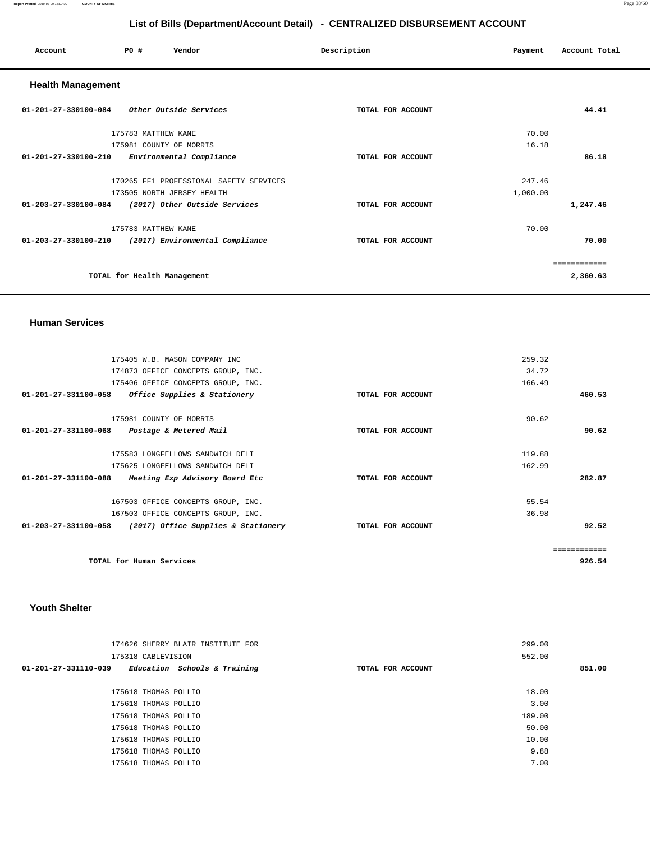#### **Report Printed** 2018-03-09 16:07:39 **COUNTY OF MORRIS** Page 38/60

# **List of Bills (Department/Account Detail) - CENTRALIZED DISBURSEMENT ACCOUNT**

| Account                        | PO#                         | Vendor                                  | Description       | Payment  | Account Total |
|--------------------------------|-----------------------------|-----------------------------------------|-------------------|----------|---------------|
| <b>Health Management</b>       |                             |                                         |                   |          |               |
| $01 - 201 - 27 - 330100 - 084$ |                             | <i>Other Outside Services</i>           | TOTAL FOR ACCOUNT |          | 44.41         |
|                                | 175783 MATTHEW KANE         |                                         |                   | 70.00    |               |
|                                | 175981 COUNTY OF MORRIS     |                                         |                   | 16.18    |               |
| $01 - 201 - 27 - 330100 - 210$ |                             | Environmental Compliance                | TOTAL FOR ACCOUNT |          | 86.18         |
|                                |                             | 170265 FF1 PROFESSIONAL SAFETY SERVICES |                   | 247.46   |               |
|                                |                             | 173505 NORTH JERSEY HEALTH              |                   | 1,000.00 |               |
| 01-203-27-330100-084           |                             | (2017) Other Outside Services           | TOTAL FOR ACCOUNT |          | 1,247.46      |
|                                | 175783 MATTHEW KANE         |                                         |                   | 70.00    |               |
| 01-203-27-330100-210           |                             | (2017) Environmental Compliance         | TOTAL FOR ACCOUNT |          | 70.00         |
|                                |                             |                                         |                   |          | ============  |
|                                | TOTAL for Health Management |                                         |                   |          | 2,360.63      |

## **Human Services**

| 175405 W.B. MASON COMPANY INC                                    |                   | 259.32       |
|------------------------------------------------------------------|-------------------|--------------|
| 174873 OFFICE CONCEPTS GROUP, INC.                               |                   | 34.72        |
| 175406 OFFICE CONCEPTS GROUP, INC.                               |                   | 166.49       |
| 01-201-27-331100-058<br>Office Supplies & Stationery             | TOTAL FOR ACCOUNT | 460.53       |
| 175981 COUNTY OF MORRIS                                          |                   | 90.62        |
| 01-201-27-331100-068<br>Postage & Metered Mail                   | TOTAL FOR ACCOUNT | 90.62        |
| 175583 LONGFELLOWS SANDWICH DELI                                 |                   | 119.88       |
| 175625 LONGFELLOWS SANDWICH DELI                                 |                   | 162.99       |
| $01 - 201 - 27 - 331100 - 088$<br>Meeting Exp Advisory Board Etc | TOTAL FOR ACCOUNT | 282.87       |
| 167503 OFFICE CONCEPTS GROUP, INC.                               |                   | 55.54        |
| 167503 OFFICE CONCEPTS GROUP, INC.                               |                   | 36.98        |
| $01-203-27-331100-058$ (2017) Office Supplies & Stationery       | TOTAL FOR ACCOUNT | 92.52        |
|                                                                  |                   | ------------ |
| TOTAL for Human Services                                         |                   | 926.54       |
|                                                                  |                   |              |

## **Youth Shelter**

| 174626 SHERRY BLAIR INSTITUTE FOR<br>175318 CABLEVISION | 299.00<br>552.00             |                   |        |
|---------------------------------------------------------|------------------------------|-------------------|--------|
| 01-201-27-331110-039                                    | Education Schools & Training | TOTAL FOR ACCOUNT | 851.00 |
|                                                         |                              |                   |        |
| 175618 THOMAS POLLIO                                    |                              | 18.00             |        |
| 175618 THOMAS POLLIO                                    |                              | 3.00              |        |
| 175618 THOMAS POLLIO                                    |                              | 189.00            |        |
| 175618 THOMAS POLLIO                                    |                              | 50.00             |        |
| 175618 THOMAS POLLIO                                    |                              | 10.00             |        |
| 175618 THOMAS POLLIO                                    |                              | 9.88              |        |
| 175618 THOMAS POLLIO                                    |                              | 7.00              |        |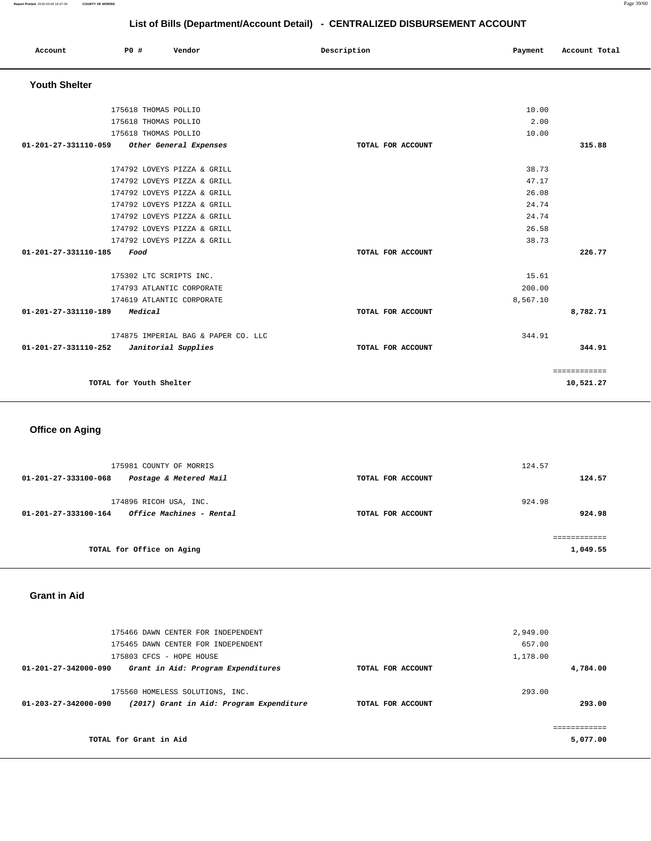**Report Printed** 2018-03-09 16:07:39 **COUNTY OF MORRIS** Page 39/60

# **List of Bills (Department/Account Detail) - CENTRALIZED DISBURSEMENT ACCOUNT**

| Account              | P0 #<br>Vendor                              | Description       | Payment  | Account Total |
|----------------------|---------------------------------------------|-------------------|----------|---------------|
| <b>Youth Shelter</b> |                                             |                   |          |               |
|                      | 175618 THOMAS POLLIO                        |                   | 10.00    |               |
|                      | 175618 THOMAS POLLIO                        |                   | 2.00     |               |
|                      | 175618 THOMAS POLLIO                        |                   | 10.00    |               |
|                      | 01-201-27-331110-059 Other General Expenses | TOTAL FOR ACCOUNT |          | 315.88        |
|                      | 174792 LOVEYS PIZZA & GRILL                 |                   | 38.73    |               |
|                      | 174792 LOVEYS PIZZA & GRILL                 |                   | 47.17    |               |
|                      | 174792 LOVEYS PIZZA & GRILL                 |                   | 26.08    |               |
|                      | 174792 LOVEYS PIZZA & GRILL                 |                   | 24.74    |               |
|                      | 174792 LOVEYS PIZZA & GRILL                 |                   | 24.74    |               |
|                      | 174792 LOVEYS PIZZA & GRILL                 |                   | 26.58    |               |
|                      | 174792 LOVEYS PIZZA & GRILL                 |                   | 38.73    |               |
| 01-201-27-331110-185 | Food                                        | TOTAL FOR ACCOUNT |          | 226.77        |
|                      | 175302 LTC SCRIPTS INC.                     |                   | 15.61    |               |
|                      | 174793 ATLANTIC CORPORATE                   |                   | 200.00   |               |
|                      | 174619 ATLANTIC CORPORATE                   |                   | 8,567.10 |               |
| 01-201-27-331110-189 | Medical                                     | TOTAL FOR ACCOUNT |          | 8,782.71      |
|                      | 174875 IMPERIAL BAG & PAPER CO. LLC         |                   | 344.91   |               |
| 01-201-27-331110-252 | Janitorial Supplies                         | TOTAL FOR ACCOUNT |          | 344.91        |
|                      |                                             |                   |          | ============  |

**TOTAL for Youth Shelter 10,521.27** 

# **Office on Aging**

| 175981 COUNTY OF MORRIS                          | 124.57            |          |
|--------------------------------------------------|-------------------|----------|
| Postage & Metered Mail<br>01-201-27-333100-068   | TOTAL FOR ACCOUNT | 124.57   |
| 174896 RICOH USA, INC.                           | 924.98            |          |
| Office Machines - Rental<br>01-201-27-333100-164 | TOTAL FOR ACCOUNT | 924.98   |
|                                                  |                   |          |
| TOTAL for Office on Aging                        |                   | 1,049.55 |

## **Grant in Aid**

| 175466 DAWN CENTER FOR INDEPENDENT                                                                  |                   | 2,949.00 |                     |
|-----------------------------------------------------------------------------------------------------|-------------------|----------|---------------------|
| 175465 DAWN CENTER FOR INDEPENDENT                                                                  |                   | 657.00   |                     |
| 175803 CFCS - HOPE HOUSE                                                                            |                   | 1,178.00 |                     |
| Grant in Aid: Program Expenditures<br>01-201-27-342000-090                                          | TOTAL FOR ACCOUNT |          | 4,784.00            |
| 175560 HOMELESS SOLUTIONS, INC.<br>(2017) Grant in Aid: Program Expenditure<br>01-203-27-342000-090 | TOTAL FOR ACCOUNT | 293.00   | 293.00              |
| TOTAL for Grant in Aid                                                                              |                   |          | -------<br>5,077.00 |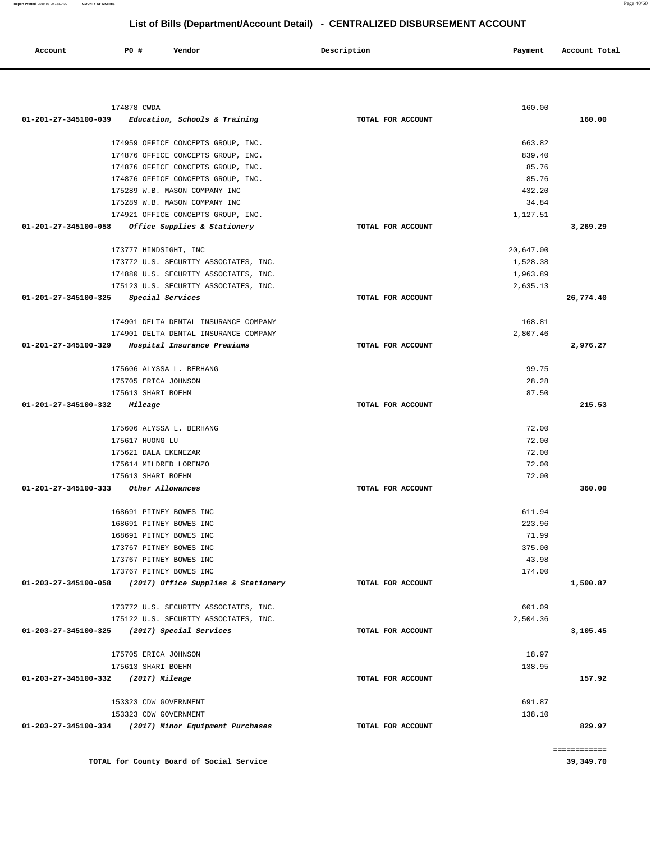| 174878 CWDA                                                                    |                   | 160.00           |              |
|--------------------------------------------------------------------------------|-------------------|------------------|--------------|
| $01-201-27-345100-039$ Education, Schools & Training                           | TOTAL FOR ACCOUNT |                  | 160.00       |
|                                                                                |                   |                  |              |
| 174959 OFFICE CONCEPTS GROUP, INC.                                             |                   | 663.82<br>839.40 |              |
| 174876 OFFICE CONCEPTS GROUP, INC.<br>174876 OFFICE CONCEPTS GROUP, INC.       |                   | 85.76            |              |
| 174876 OFFICE CONCEPTS GROUP, INC.                                             |                   | 85.76            |              |
| 175289 W.B. MASON COMPANY INC                                                  |                   | 432.20           |              |
| 175289 W.B. MASON COMPANY INC                                                  |                   | 34.84            |              |
| 174921 OFFICE CONCEPTS GROUP, INC.                                             |                   | 1,127.51         |              |
| 01-201-27-345100-058 Office Supplies & Stationery                              | TOTAL FOR ACCOUNT |                  | 3,269.29     |
|                                                                                |                   |                  |              |
| 173777 HINDSIGHT, INC                                                          |                   | 20,647.00        |              |
| 173772 U.S. SECURITY ASSOCIATES, INC.                                          |                   | 1,528.38         |              |
| 174880 U.S. SECURITY ASSOCIATES, INC.                                          |                   | 1,963.89         |              |
| 175123 U.S. SECURITY ASSOCIATES, INC.                                          |                   | 2,635.13         |              |
| 01-201-27-345100-325 Special Services                                          | TOTAL FOR ACCOUNT |                  | 26,774.40    |
|                                                                                |                   |                  |              |
| 174901 DELTA DENTAL INSURANCE COMPANY                                          |                   | 168.81           |              |
| 174901 DELTA DENTAL INSURANCE COMPANY                                          |                   | 2,807.46         |              |
| 01-201-27-345100-329 Hospital Insurance Premiums                               | TOTAL FOR ACCOUNT |                  | 2,976.27     |
|                                                                                |                   |                  |              |
| 175606 ALYSSA L. BERHANG<br>175705 ERICA JOHNSON                               |                   | 99.75<br>28.28   |              |
| 175613 SHARI BOEHM                                                             |                   | 87.50            |              |
| 01-201-27-345100-332 Mileage                                                   | TOTAL FOR ACCOUNT |                  | 215.53       |
|                                                                                |                   |                  |              |
| 175606 ALYSSA L. BERHANG                                                       |                   | 72.00            |              |
| 175617 HUONG LU                                                                |                   | 72.00            |              |
| 175621 DALA EKENEZAR                                                           |                   | 72.00            |              |
| 175614 MILDRED LORENZO                                                         |                   | 72.00            |              |
| 175613 SHARI BOEHM                                                             |                   | 72.00            |              |
| 01-201-27-345100-333 Other Allowances                                          | TOTAL FOR ACCOUNT |                  | 360.00       |
|                                                                                |                   |                  |              |
| 168691 PITNEY BOWES INC                                                        |                   | 611.94           |              |
| 168691 PITNEY BOWES INC                                                        |                   | 223.96           |              |
| 168691 PITNEY BOWES INC                                                        |                   | 71.99            |              |
| 173767 PITNEY BOWES INC                                                        |                   | 375.00           |              |
| 173767 PITNEY BOWES INC                                                        |                   | 43.98            |              |
| 173767 PITNEY BOWES INC                                                        |                   | 174.00           |              |
| 01-203-27-345100-058<br>(2017) Office Supplies & Stationery                    | TOTAL FOR ACCOUNT |                  | 1,500.87     |
|                                                                                |                   | 601.09           |              |
| 173772 U.S. SECURITY ASSOCIATES, INC.<br>175122 U.S. SECURITY ASSOCIATES, INC. |                   | 2,504.36         |              |
| 01-203-27-345100-325<br>(2017) Special Services                                | TOTAL FOR ACCOUNT |                  | 3,105.45     |
|                                                                                |                   |                  |              |
| 175705 ERICA JOHNSON                                                           |                   | 18.97            |              |
| 175613 SHARI BOEHM                                                             |                   | 138.95           |              |
| 01-203-27-345100-332<br>(2017) Mileage                                         | TOTAL FOR ACCOUNT |                  | 157.92       |
|                                                                                |                   |                  |              |
| 153323 CDW GOVERNMENT                                                          |                   | 691.87           |              |
| 153323 CDW GOVERNMENT                                                          |                   | 138.10           |              |
| 01-203-27-345100-334<br>(2017) Minor Equipment Purchases                       | TOTAL FOR ACCOUNT |                  | 829.97       |
|                                                                                |                   |                  |              |
|                                                                                |                   |                  | ============ |
| TOTAL for County Board of Social Service                                       |                   |                  | 39,349.70    |

 **Account P0 # Vendor Description Payment Account Total**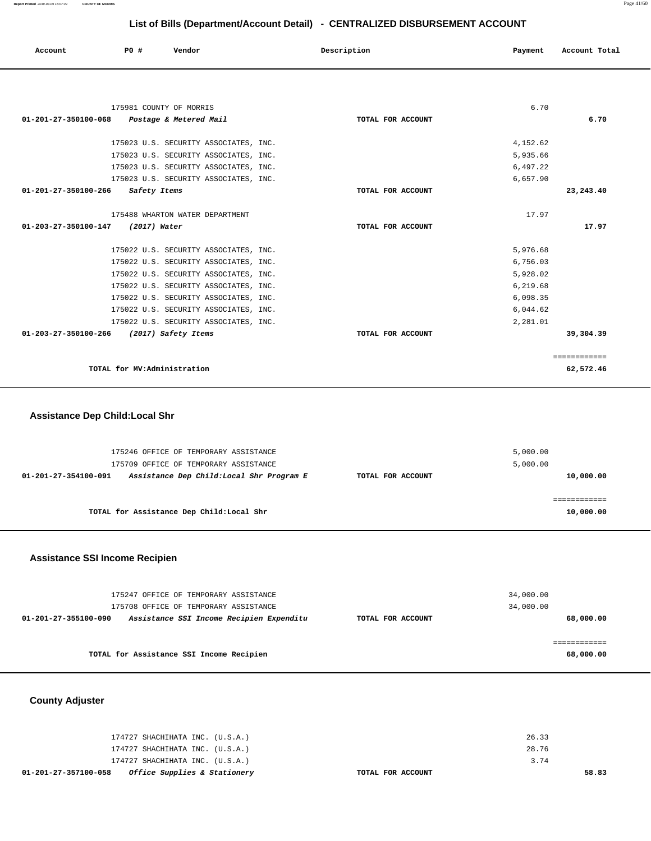**Report Printed** 2018-03-09 16:07:39 **COUNTY OF MORRIS** Page 41/60

## **List of Bills (Department/Account Detail) - CENTRALIZED DISBURSEMENT ACCOUNT**

| Account                                     | PO#                         | Vendor                                | Description       | Payment  | Account Total |
|---------------------------------------------|-----------------------------|---------------------------------------|-------------------|----------|---------------|
|                                             |                             |                                       |                   |          |               |
|                                             |                             |                                       |                   |          |               |
|                                             |                             | 175981 COUNTY OF MORRIS               |                   | 6.70     |               |
| 01-201-27-350100-068 Postage & Metered Mail |                             |                                       | TOTAL FOR ACCOUNT |          | 6.70          |
|                                             |                             |                                       |                   |          |               |
|                                             |                             | 175023 U.S. SECURITY ASSOCIATES, INC. |                   | 4.152.62 |               |
|                                             |                             | 175023 U.S. SECURITY ASSOCIATES, INC. |                   | 5,935.66 |               |
|                                             |                             | 175023 U.S. SECURITY ASSOCIATES, INC. |                   | 6.497.22 |               |
|                                             |                             | 175023 U.S. SECURITY ASSOCIATES, INC. |                   | 6,657.90 |               |
| 01-201-27-350100-266 Safety Items           |                             |                                       | TOTAL FOR ACCOUNT |          | 23, 243.40    |
|                                             |                             | 175488 WHARTON WATER DEPARTMENT       |                   | 17.97    |               |
| 01-203-27-350100-147 (2017) Water           |                             |                                       | TOTAL FOR ACCOUNT |          | 17.97         |
|                                             |                             | 175022 U.S. SECURITY ASSOCIATES, INC. |                   | 5,976.68 |               |
|                                             |                             | 175022 U.S. SECURITY ASSOCIATES, INC. |                   | 6,756.03 |               |
|                                             |                             | 175022 U.S. SECURITY ASSOCIATES, INC. |                   | 5,928.02 |               |
|                                             |                             | 175022 U.S. SECURITY ASSOCIATES, INC. |                   | 6,219.68 |               |
|                                             |                             |                                       |                   | 6,098.35 |               |
|                                             |                             | 175022 U.S. SECURITY ASSOCIATES, INC. |                   |          |               |
|                                             |                             | 175022 U.S. SECURITY ASSOCIATES, INC. |                   | 6,044.62 |               |
|                                             |                             | 175022 U.S. SECURITY ASSOCIATES, INC. |                   | 2,281.01 |               |
| 01-203-27-350100-266                        |                             | (2017) Safety Items                   | TOTAL FOR ACCOUNT |          | 39,304.39     |
|                                             |                             |                                       |                   |          | ============  |
|                                             | TOTAL for MV:Administration |                                       |                   |          | 62,572.46     |

## **Assistance Dep Child:Local Shr**

| 175246 OFFICE OF TEMPORARY ASSISTANCE<br>175709 OFFICE OF TEMPORARY ASSISTANCE |                   | 5,000.00<br>5,000.00 |
|--------------------------------------------------------------------------------|-------------------|----------------------|
| Assistance Dep Child: Local Shr Program E<br>01-201-27-354100-091              | TOTAL FOR ACCOUNT | 10,000.00            |
| TOTAL for Assistance Dep Child: Local Shr                                      |                   | 10,000.00            |

# **Assistance SSI Income Recipien**

| 175247 OFFICE OF TEMPORARY ASSISTANCE<br>175708 OFFICE OF TEMPORARY ASSISTANCE |                   | 34,000.00<br>34,000.00 |
|--------------------------------------------------------------------------------|-------------------|------------------------|
| Assistance SSI Income Recipien Expenditu<br>01-201-27-355100-090               | TOTAL FOR ACCOUNT | 68,000.00              |
|                                                                                |                   |                        |
| TOTAL for Assistance SSI Income Recipien                                       |                   | 68,000.00              |

## **County Adjuster**

| 01-201-27-357100-058 | <i>Office Supplies &amp; Stationery</i> | TOTAL FOR ACCOUNT |       | 58.83 |
|----------------------|-----------------------------------------|-------------------|-------|-------|
|                      | 174727 SHACHIHATA INC. (U.S.A.)         |                   | 3.74  |       |
|                      | 174727 SHACHIHATA INC. (U.S.A.)         |                   | 28.76 |       |
|                      | 174727 SHACHIHATA INC. (U.S.A.)         |                   | 26.33 |       |
|                      |                                         |                   |       |       |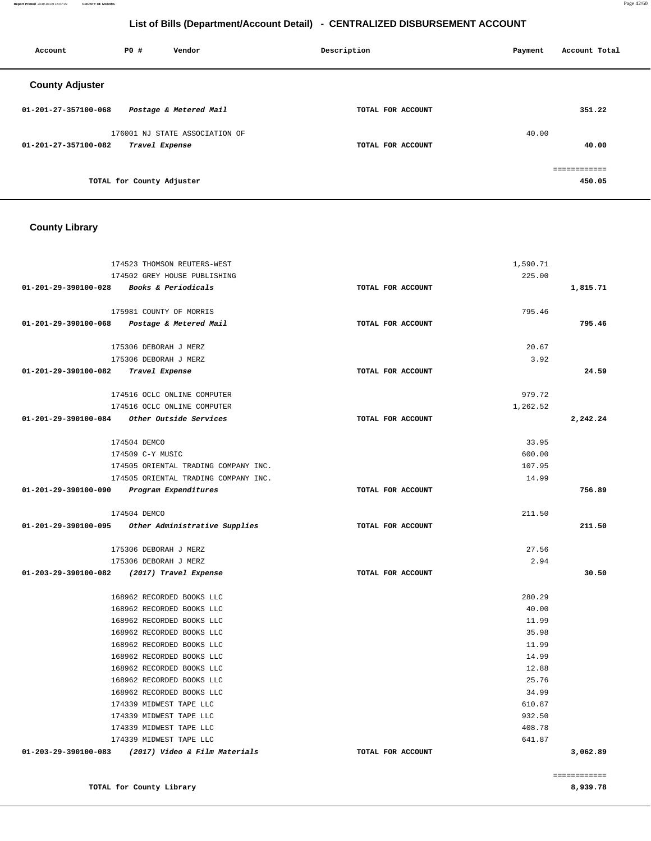**TOTAL for County Library** 

============ **8,939.78** 

| <b>County Library</b>                              |                   |          |              |
|----------------------------------------------------|-------------------|----------|--------------|
|                                                    |                   |          |              |
| 174523 THOMSON REUTERS-WEST                        |                   | 1,590.71 |              |
| 174502 GREY HOUSE PUBLISHING                       |                   | 225.00   |              |
| 01-201-29-390100-028 Books & Periodicals           | TOTAL FOR ACCOUNT |          | 1,815.71     |
| 175981 COUNTY OF MORRIS                            |                   | 795.46   |              |
| 01-201-29-390100-068 Postage & Metered Mail        | TOTAL FOR ACCOUNT |          | 795.46       |
| 175306 DEBORAH J MERZ                              |                   | 20.67    |              |
| 175306 DEBORAH J MERZ                              |                   | 3.92     |              |
| 01-201-29-390100-082 Travel Expense                | TOTAL FOR ACCOUNT |          | 24.59        |
| 174516 OCLC ONLINE COMPUTER                        |                   | 979.72   |              |
| 174516 OCLC ONLINE COMPUTER                        |                   | 1,262.52 |              |
| 01-201-29-390100-084     Other Outside Services    | TOTAL FOR ACCOUNT |          | 2,242.24     |
| 174504 DEMCO                                       |                   | 33.95    |              |
| 174509 C-Y MUSIC                                   |                   | 600.00   |              |
| 174505 ORIENTAL TRADING COMPANY INC.               |                   | 107.95   |              |
| 174505 ORIENTAL TRADING COMPANY INC.               |                   | 14.99    |              |
| $01-201-29-390100-090$ Program Expenditures        | TOTAL FOR ACCOUNT |          | 756.89       |
| 174504 DEMCO                                       |                   | 211.50   |              |
| 01-201-29-390100-095 Other Administrative Supplies | TOTAL FOR ACCOUNT |          | 211.50       |
| 175306 DEBORAH J MERZ                              |                   | 27.56    |              |
| 175306 DEBORAH J MERZ                              |                   | 2.94     |              |
| 01-203-29-390100-082 (2017) Travel Expense         | TOTAL FOR ACCOUNT |          | 30.50        |
| 168962 RECORDED BOOKS LLC                          |                   | 280.29   |              |
| 168962 RECORDED BOOKS LLC                          |                   | 40.00    |              |
| 168962 RECORDED BOOKS LLC                          |                   | 11.99    |              |
| 168962 RECORDED BOOKS LLC                          |                   | 35.98    |              |
| 168962 RECORDED BOOKS LLC                          |                   | 11.99    |              |
| 168962 RECORDED BOOKS LLC                          |                   | 14.99    |              |
| 168962 RECORDED BOOKS LLC                          |                   | 12.88    |              |
| 168962 RECORDED BOOKS LLC                          |                   | 25.76    |              |
| 168962 RECORDED BOOKS LLC                          |                   | 34.99    |              |
| 174339 MIDWEST TAPE LLC                            |                   | 610.87   |              |
| 174339 MIDWEST TAPE LLC                            |                   | 932.50   |              |
| 174339 MIDWEST TAPE LLC                            |                   | 408.78   |              |
| 174339 MIDWEST TAPE LLC                            |                   | 641.87   |              |
| 01-203-29-390100-083 (2017) Video & Film Materials | TOTAL FOR ACCOUNT |          | 3,062.89     |
|                                                    |                   |          | ============ |

| Account                | P0 #                      | Vendor                         | Description       | Payment | Account Total          |
|------------------------|---------------------------|--------------------------------|-------------------|---------|------------------------|
| <b>County Adjuster</b> |                           |                                |                   |         |                        |
| 01-201-27-357100-068   |                           | Postage & Metered Mail         | TOTAL FOR ACCOUNT |         | 351.22                 |
| 01-201-27-357100-082   | Travel Expense            | 176001 NJ STATE ASSOCIATION OF | TOTAL FOR ACCOUNT | 40.00   | 40.00                  |
|                        | TOTAL for County Adjuster |                                |                   |         | ============<br>450.05 |

## **List of Bills (Department/Account Detail) - CENTRALIZED DISBURSEMENT ACCOUNT**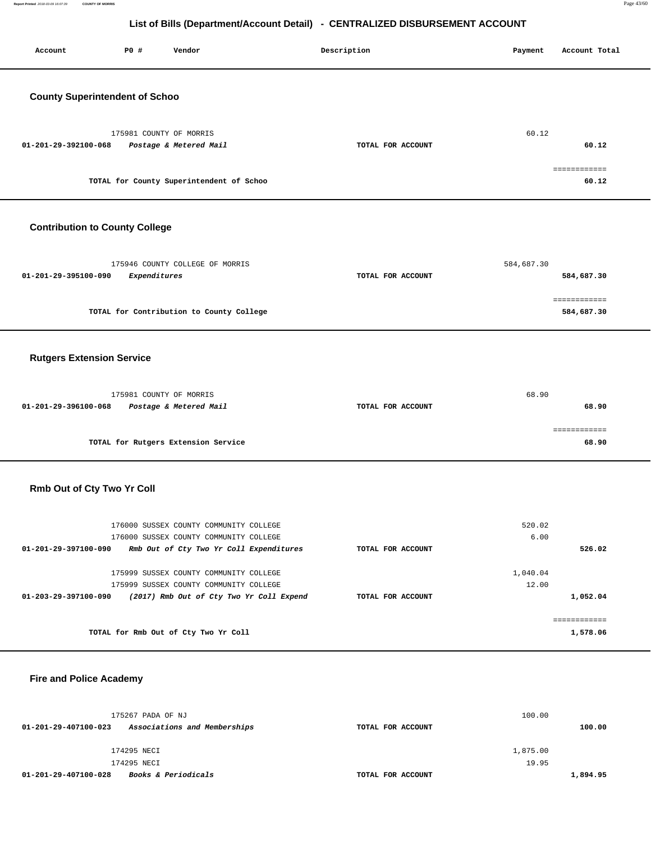**Report Printed** 2018-03-09 16:07:39 **COUNTY OF MORRIS** Page 43/60

# **List of Bills (Department/Account Detail) - CENTRALIZED DISBURSEMENT ACCOUNT**

| Account                               | <b>PO #</b>             | Vendor                                                                                                                       | Description       | Payment           | Account Total              |
|---------------------------------------|-------------------------|------------------------------------------------------------------------------------------------------------------------------|-------------------|-------------------|----------------------------|
| <b>County Superintendent of Schoo</b> |                         |                                                                                                                              |                   |                   |                            |
| 01-201-29-392100-068                  | 175981 COUNTY OF MORRIS | Postage & Metered Mail                                                                                                       | TOTAL FOR ACCOUNT | 60.12             | 60.12                      |
|                                       |                         | TOTAL for County Superintendent of Schoo                                                                                     |                   |                   | ============<br>60.12      |
| <b>Contribution to County College</b> |                         |                                                                                                                              |                   |                   |                            |
| 01-201-29-395100-090                  | Expenditures            | 175946 COUNTY COLLEGE OF MORRIS                                                                                              | TOTAL FOR ACCOUNT | 584,687.30        | 584,687.30                 |
|                                       |                         | TOTAL for Contribution to County College                                                                                     |                   |                   | ============<br>584,687.30 |
| <b>Rutgers Extension Service</b>      |                         |                                                                                                                              |                   |                   |                            |
| 01-201-29-396100-068                  | 175981 COUNTY OF MORRIS | Postage & Metered Mail                                                                                                       | TOTAL FOR ACCOUNT | 68.90             | 68.90                      |
|                                       |                         | TOTAL for Rutgers Extension Service                                                                                          |                   |                   | ============<br>68.90      |
| Rmb Out of Cty Two Yr Coll            |                         |                                                                                                                              |                   |                   |                            |
| 01-201-29-397100-090                  |                         | 176000 SUSSEX COUNTY COMMUNITY COLLEGE<br>176000 SUSSEX COUNTY COMMUNITY COLLEGE<br>Rmb Out of Cty Two Yr Coll Expenditures  | TOTAL FOR ACCOUNT | 520.02<br>6.00    | 526.02                     |
| 01-203-29-397100-090                  |                         | 175999 SUSSEX COUNTY COMMUNITY COLLEGE<br>175999 SUSSEX COUNTY COMMUNITY COLLEGE<br>(2017) Rmb Out of Cty Two Yr Coll Expend | TOTAL FOR ACCOUNT | 1,040.04<br>12.00 | 1,052.04                   |
|                                       |                         | TOTAL for Rmb Out of Cty Two Yr Coll                                                                                         |                   |                   | ============<br>1,578.06   |

## **Fire and Police Academy**

| 175267 PADA OF NJ                                      |                   | 100.00   |
|--------------------------------------------------------|-------------------|----------|
| 01-201-29-407100-023<br>Associations and Memberships   | TOTAL FOR ACCOUNT | 100.00   |
|                                                        |                   |          |
| 174295 NECI                                            |                   | 1,875.00 |
| 174295 NECI                                            |                   | 19.95    |
| <b>Books &amp; Periodicals</b><br>01-201-29-407100-028 | TOTAL FOR ACCOUNT | 1,894.95 |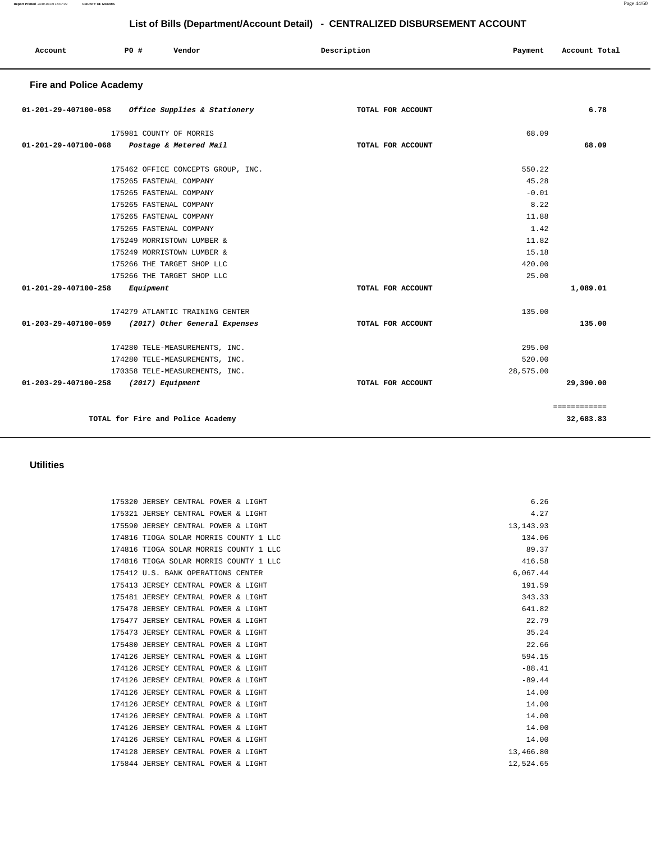**135.00**

**29,390.00**

============ **32,683.83** 

|                                                   |                         |                                    | List of Bills (Department/Account Detail) - CENTRALIZED DISBURSEMENT ACCOUNT |         |               |
|---------------------------------------------------|-------------------------|------------------------------------|------------------------------------------------------------------------------|---------|---------------|
| Account                                           | P0 #                    | Vendor                             | Description                                                                  | Payment | Account Total |
| <b>Fire and Police Academy</b>                    |                         |                                    |                                                                              |         |               |
| 01-201-29-407100-058 Office Supplies & Stationery |                         |                                    | TOTAL FOR ACCOUNT                                                            |         | 6.78          |
| 01-201-29-407100-068                              | 175981 COUNTY OF MORRIS | Postage & Metered Mail             | TOTAL FOR ACCOUNT                                                            | 68.09   | 68.09         |
|                                                   |                         |                                    |                                                                              |         |               |
|                                                   |                         | 175462 OFFICE CONCEPTS GROUP, INC. |                                                                              | 550.22  |               |
|                                                   | 175265 FASTENAL COMPANY |                                    |                                                                              | 45.28   |               |
|                                                   | 175265 FASTENAL COMPANY |                                    |                                                                              | $-0.01$ |               |
|                                                   | 175265 FASTENAL COMPANY |                                    |                                                                              | 8.22    |               |
|                                                   | 175265 FASTENAL COMPANY |                                    |                                                                              | 11.88   |               |
|                                                   | 175265 FASTENAL COMPANY |                                    |                                                                              | 1.42    |               |
|                                                   |                         | 175249 MORRISTOWN LUMBER &         |                                                                              | 11.82   |               |
|                                                   |                         | 175249 MORRISTOWN LUMBER &         |                                                                              | 15.18   |               |
|                                                   |                         | 175266 THE TARGET SHOP LLC         |                                                                              | 420.00  |               |
|                                                   |                         | 175266 THE TARGET SHOP LLC         |                                                                              | 25.00   |               |
| 01-201-29-407100-258                              | Equipment               |                                    | TOTAL FOR ACCOUNT                                                            |         | 1,089.01      |
|                                                   |                         |                                    |                                                                              |         |               |

#### 174279 ATLANTIC TRAINING CENTER **01-203-29-407100-059 (2017) Other General Expenses TOTAL FOR ACCOUNT**  135.00 174280 TELE-MEASUREMENTS, INC. 174280 TELE-MEASUREMENTS, INC. 170358 TELE-MEASUREMENTS, INC. **01-203-29-407100-258 (2017) Equipment TOTAL FOR ACCOUNT**  295.00 520.00 28,575.00

**TOTAL for Fire and Police Academy** 

#### **Utilities**

| 175320 JERSEY CENTRAL POWER & LIGHT    | 6.26        |
|----------------------------------------|-------------|
| 175321 JERSEY CENTRAL POWER & LIGHT    | 4.27        |
| 175590 JERSEY CENTRAL POWER & LIGHT    | 13, 143. 93 |
| 174816 TIOGA SOLAR MORRIS COUNTY 1 LLC | 134.06      |
| 174816 TIOGA SOLAR MORRIS COUNTY 1 LLC | 89.37       |
| 174816 TIOGA SOLAR MORRIS COUNTY 1 LLC | 416.58      |
| 175412 U.S. BANK OPERATIONS CENTER     | 6,067.44    |
| 175413 JERSEY CENTRAL POWER & LIGHT    | 191.59      |
| 175481 JERSEY CENTRAL POWER & LIGHT    | 343.33      |
| 175478 JERSEY CENTRAL POWER & LIGHT    | 641.82      |
| 175477 JERSEY CENTRAL POWER & LIGHT    | 22.79       |
| 175473 JERSEY CENTRAL POWER & LIGHT    | 35.24       |
| 175480 JERSEY CENTRAL POWER & LIGHT    | 22.66       |
| 174126 JERSEY CENTRAL POWER & LIGHT    | 594.15      |
| 174126 JERSEY CENTRAL POWER & LIGHT    | $-88.41$    |
| 174126 JERSEY CENTRAL POWER & LIGHT    | $-89.44$    |
| 174126 JERSEY CENTRAL POWER & LIGHT    | 14.00       |
| 174126 JERSEY CENTRAL POWER & LIGHT    | 14.00       |
| 174126 JERSEY CENTRAL POWER & LIGHT    | 14.00       |
| 174126 JERSEY CENTRAL POWER & LIGHT    | 14.00       |
| 174126 JERSEY CENTRAL POWER & LIGHT    | 14.00       |
| 174128 JERSEY CENTRAL POWER & LIGHT    | 13,466.80   |
| 175844 JERSEY CENTRAL POWER & LIGHT    | 12,524.65   |
|                                        |             |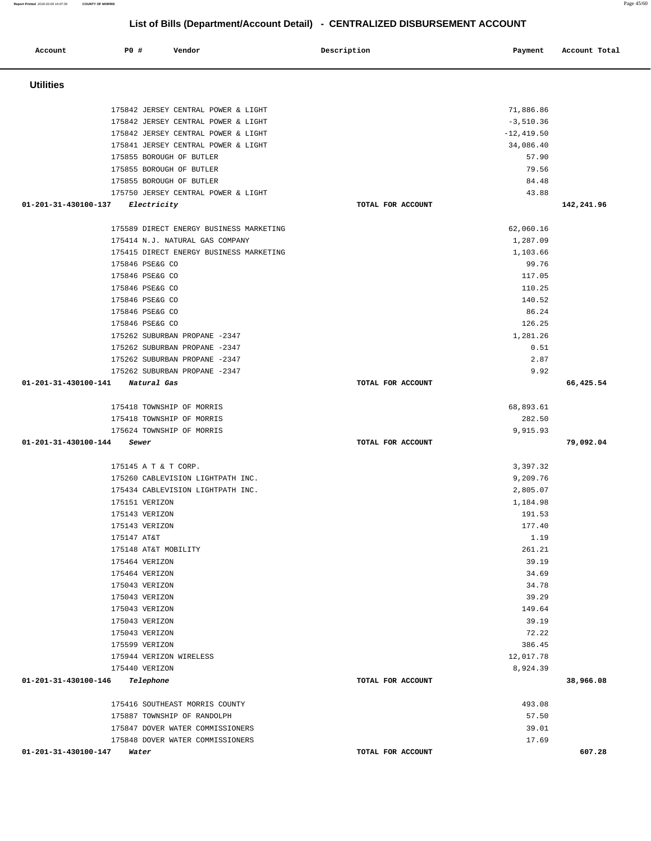|                            |                                         | LIST OF DIIIS (Department/Account Detail) - CENTRALIZED DISBORSEMENT ACCOUNT |                          |               |
|----------------------------|-----------------------------------------|------------------------------------------------------------------------------|--------------------------|---------------|
| Account                    | P0 #<br>Vendor                          | Description                                                                  | Payment                  | Account Total |
| <b>Utilities</b>           |                                         |                                                                              |                          |               |
|                            | 175842 JERSEY CENTRAL POWER & LIGHT     |                                                                              |                          |               |
|                            | 175842 JERSEY CENTRAL POWER & LIGHT     |                                                                              | 71,886.86<br>$-3,510.36$ |               |
|                            | 175842 JERSEY CENTRAL POWER & LIGHT     |                                                                              | $-12, 419.50$            |               |
|                            | 175841 JERSEY CENTRAL POWER & LIGHT     |                                                                              | 34,086.40                |               |
|                            | 175855 BOROUGH OF BUTLER                |                                                                              | 57.90                    |               |
|                            | 175855 BOROUGH OF BUTLER                |                                                                              | 79.56                    |               |
|                            | 175855 BOROUGH OF BUTLER                |                                                                              | 84.48                    |               |
|                            | 175750 JERSEY CENTRAL POWER & LIGHT     |                                                                              | 43.88                    |               |
| 01-201-31-430100-137       | <i>Electricity</i>                      | TOTAL FOR ACCOUNT                                                            |                          | 142,241.96    |
|                            | 175589 DIRECT ENERGY BUSINESS MARKETING |                                                                              | 62,060.16                |               |
|                            | 175414 N.J. NATURAL GAS COMPANY         |                                                                              | 1,287.09                 |               |
|                            | 175415 DIRECT ENERGY BUSINESS MARKETING |                                                                              | 1,103.66                 |               |
|                            | 175846 PSE&G CO                         |                                                                              | 99.76                    |               |
|                            | 175846 PSE&G CO                         |                                                                              | 117.05                   |               |
|                            | 175846 PSE&G CO                         |                                                                              | 110.25                   |               |
|                            | 175846 PSE&G CO                         |                                                                              | 140.52                   |               |
|                            | 175846 PSE&G CO                         |                                                                              | 86.24                    |               |
|                            | 175846 PSE&G CO                         |                                                                              | 126.25                   |               |
|                            | 175262 SUBURBAN PROPANE -2347           |                                                                              | 1,281.26                 |               |
|                            | 175262 SUBURBAN PROPANE -2347           |                                                                              | 0.51                     |               |
|                            | 175262 SUBURBAN PROPANE -2347           |                                                                              | 2.87                     |               |
|                            | 175262 SUBURBAN PROPANE -2347           |                                                                              | 9.92                     |               |
| 01-201-31-430100-141       | Natural Gas                             | TOTAL FOR ACCOUNT                                                            |                          | 66,425.54     |
|                            | 175418 TOWNSHIP OF MORRIS               |                                                                              | 68,893.61                |               |
|                            | 175418 TOWNSHIP OF MORRIS               |                                                                              | 282.50                   |               |
|                            | 175624 TOWNSHIP OF MORRIS               |                                                                              | 9,915.93                 |               |
| 01-201-31-430100-144       | Sewer                                   | TOTAL FOR ACCOUNT                                                            |                          | 79,092.04     |
|                            | 175145 A T & T CORP.                    |                                                                              | 3,397.32                 |               |
|                            | 175260 CABLEVISION LIGHTPATH INC.       |                                                                              | 9,209.76                 |               |
|                            | 175434 CABLEVISION LIGHTPATH INC.       |                                                                              | 2,805.07                 |               |
|                            | 175151 VERIZON                          |                                                                              | 1,184.98                 |               |
|                            | 175143 VERIZON                          |                                                                              | 191.53                   |               |
|                            | 175143 VERIZON                          |                                                                              | 177.40                   |               |
|                            | 175147 AT&T                             |                                                                              | 1.19                     |               |
|                            | 175148 AT&T MOBILITY                    |                                                                              | 261.21                   |               |
|                            | 175464 VERIZON                          |                                                                              | 39.19                    |               |
|                            | 175464 VERIZON                          |                                                                              | 34.69                    |               |
|                            | 175043 VERIZON                          |                                                                              | 34.78                    |               |
|                            | 175043 VERIZON                          |                                                                              | 39.29                    |               |
|                            | 175043 VERIZON                          |                                                                              | 149.64                   |               |
|                            | 175043 VERIZON                          |                                                                              | 39.19                    |               |
|                            | 175043 VERIZON                          |                                                                              | 72.22                    |               |
|                            | 175599 VERIZON                          |                                                                              | 386.45                   |               |
|                            | 175944 VERIZON WIRELESS                 |                                                                              | 12,017.78                |               |
|                            | 175440 VERIZON                          |                                                                              | 8,924.39                 |               |
|                            | 01-201-31-430100-146 Telephone          | TOTAL FOR ACCOUNT                                                            |                          | 38,966.08     |
|                            | 175416 SOUTHEAST MORRIS COUNTY          |                                                                              | 493.08                   |               |
|                            | 175887 TOWNSHIP OF RANDOLPH             |                                                                              | 57.50                    |               |
|                            | 175847 DOVER WATER COMMISSIONERS        |                                                                              | 39.01                    |               |
|                            | 175848 DOVER WATER COMMISSIONERS        |                                                                              | 17.69                    |               |
| 01-201-31-430100-147 Water |                                         | TOTAL FOR ACCOUNT                                                            |                          | 607.28        |

**Report Printed** 2018-03-09 16:07:39 **COUNTY OF MORRIS** Page 45/60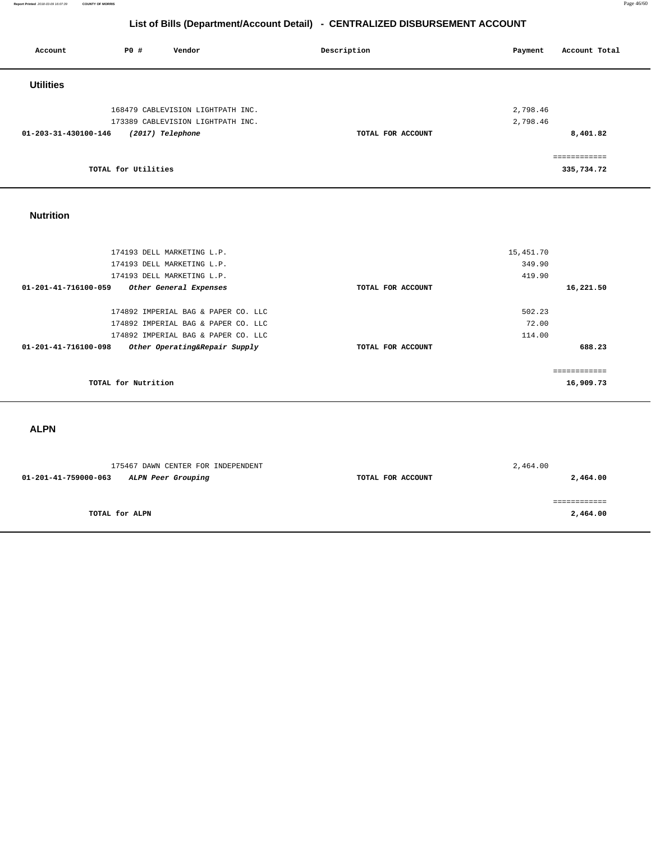**Report Printed** 2018-03-09 16:07:39 **COUNTY OF MORRIS** Page 46/60

# **List of Bills (Department/Account Detail) - CENTRALIZED DISBURSEMENT ACCOUNT**

| Account              | P0 #                | Vendor                                                                 | Description       | Account Total<br>Payment |
|----------------------|---------------------|------------------------------------------------------------------------|-------------------|--------------------------|
| <b>Utilities</b>     |                     |                                                                        |                   |                          |
|                      |                     | 168479 CABLEVISION LIGHTPATH INC.<br>173389 CABLEVISION LIGHTPATH INC. |                   | 2,798.46<br>2,798.46     |
| 01-203-31-430100-146 |                     | (2017) Telephone                                                       | TOTAL FOR ACCOUNT | 8,401.82                 |
|                      | TOTAL for Utilities |                                                                        |                   | eeeeeeeeee<br>335,734.72 |

### **Nutrition**

| 174193 DELL MARKETING L.P.                            |                   | 15,451.70    |
|-------------------------------------------------------|-------------------|--------------|
|                                                       |                   |              |
| 174193 DELL MARKETING L.P.                            |                   | 349.90       |
| 174193 DELL MARKETING L.P.                            |                   | 419.90       |
| 01-201-41-716100-059<br>Other General Expenses        | TOTAL FOR ACCOUNT | 16,221.50    |
|                                                       |                   |              |
| 174892 IMPERIAL BAG & PAPER CO. LLC                   |                   | 502.23       |
| 174892 IMPERIAL BAG & PAPER CO. LLC                   |                   | 72.00        |
| 174892 IMPERIAL BAG & PAPER CO. LLC                   |                   | 114.00       |
| 01-201-41-716100-098<br>Other Operating&Repair Supply | TOTAL FOR ACCOUNT | 688.23       |
|                                                       |                   |              |
|                                                       |                   | ============ |
| TOTAL for Nutrition                                   |                   | 16,909.73    |
|                                                       |                   |              |

**ALPN** 

| 175467 DAWN CENTER FOR INDEPENDENT         |                   | 2,464.00 |
|--------------------------------------------|-------------------|----------|
| 01-201-41-759000-063<br>ALPN Peer Grouping | TOTAL FOR ACCOUNT | 2,464.00 |
|                                            |                   |          |
|                                            |                   |          |
| TOTAL for ALPN                             |                   | 2,464.00 |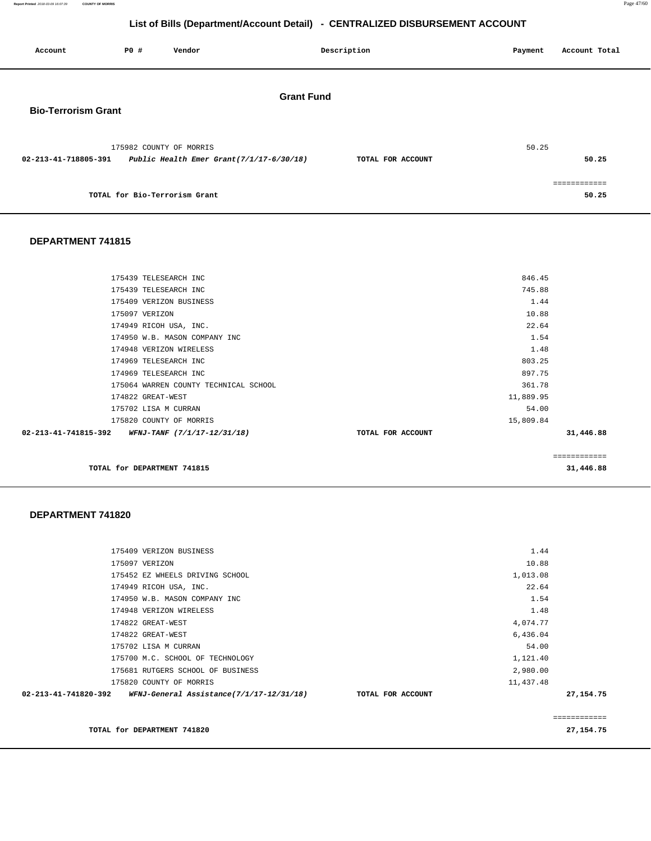**Report Printed** 2018-03-09 16:07:39 **COUNTY OF MORRIS** Page 47/60

## **List of Bills (Department/Account Detail) - CENTRALIZED DISBURSEMENT ACCOUNT**

| Account                    | P0 # | Vendor                                                                 |                   | Description       | Payment | Account Total |  |
|----------------------------|------|------------------------------------------------------------------------|-------------------|-------------------|---------|---------------|--|
| <b>Bio-Terrorism Grant</b> |      |                                                                        | <b>Grant Fund</b> |                   |         |               |  |
| 02-213-41-718805-391       |      | 175982 COUNTY OF MORRIS<br>Public Health Emer Grant $(7/1/17-6/30/18)$ |                   | TOTAL FOR ACCOUNT | 50.25   | 50.25         |  |
|                            |      | TOTAL for Bio-Terrorism Grant                                          |                   |                   |         | 50.25         |  |

#### **DEPARTMENT 741815**

| 175439 TELESEARCH INC                               |                   | 846.45    |              |
|-----------------------------------------------------|-------------------|-----------|--------------|
| 175439 TELESEARCH INC                               |                   | 745.88    |              |
| 175409 VERIZON BUSINESS                             |                   | 1.44      |              |
| 175097 VERIZON                                      |                   | 10.88     |              |
| 174949 RICOH USA, INC.                              |                   | 22.64     |              |
| 174950 W.B. MASON COMPANY INC                       |                   | 1.54      |              |
| 174948 VERIZON WIRELESS                             |                   | 1.48      |              |
| 174969 TELESEARCH INC                               |                   | 803.25    |              |
| 174969 TELESEARCH INC                               |                   | 897.75    |              |
| 175064 WARREN COUNTY TECHNICAL SCHOOL               |                   | 361.78    |              |
| 174822 GREAT-WEST                                   |                   | 11,889.95 |              |
| 175702 LISA M CURRAN                                |                   | 54.00     |              |
| 175820 COUNTY OF MORRIS                             |                   | 15,809.84 |              |
| 02-213-41-741815-392<br>WFNJ-TANF (7/1/17-12/31/18) | TOTAL FOR ACCOUNT |           | 31,446.88    |
|                                                     |                   |           | ============ |
| TOTAL for DEPARTMENT 741815                         |                   |           | 31,446.88    |

| 175409 VERIZON BUSINESS                  |                   | 1.44      |             |
|------------------------------------------|-------------------|-----------|-------------|
| 175097 VERIZON                           |                   | 10.88     |             |
| 175452 EZ WHEELS DRIVING SCHOOL          |                   | 1,013.08  |             |
| 174949 RICOH USA, INC.                   |                   | 22.64     |             |
| 174950 W.B. MASON COMPANY INC            |                   | 1.54      |             |
| 174948 VERIZON WIRELESS                  |                   | 1.48      |             |
| 174822 GREAT-WEST                        |                   | 4,074.77  |             |
| 174822 GREAT-WEST                        |                   | 6,436.04  |             |
| 175702 LISA M CURRAN                     |                   | 54.00     |             |
| 175700 M.C. SCHOOL OF TECHNOLOGY         |                   | 1,121.40  |             |
| 175681 RUTGERS SCHOOL OF BUSINESS        |                   | 2,980.00  |             |
| 175820 COUNTY OF MORRIS                  |                   | 11,437.48 |             |
| WFNJ-General Assistance(7/1/17-12/31/18) | TOTAL FOR ACCOUNT |           | 27, 154. 75 |
|                                          |                   |           | =========== |
| TOTAL for DEPARTMENT 741820              |                   |           | 27, 154, 75 |
|                                          |                   |           |             |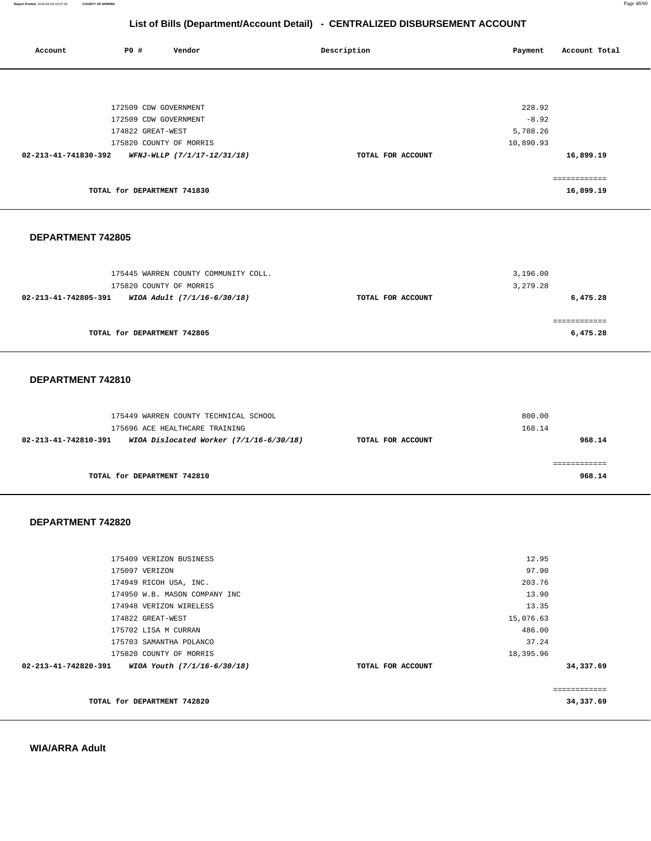**Report Printed** 2018-03-09 16:07:39 **COUNTY OF MORRIS** Page 48/60

# **List of Bills (Department/Account Detail) - CENTRALIZED DISBURSEMENT ACCOUNT**

| Account              | P0 #                        | Vendor                      | Description       | Payment   | Account Total |
|----------------------|-----------------------------|-----------------------------|-------------------|-----------|---------------|
|                      |                             |                             |                   |           |               |
|                      |                             |                             |                   |           |               |
|                      | 172509 CDW GOVERNMENT       |                             |                   | 228.92    |               |
|                      | 172509 CDW GOVERNMENT       |                             |                   | $-8.92$   |               |
|                      | 174822 GREAT-WEST           |                             |                   | 5,788.26  |               |
|                      |                             | 175820 COUNTY OF MORRIS     |                   | 10,890.93 |               |
| 02-213-41-741830-392 |                             | WFNJ-WLLP (7/1/17-12/31/18) | TOTAL FOR ACCOUNT |           | 16,899.19     |
|                      |                             |                             |                   |           | ============  |
|                      | TOTAL for DEPARTMENT 741830 |                             |                   |           | 16,899.19     |

#### **DEPARTMENT 742805**

| 175445 WARREN COUNTY COMMUNITY COLL.<br>175820 COUNTY OF MORRIS |                   | 3,196.00<br>3,279.28 |
|-----------------------------------------------------------------|-------------------|----------------------|
| WIOA Adult (7/1/16-6/30/18)<br>02-213-41-742805-391             | TOTAL FOR ACCOUNT | 6,475.28             |
|                                                                 |                   |                      |
| TOTAL for DEPARTMENT 742805                                     |                   | 6,475.28             |

### **DEPARTMENT 742810**

| 175449 WARREN COUNTY TECHNICAL SCHOOL<br>175696 ACE HEALTHCARE TRAINING |                   | 800.00<br>168.14 |
|-------------------------------------------------------------------------|-------------------|------------------|
| WIOA Dislocated Worker $(7/1/16-6/30/18)$<br>02-213-41-742810-391       | TOTAL FOR ACCOUNT | 968.14           |
| TOTAL for DEPARTMENT 742810                                             |                   | 968.14           |

| 175409 VERIZON BUSINESS                                       |                   | 12.95     |              |
|---------------------------------------------------------------|-------------------|-----------|--------------|
| 175097 VERIZON                                                |                   | 97.90     |              |
| 174949 RICOH USA, INC.                                        |                   | 203.76    |              |
| 174950 W.B. MASON COMPANY INC                                 |                   | 13.90     |              |
| 174948 VERIZON WIRELESS                                       |                   | 13.35     |              |
| 174822 GREAT-WEST                                             |                   | 15,076.63 |              |
| 175702 LISA M CURRAN                                          |                   | 486.00    |              |
| 175703 SAMANTHA POLANCO                                       |                   | 37.24     |              |
| 175820 COUNTY OF MORRIS                                       |                   | 18,395.96 |              |
| $02 - 213 - 41 - 742820 - 391$<br>WIOA Youth (7/1/16-6/30/18) | TOTAL FOR ACCOUNT |           | 34,337.69    |
|                                                               |                   |           |              |
|                                                               |                   |           | ============ |
| TOTAL for DEPARTMENT 742820                                   |                   |           | 34,337.69    |
|                                                               |                   |           |              |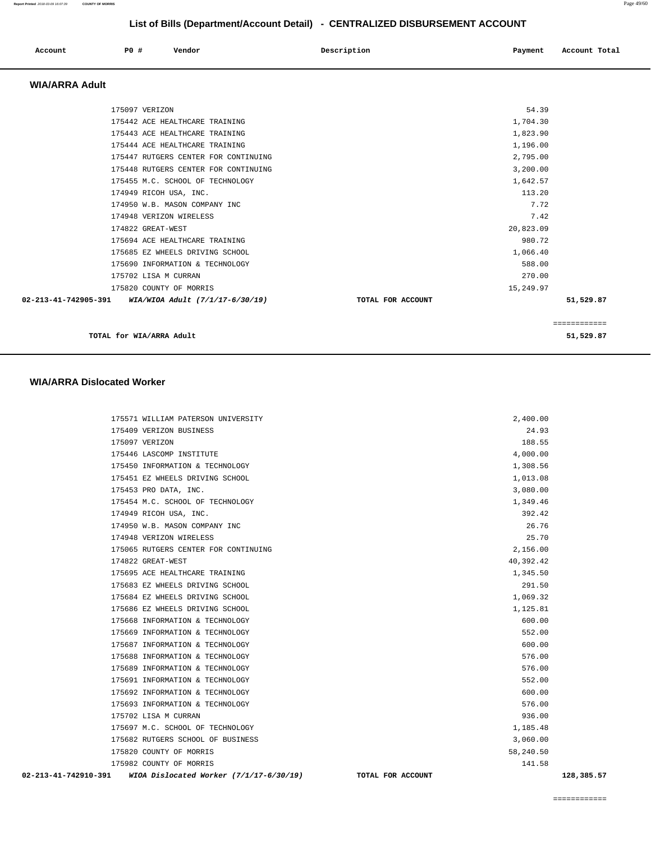| Account<br>. | PO# | Vendor | Description | Payment | Account Total<br>. |
|--------------|-----|--------|-------------|---------|--------------------|
|              |     |        |             |         |                    |

### **WIA/ARRA Adult**

| 175097 VERIZON                                       |                   | 54.39     |  |
|------------------------------------------------------|-------------------|-----------|--|
| 175442 ACE HEALTHCARE TRAINING                       |                   | 1,704.30  |  |
| 175443 ACE HEALTHCARE TRAINING                       |                   | 1,823.90  |  |
| 175444 ACE HEALTHCARE TRAINING                       |                   | 1,196.00  |  |
| 175447 RUTGERS CENTER FOR CONTINUING                 |                   | 2,795.00  |  |
| 175448 RUTGERS CENTER FOR CONTINUING                 |                   | 3,200.00  |  |
| 175455 M.C. SCHOOL OF TECHNOLOGY                     |                   | 1,642.57  |  |
| 174949 RICOH USA, INC.                               |                   | 113.20    |  |
| 174950 W.B. MASON COMPANY INC                        |                   | 7.72      |  |
| 174948 VERIZON WIRELESS                              |                   | 7.42      |  |
| 174822 GREAT-WEST                                    |                   | 20,823.09 |  |
| 175694 ACE HEALTHCARE TRAINING                       |                   | 980.72    |  |
| 175685 EZ WHEELS DRIVING SCHOOL                      |                   | 1,066.40  |  |
| 175690 INFORMATION & TECHNOLOGY                      |                   | 588.00    |  |
| 175702 LISA M CURRAN                                 |                   | 270.00    |  |
| 175820 COUNTY OF MORRIS                              |                   | 15,249.97 |  |
| 02-213-41-742905-391 WIA/WIOA Adult (7/1/17-6/30/19) | TOTAL FOR ACCOUNT | 51,529.87 |  |
|                                                      |                   |           |  |

TOTAL for WIA/ARRA Adult 51,529.87 **51,529.87** 

#### **WIA/ARRA Dislocated Worker**

| 02-213-41-742910-391 | WIOA Dislocated Worker (7/1/17-6/30/19) | TOTAL FOR ACCOUNT |           | 128,385.57 |
|----------------------|-----------------------------------------|-------------------|-----------|------------|
|                      | 175982 COUNTY OF MORRIS                 |                   | 141.58    |            |
|                      | 175820 COUNTY OF MORRIS                 |                   | 58,240.50 |            |
|                      | 175682 RUTGERS SCHOOL OF BUSINESS       |                   | 3,060.00  |            |
|                      | 175697 M.C. SCHOOL OF TECHNOLOGY        |                   | 1,185.48  |            |
|                      | 175702 LISA M CURRAN                    |                   | 936.00    |            |
|                      | 175693 INFORMATION & TECHNOLOGY         |                   | 576.00    |            |
|                      | 175692 INFORMATION & TECHNOLOGY         |                   | 600.00    |            |
|                      | 175691 INFORMATION & TECHNOLOGY         |                   | 552.00    |            |
|                      | 175689 INFORMATION & TECHNOLOGY         |                   | 576.00    |            |
|                      | 175688 INFORMATION & TECHNOLOGY         |                   | 576.00    |            |
|                      | 175687 INFORMATION & TECHNOLOGY         |                   | 600.00    |            |
|                      | 175669 INFORMATION & TECHNOLOGY         |                   | 552.00    |            |
|                      | 175668 INFORMATION & TECHNOLOGY         |                   | 600.00    |            |
|                      | 175686 EZ WHEELS DRIVING SCHOOL         |                   | 1,125.81  |            |
|                      | 175684 EZ WHEELS DRIVING SCHOOL         |                   | 1,069.32  |            |
|                      | 175683 EZ WHEELS DRIVING SCHOOL         |                   | 291.50    |            |
|                      | 175695 ACE HEALTHCARE TRAINING          |                   | 1,345.50  |            |
|                      | 174822 GREAT-WEST                       |                   | 40,392.42 |            |
|                      | 175065 RUTGERS CENTER FOR CONTINUING    |                   | 2,156.00  |            |
|                      | 174948 VERIZON WIRELESS                 |                   | 25.70     |            |
|                      | 174950 W.B. MASON COMPANY INC           |                   | 26.76     |            |
|                      | 174949 RICOH USA, INC.                  |                   | 392.42    |            |
|                      | 175454 M.C. SCHOOL OF TECHNOLOGY        |                   | 1,349.46  |            |
|                      | 175453 PRO DATA, INC.                   |                   | 3,080.00  |            |
|                      | 175451 EZ WHEELS DRIVING SCHOOL         |                   | 1,013.08  |            |
|                      | 175450 INFORMATION & TECHNOLOGY         |                   | 1,308.56  |            |
|                      | 175446 LASCOMP INSTITUTE                |                   | 4,000.00  |            |
|                      | 175097 VERIZON                          |                   | 188.55    |            |
|                      | 175409 VERIZON BUSINESS                 |                   | 24.93     |            |
|                      | 175571 WILLIAM PATERSON UNIVERSITY      |                   | 2,400.00  |            |

============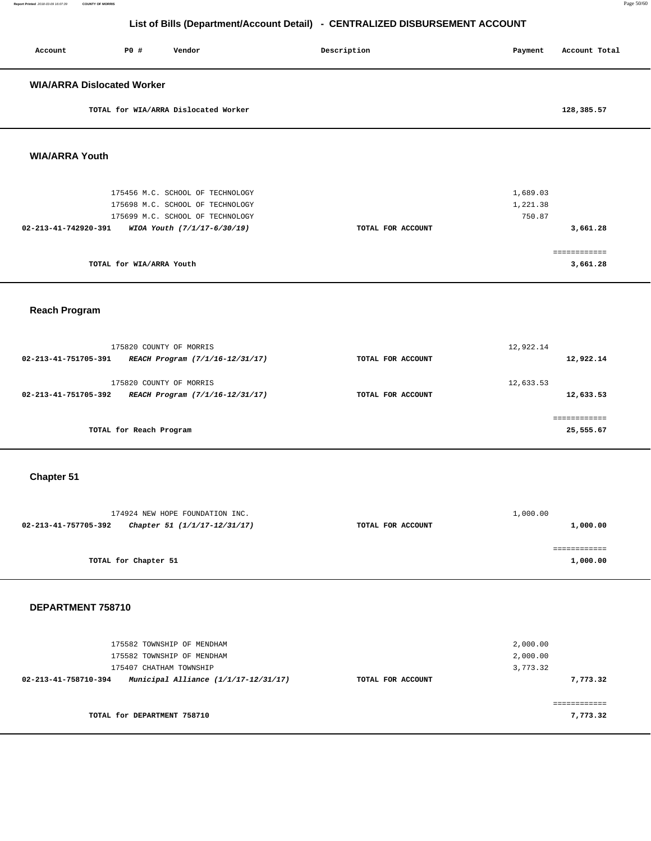## **List of Bills (Department/Account Detail) - CENTRALIZED DISBURSEMENT ACCOUNT**

| Account                           | P0 # | Vendor                               | Description       | Payment  | Account Total |
|-----------------------------------|------|--------------------------------------|-------------------|----------|---------------|
| <b>WIA/ARRA Dislocated Worker</b> |      |                                      |                   |          |               |
|                                   |      | TOTAL for WIA/ARRA Dislocated Worker |                   |          | 128,385.57    |
| <b>WIA/ARRA Youth</b>             |      |                                      |                   |          |               |
|                                   |      | 175456 M.C. SCHOOL OF TECHNOLOGY     |                   | 1,689.03 |               |
|                                   |      | 175698 M.C. SCHOOL OF TECHNOLOGY     |                   | 1,221.38 |               |
|                                   |      | 175699 M.C. SCHOOL OF TECHNOLOGY     |                   | 750.87   |               |
| 02-213-41-742920-391              |      | WIOA Youth (7/1/17-6/30/19)          | TOTAL FOR ACCOUNT |          | 3,661.28      |

|                          | ------------<br>------------ |
|--------------------------|------------------------------|
| TOTAL for WIA/ARRA Youth | 3,661.28                     |

## **Reach Program**

| 02-213-41-751705-391 | 175820 COUNTY OF MORRIS<br>REACH Program (7/1/16-12/31/17) | TOTAL FOR ACCOUNT | 12,922.14<br>12,922.14   |
|----------------------|------------------------------------------------------------|-------------------|--------------------------|
| 02-213-41-751705-392 | 175820 COUNTY OF MORRIS<br>REACH Program (7/1/16-12/31/17) | TOTAL FOR ACCOUNT | 12,633.53<br>12,633.53   |
|                      | TOTAL for Reach Program                                    |                   | ===========<br>25,555.67 |

# **Chapter 51**

| 174924 NEW HOPE FOUNDATION INC.                      |                   | 1,000.00 |
|------------------------------------------------------|-------------------|----------|
| 02-213-41-757705-392<br>Chapter 51 (1/1/17-12/31/17) | TOTAL FOR ACCOUNT | 1,000.00 |
|                                                      |                   |          |
|                                                      |                   |          |
| TOTAL for Chapter 51                                 |                   | 1,000.00 |
|                                                      |                   |          |

| 7,773.32 |
|----------|
|          |
| 3,773.32 |
| 2,000.00 |
| 2,000.00 |
|          |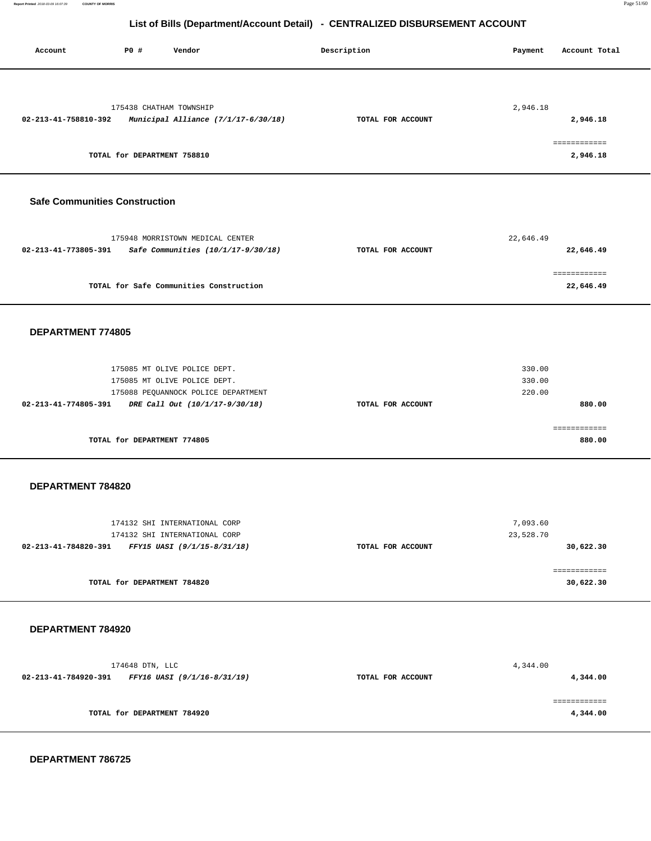**Report Printed** 2018-03-09 16:07:39 **COUNTY OF MORRIS** Page 51/60

## **List of Bills (Department/Account Detail) - CENTRALIZED DISBURSEMENT ACCOUNT**

| Account                                          | P0 #                        | Vendor                                                                                                                                | Description       | Payment                    | Account Total                        |
|--------------------------------------------------|-----------------------------|---------------------------------------------------------------------------------------------------------------------------------------|-------------------|----------------------------|--------------------------------------|
| 02-213-41-758810-392                             | TOTAL for DEPARTMENT 758810 | 175438 CHATHAM TOWNSHIP<br>Municipal Alliance (7/1/17-6/30/18)                                                                        | TOTAL FOR ACCOUNT | 2,946.18                   | 2,946.18<br>============<br>2,946.18 |
| <b>Safe Communities Construction</b>             |                             |                                                                                                                                       |                   |                            |                                      |
| 02-213-41-773805-391                             |                             | 175948 MORRISTOWN MEDICAL CENTER<br>Safe Communities (10/1/17-9/30/18)                                                                | TOTAL FOR ACCOUNT | 22,646.49                  | 22,646.49                            |
|                                                  |                             | TOTAL for Safe Communities Construction                                                                                               |                   |                            | ============<br>22,646.49            |
| DEPARTMENT 774805                                |                             |                                                                                                                                       |                   |                            |                                      |
| 02-213-41-774805-391                             |                             | 175085 MT OLIVE POLICE DEPT.<br>175085 MT OLIVE POLICE DEPT.<br>175088 PEQUANNOCK POLICE DEPARTMENT<br>DRE Call Out (10/1/17-9/30/18) | TOTAL FOR ACCOUNT | 330.00<br>330.00<br>220.00 | 880.00                               |
|                                                  | TOTAL for DEPARTMENT 774805 |                                                                                                                                       |                   |                            | ============<br>880.00               |
| DEPARTMENT 784820                                |                             |                                                                                                                                       |                   |                            |                                      |
| 02-213-41-784820-391 FFY15 UASI (9/1/15-8/31/18) |                             | 174132 SHI INTERNATIONAL CORP<br>174132 SHI INTERNATIONAL CORP                                                                        | TOTAL FOR ACCOUNT | 7,093.60<br>23,528.70      | 30,622.30                            |
|                                                  | TOTAL for DEPARTMENT 784820 |                                                                                                                                       |                   |                            | ============<br>30,622.30            |
| DEPARTMENT 784920                                |                             |                                                                                                                                       |                   |                            |                                      |
| 02-213-41-784920-391 FFY16 UASI (9/1/16-8/31/19) | 174648 DTN, LLC             |                                                                                                                                       | TOTAL FOR ACCOUNT | 4,344.00                   | 4,344.00                             |
|                                                  | TOTAL for DEPARTMENT 784920 |                                                                                                                                       |                   |                            | ============<br>4,344.00             |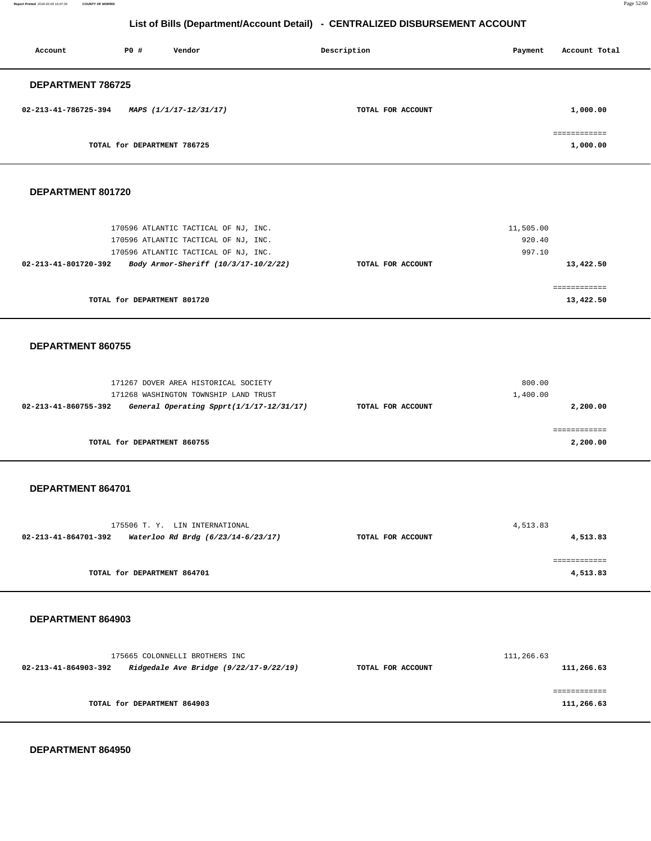**Report Printed** 2018-03-09 16:07:39 **COUNTY OF MORRIS** Page 52/60

## **List of Bills (Department/Account Detail) - CENTRALIZED DISBURSEMENT ACCOUNT**

| Account              | PO#                         | Vendor                 | Description       | Payment | Account Total            |
|----------------------|-----------------------------|------------------------|-------------------|---------|--------------------------|
| DEPARTMENT 786725    |                             |                        |                   |         |                          |
| 02-213-41-786725-394 |                             | MAPS (1/1/17-12/31/17) | TOTAL FOR ACCOUNT |         | 1,000.00                 |
|                      | TOTAL for DEPARTMENT 786725 |                        |                   |         | ============<br>1,000.00 |

#### **DEPARTMENT 801720**

| 170596 ATLANTIC TACTICAL OF NJ, INC.                         |                   | 11,505.00 |
|--------------------------------------------------------------|-------------------|-----------|
| 170596 ATLANTIC TACTICAL OF NJ, INC.                         |                   | 920.40    |
| 170596 ATLANTIC TACTICAL OF NJ, INC.                         |                   | 997.10    |
| Body Armor-Sheriff (10/3/17-10/2/22)<br>02-213-41-801720-392 | TOTAL FOR ACCOUNT | 13,422.50 |
|                                                              |                   |           |
|                                                              |                   |           |
| TOTAL for DEPARTMENT 801720                                  |                   | 13,422.50 |
|                                                              |                   |           |

### **DEPARTMENT 860755**

| 171267 DOVER AREA HISTORICAL SOCIETY<br>171268 WASHINGTON TOWNSHIP LAND TRUST |                   | 800.00<br>1,400.00 |
|-------------------------------------------------------------------------------|-------------------|--------------------|
| General Operating Spprt(1/1/17-12/31/17)<br>02-213-41-860755-392              | TOTAL FOR ACCOUNT | 2,200.00           |
|                                                                               |                   |                    |
| TOTAL for DEPARTMENT 860755                                                   |                   | 2,200,00           |

#### **DEPARTMENT 864701**

| 175506 T. Y. LIN INTERNATIONAL                             |                   | 4,513.83 |
|------------------------------------------------------------|-------------------|----------|
| Waterloo Rd Brdg (6/23/14-6/23/17)<br>02-213-41-864701-392 | TOTAL FOR ACCOUNT | 4,513.83 |
|                                                            |                   |          |
|                                                            |                   |          |
| TOTAL for DEPARTMENT 864701                                |                   | 4,513.83 |
|                                                            |                   |          |

#### **DEPARTMENT 864903**

| 175665 COLONNELLI BROTHERS INC |                                            |                   | 111,266.63 |
|--------------------------------|--------------------------------------------|-------------------|------------|
| 02-213-41-864903-392           | Ridgedale Ave Bridge $(9/22/17 - 9/22/19)$ | TOTAL FOR ACCOUNT | 111,266.63 |
|                                | TOTAL for DEPARTMENT 864903                |                   | 111,266.63 |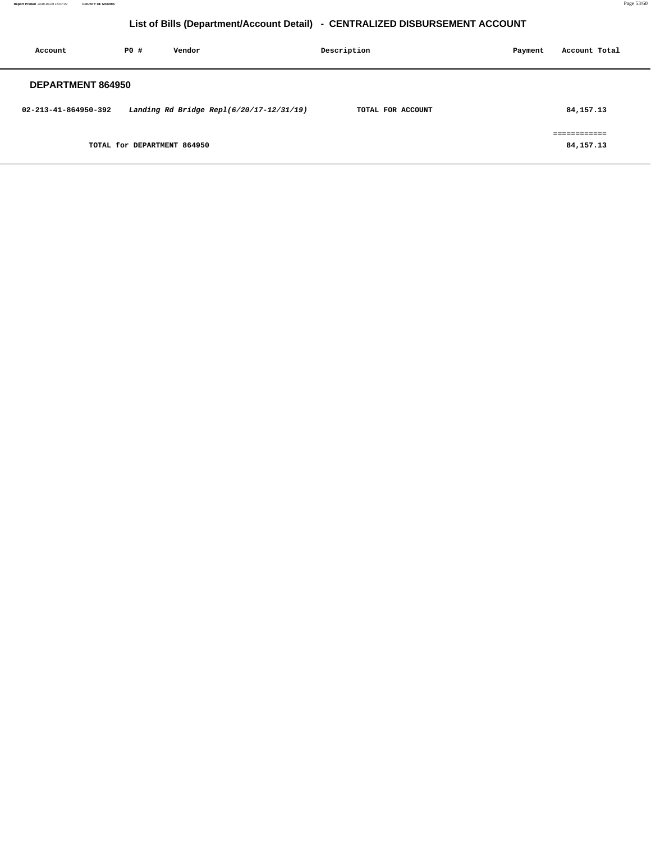**Report Printed** 2018-03-09 16:07:39 **COUNTY OF MORRIS** Page 53/60

# **List of Bills (Department/Account Detail) - CENTRALIZED DISBURSEMENT ACCOUNT**

| Account                  | PO#                         | Vendor                                   | Description       | Payment | Account Total             |
|--------------------------|-----------------------------|------------------------------------------|-------------------|---------|---------------------------|
| <b>DEPARTMENT 864950</b> |                             |                                          |                   |         |                           |
| 02-213-41-864950-392     |                             | Landing Rd Bridge Repl(6/20/17-12/31/19) | TOTAL FOR ACCOUNT |         | 84,157.13                 |
|                          | TOTAL for DEPARTMENT 864950 |                                          |                   |         | ============<br>84,157.13 |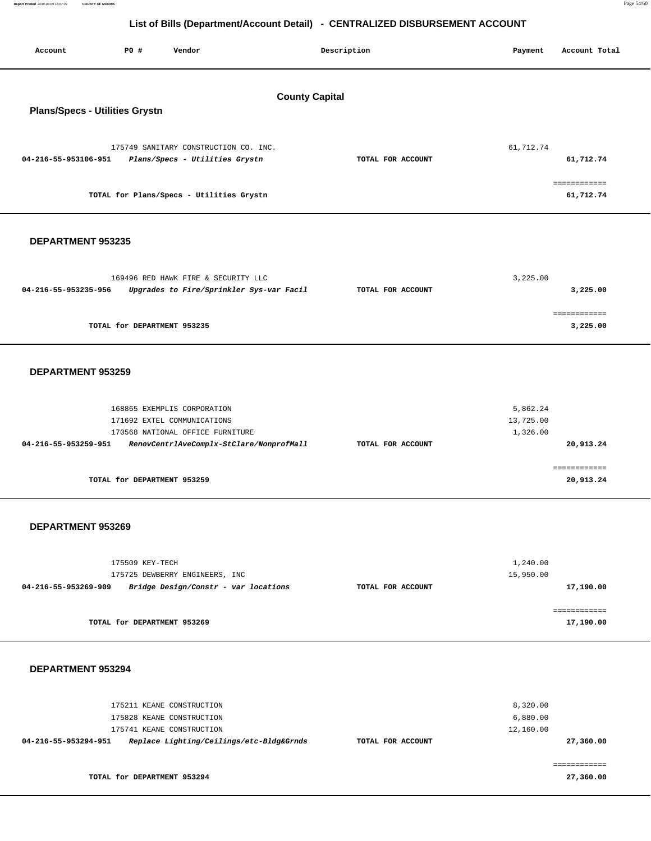| Report Printed 2018-03-09 16:07:39 COUNTY OF MORRIS |  | Page 54/60 |
|-----------------------------------------------------|--|------------|
|                                                     |  |            |

| Account                                                        | PO#                         | Vendor                                                                                                                                     |  | Description       |  | Payment                           | Account Total                          |
|----------------------------------------------------------------|-----------------------------|--------------------------------------------------------------------------------------------------------------------------------------------|--|-------------------|--|-----------------------------------|----------------------------------------|
| <b>County Capital</b><br><b>Plans/Specs - Utilities Grystn</b> |                             |                                                                                                                                            |  |                   |  |                                   |                                        |
| 04-216-55-953106-951                                           |                             | 175749 SANITARY CONSTRUCTION CO. INC.<br>Plans/Specs - Utilities Grystn<br>TOTAL for Plans/Specs - Utilities Grystn                        |  | TOTAL FOR ACCOUNT |  | 61,712.74                         | 61,712.74<br>============<br>61,712.74 |
| DEPARTMENT 953235                                              |                             |                                                                                                                                            |  |                   |  |                                   |                                        |
| 04-216-55-953235-956                                           |                             | 169496 RED HAWK FIRE & SECURITY LLC<br>Upgrades to Fire/Sprinkler Sys-var Facil                                                            |  | TOTAL FOR ACCOUNT |  | 3,225.00                          | 3,225.00<br>============               |
| DEPARTMENT 953259                                              | TOTAL for DEPARTMENT 953235 |                                                                                                                                            |  |                   |  |                                   | 3,225.00                               |
| 04-216-55-953259-951                                           |                             | 168865 EXEMPLIS CORPORATION<br>171692 EXTEL COMMUNICATIONS<br>170568 NATIONAL OFFICE FURNITURE<br>RenovCentrlAveComplx-StClare/NonprofMall |  | TOTAL FOR ACCOUNT |  | 5,862.24<br>13,725.00<br>1,326.00 | 20,913.24                              |
|                                                                | TOTAL for DEPARTMENT 953259 |                                                                                                                                            |  |                   |  |                                   | ============<br>20,913.24              |
| DEPARTMENT 953269                                              |                             |                                                                                                                                            |  |                   |  |                                   |                                        |
| 04-216-55-953269-909                                           | 175509 KEY-TECH             | 175725 DEWBERRY ENGINEERS, INC<br>Bridge Design/Constr - var locations                                                                     |  | TOTAL FOR ACCOUNT |  | 1,240.00<br>15,950.00             | 17,190.00                              |
|                                                                | TOTAL for DEPARTMENT 953269 |                                                                                                                                            |  |                   |  |                                   | ============<br>17,190.00              |
| DEPARTMENT 953294                                              |                             |                                                                                                                                            |  |                   |  |                                   |                                        |
| 04-216-55-953294-951                                           |                             | 175211 KEANE CONSTRUCTION<br>175828 KEANE CONSTRUCTION<br>175741 KEANE CONSTRUCTION<br>Replace Lighting/Ceilings/etc-Bldg&Grnds            |  | TOTAL FOR ACCOUNT |  | 8,320.00<br>6,880.00<br>12,160.00 | 27,360.00                              |

**TOTAL for DEPARTMENT 953294** 

============

**27,360.00**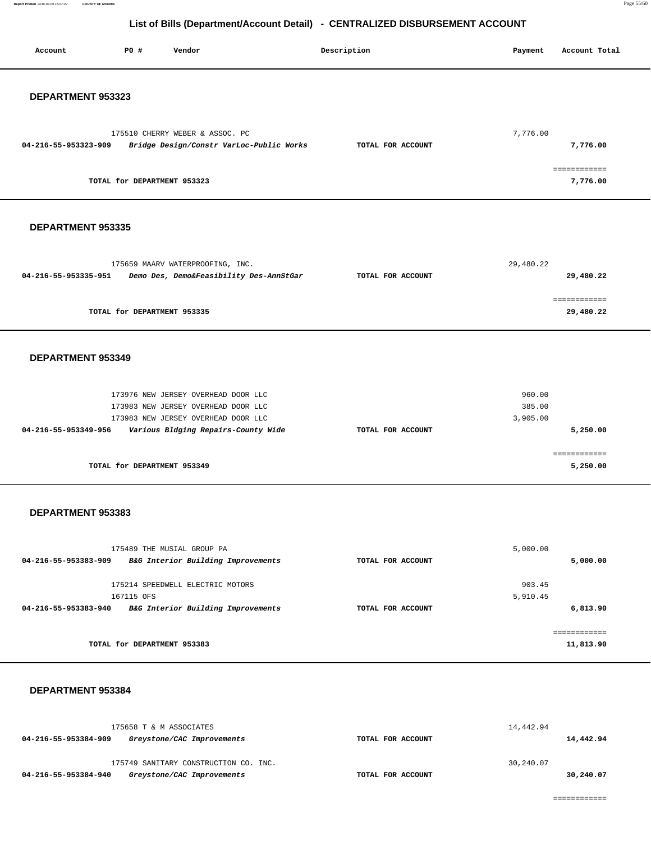**Report Printed** 2018-03-09 16:07:39 **COUNTY OF MORRIS** Page 55/60

## **List of Bills (Department/Account Detail) - CENTRALIZED DISBURSEMENT ACCOUNT**

| Account              | <b>PO #</b>                 | Vendor                                                                      | Description       | Payment   | Account Total             |
|----------------------|-----------------------------|-----------------------------------------------------------------------------|-------------------|-----------|---------------------------|
| DEPARTMENT 953323    |                             |                                                                             |                   |           |                           |
|                      |                             | 175510 CHERRY WEBER & ASSOC. PC                                             |                   | 7,776.00  |                           |
| 04-216-55-953323-909 |                             | Bridge Design/Constr VarLoc-Public Works                                    | TOTAL FOR ACCOUNT |           | 7,776.00                  |
|                      | TOTAL for DEPARTMENT 953323 |                                                                             |                   |           | ============<br>7,776.00  |
| DEPARTMENT 953335    |                             |                                                                             |                   |           |                           |
|                      |                             |                                                                             |                   |           |                           |
| 04-216-55-953335-951 |                             | 175659 MAARV WATERPROOFING, INC.<br>Demo Des, Demo&Feasibility Des-AnnStGar | TOTAL FOR ACCOUNT | 29,480.22 | 29,480.22                 |
|                      | TOTAL for DEPARTMENT 953335 |                                                                             |                   |           | ============<br>29,480.22 |
| DEPARTMENT 953349    |                             |                                                                             |                   |           |                           |
|                      |                             | 173976 NEW JERSEY OVERHEAD DOOR LLC                                         |                   | 960.00    |                           |
|                      |                             | 173983 NEW JERSEY OVERHEAD DOOR LLC                                         |                   | 385.00    |                           |
|                      |                             | 173983 NEW JERSEY OVERHEAD DOOR LLC                                         |                   | 3,905.00  |                           |
| 04-216-55-953349-956 |                             | Various Bldging Repairs-County Wide                                         | TOTAL FOR ACCOUNT |           | 5,250.00                  |
|                      | TOTAL for DEPARTMENT 953349 |                                                                             |                   |           | ============<br>5,250.00  |
| DEPARTMENT 953383    |                             |                                                                             |                   |           |                           |
|                      |                             |                                                                             |                   |           |                           |
|                      | 175489 THE MUSIAL GROUP PA  |                                                                             |                   | 5,000.00  |                           |
| 04-216-55-953383-909 |                             | B&G Interior Building Improvements                                          | TOTAL FOR ACCOUNT |           | 5,000.00                  |
|                      |                             | 175214 SPEEDWELL ELECTRIC MOTORS                                            |                   | 903.45    |                           |
|                      | 167115 OFS                  |                                                                             |                   | 5,910.45  |                           |

**TOTAL for DEPARTMENT 953383**  ============

**04-216-55-953383-940 B&G Interior Building Improvements TOTAL FOR ACCOUNT** 

### **DEPARTMENT 953384**

| 175658 T & M ASSOCIATES                            |                   | 14,442.94 |
|----------------------------------------------------|-------------------|-----------|
| 04-216-55-953384-909<br>Greystone/CAC Improvements | TOTAL FOR ACCOUNT | 14,442.94 |
| 175749 SANITARY CONSTRUCTION CO. INC.              |                   | 30,240.07 |
| 04-216-55-953384-940<br>Greystone/CAC Improvements | TOTAL FOR ACCOUNT | 30,240.07 |

**6,813.90**

**11,813.90**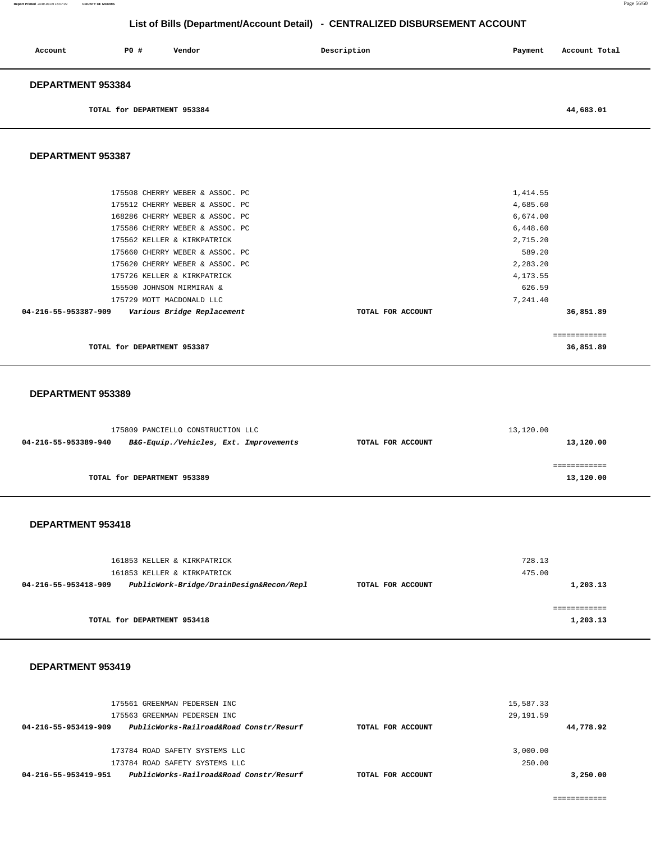| Account                  | PO# | Vendor | Description | Payment | Account Total |
|--------------------------|-----|--------|-------------|---------|---------------|
| <b>DEPARTMENT 953384</b> |     |        |             |         |               |

**TOTAL for DEPARTMENT 953384 44,683.01** 

### **DEPARTMENT 953387**

| TOTAL for DEPARTMENT 953387                        |                   | 36,851.89 |  |
|----------------------------------------------------|-------------------|-----------|--|
|                                                    |                   |           |  |
| 04-216-55-953387-909<br>Various Bridge Replacement | TOTAL FOR ACCOUNT | 36,851.89 |  |
| 175729 MOTT MACDONALD LLC                          |                   | 7,241.40  |  |
| 155500 JOHNSON MIRMIRAN &                          |                   | 626.59    |  |
| 175726 KELLER & KIRKPATRICK                        |                   | 4,173.55  |  |
| 175620 CHERRY WEBER & ASSOC. PC                    |                   | 2,283.20  |  |
| 175660 CHERRY WEBER & ASSOC. PC                    |                   | 589.20    |  |
| 175562 KELLER & KIRKPATRICK                        |                   | 2,715.20  |  |
| 175586 CHERRY WEBER & ASSOC. PC                    |                   | 6,448.60  |  |
| 168286 CHERRY WEBER & ASSOC. PC                    |                   | 6,674.00  |  |
| 175512 CHERRY WEBER & ASSOC. PC                    |                   | 4,685.60  |  |
| 175508 CHERRY WEBER & ASSOC. PC                    |                   | 1,414.55  |  |
|                                                    |                   |           |  |

### **DEPARTMENT 953389**

| 175809 PANCIELLO CONSTRUCTION LLC | 13,120.00                              |                   |           |
|-----------------------------------|----------------------------------------|-------------------|-----------|
| 04-216-55-953389-940              | B&G-Equip./Vehicles, Ext. Improvements | TOTAL FOR ACCOUNT | 13,120.00 |
|                                   |                                        |                   |           |
|                                   | TOTAL for DEPARTMENT 953389            |                   | 13,120.00 |
|                                   |                                        |                   |           |

#### **DEPARTMENT 953418**

| 161853 KELLER & KIRKPATRICK                                                                     |                   | 728.13<br>475.00 |
|-------------------------------------------------------------------------------------------------|-------------------|------------------|
| 161853 KELLER & KIRKPATRICK<br>PublicWork-Bridge/DrainDesign&Recon/Repl<br>04-216-55-953418-909 | TOTAL FOR ACCOUNT | 1,203.13         |
|                                                                                                 |                   |                  |
| TOTAL for DEPARTMENT 953418                                                                     |                   | 1,203.13         |

| 175561 GREENMAN PEDERSEN INC<br>175563 GREENMAN PEDERSEN INC    |                   | 15,587.33<br>29,191.59 |           |
|-----------------------------------------------------------------|-------------------|------------------------|-----------|
| PublicWorks-Railroad&Road Constr/Resurf<br>04-216-55-953419-909 | TOTAL FOR ACCOUNT |                        | 44,778.92 |
| 173784 ROAD SAFETY SYSTEMS LLC                                  |                   | 3,000.00               |           |
| 173784 ROAD SAFETY SYSTEMS LLC                                  |                   | 250.00                 |           |
| PublicWorks-Railroad&Road Constr/Resurf<br>04-216-55-953419-951 | TOTAL FOR ACCOUNT |                        | 3,250.00  |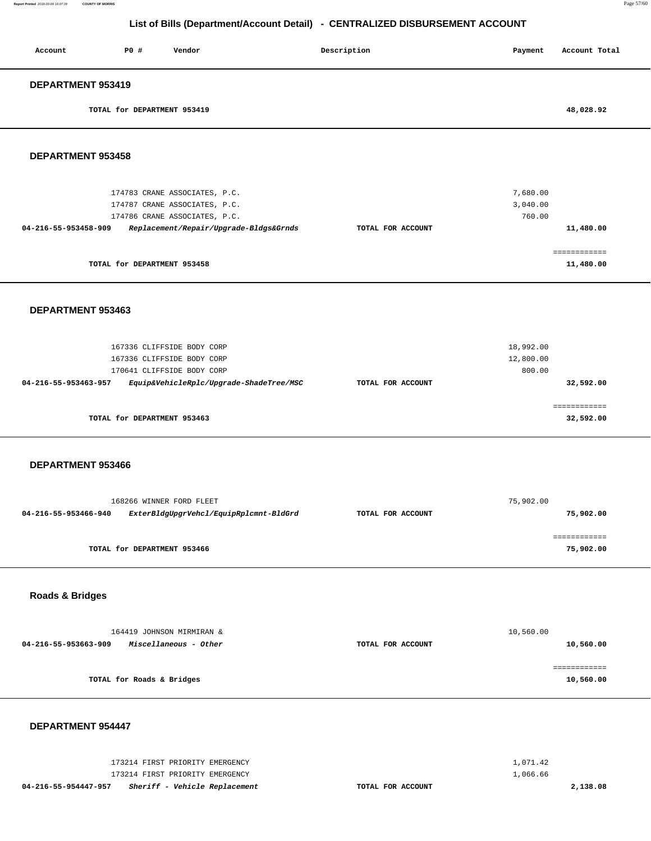| List of Bills (Department/Account Detail) - CENTRALIZED DISBURSEMENT ACCOUNT |                                         |                   |                          |  |  |
|------------------------------------------------------------------------------|-----------------------------------------|-------------------|--------------------------|--|--|
| Account                                                                      | <b>PO #</b><br>Vendor                   | Description       | Account Total<br>Payment |  |  |
| DEPARTMENT 953419                                                            |                                         |                   |                          |  |  |
|                                                                              | TOTAL for DEPARTMENT 953419             |                   | 48,028.92                |  |  |
| <b>DEPARTMENT 953458</b>                                                     |                                         |                   |                          |  |  |
|                                                                              |                                         |                   |                          |  |  |
|                                                                              | 174783 CRANE ASSOCIATES, P.C.           |                   | 7,680.00                 |  |  |
|                                                                              | 174787 CRANE ASSOCIATES, P.C.           |                   | 3,040.00                 |  |  |
|                                                                              | 174786 CRANE ASSOCIATES, P.C.           |                   | 760.00                   |  |  |
| 04-216-55-953458-909                                                         | Replacement/Repair/Upgrade-Bldgs&Grnds  | TOTAL FOR ACCOUNT | 11,480.00                |  |  |
|                                                                              |                                         |                   | ============             |  |  |
|                                                                              | TOTAL for DEPARTMENT 953458             |                   | 11,480.00                |  |  |
|                                                                              |                                         |                   |                          |  |  |
| DEPARTMENT 953463                                                            |                                         |                   |                          |  |  |
|                                                                              |                                         |                   |                          |  |  |
|                                                                              | 167336 CLIFFSIDE BODY CORP              |                   | 18,992.00                |  |  |
|                                                                              | 167336 CLIFFSIDE BODY CORP              |                   | 12,800.00                |  |  |
|                                                                              | 170641 CLIFFSIDE BODY CORP              |                   | 800.00                   |  |  |
| 04-216-55-953463-957                                                         | Equip&VehicleRplc/Upgrade-ShadeTree/MSC | TOTAL FOR ACCOUNT | 32,592.00                |  |  |
|                                                                              |                                         |                   | ============             |  |  |
|                                                                              | TOTAL for DEPARTMENT 953463             |                   | 32,592.00                |  |  |

**DEPARTMENT 953466** 

|                      | 168266 WINNER FORD FLEET               |                   | 75,902.00 |
|----------------------|----------------------------------------|-------------------|-----------|
| 04-216-55-953466-940 | ExterBldgUpgrVehcl/EquipRplcmnt-BldGrd | TOTAL FOR ACCOUNT | 75,902.00 |
|                      |                                        |                   |           |
|                      |                                        |                   |           |
|                      | TOTAL for DEPARTMENT 953466            |                   | 75,902.00 |

**Roads & Bridges** 

| 164419 JOHNSON MIRMIRAN &                     |                   | 10,560.00 |
|-----------------------------------------------|-------------------|-----------|
| Miscellaneous - Other<br>04-216-55-953663-909 | TOTAL FOR ACCOUNT | 10,560.00 |
|                                               |                   |           |
|                                               |                   |           |
| TOTAL for Roads & Bridges                     |                   | 10,560.00 |
|                                               |                   |           |

|                      |  | 173214 FIRST PRIORITY EMERGENCY |  |                   |
|----------------------|--|---------------------------------|--|-------------------|
|                      |  | 173214 FIRST PRIORITY EMERGENCY |  |                   |
| 04-216-55-954447-957 |  | Sheriff - Vehicle Replacement   |  | TOTAL FOR ACCOUNT |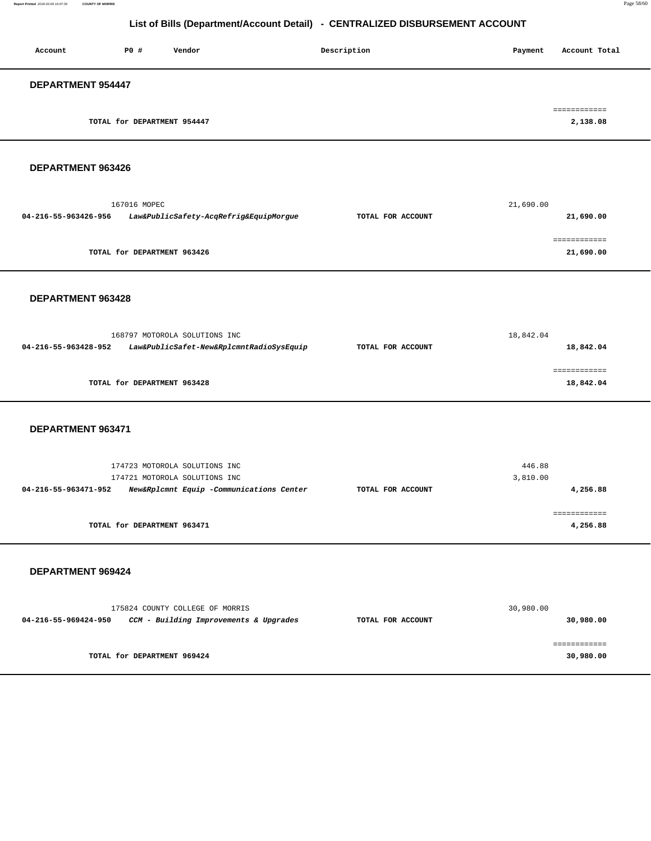**Report Printed** 2018-03-09 16:07:39 **COUNTY OF MORRIS** Page 58/60

## **List of Bills (Department/Account Detail) - CENTRALIZED DISBURSEMENT ACCOUNT**

| Account                  | PO#                         | Vendor | Description | Payment | Account Total            |
|--------------------------|-----------------------------|--------|-------------|---------|--------------------------|
| <b>DEPARTMENT 954447</b> |                             |        |             |         |                          |
|                          | TOTAL for DEPARTMENT 954447 |        |             |         | ------------<br>2,138.08 |

### **DEPARTMENT 963426**

|                      | 167016 MOPEC                           |                   | 21,690.00 |
|----------------------|----------------------------------------|-------------------|-----------|
| 04-216-55-963426-956 | Law&PublicSafety-AcqRefrig&EquipMorgue | TOTAL FOR ACCOUNT | 21,690.00 |
|                      |                                        |                   |           |
|                      |                                        |                   |           |
|                      | TOTAL for DEPARTMENT 963426            |                   | 21,690.00 |

### **DEPARTMENT 963428**

| 168797 MOTOROLA SOLUTIONS INC |                                          |                   | 18,842.04 |
|-------------------------------|------------------------------------------|-------------------|-----------|
| 04-216-55-963428-952          | Law&PublicSafet-New&RplcmntRadioSysEquip | TOTAL FOR ACCOUNT | 18,842.04 |
|                               |                                          |                   |           |
|                               |                                          |                   |           |
|                               | TOTAL for DEPARTMENT 963428              |                   | 18,842.04 |
|                               |                                          |                   |           |

#### **DEPARTMENT 963471**

|                      |                             | 174723 MOTOROLA SOLUTIONS INC<br>174721 MOTOROLA SOLUTIONS INC |                   | 446.88<br>3,810.00 |          |
|----------------------|-----------------------------|----------------------------------------------------------------|-------------------|--------------------|----------|
| 04-216-55-963471-952 |                             | New&Rplcmnt Equip -Communications Center                       | TOTAL FOR ACCOUNT |                    | 4,256.88 |
|                      | TOTAL for DEPARTMENT 963471 |                                                                |                   |                    | 4,256.88 |

| 175824 COUNTY COLLEGE OF MORRIS                                | 30,980.00                      |
|----------------------------------------------------------------|--------------------------------|
| CCM - Building Improvements & Upgrades<br>04-216-55-969424-950 | 30,980.00<br>TOTAL FOR ACCOUNT |
|                                                                |                                |
|                                                                |                                |
| TOTAL for DEPARTMENT 969424                                    | 30,980.00                      |
|                                                                |                                |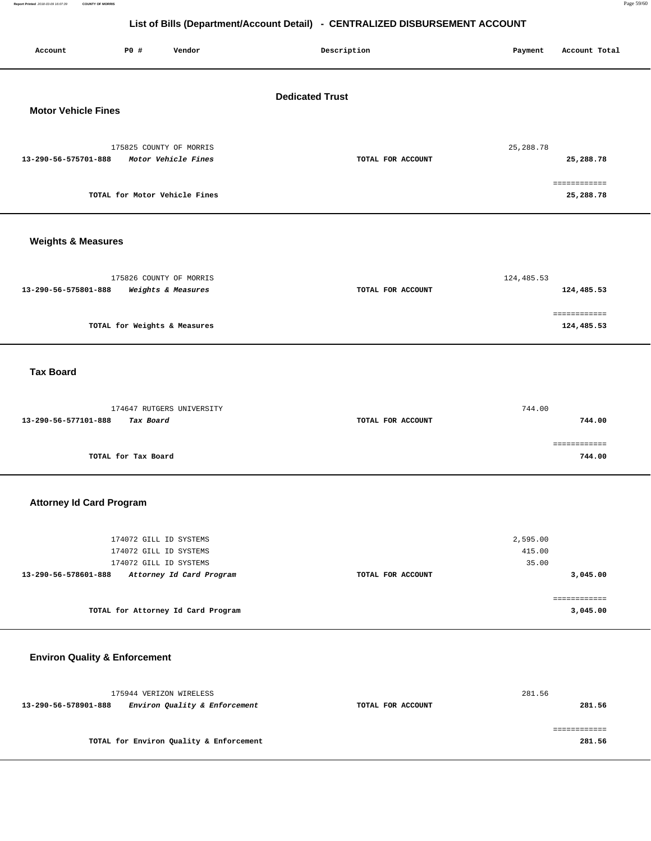**Report Printed** 2018-03-09 16:07:39 **COUNTY OF MORRIS** Page 59/60

# **List of Bills (Department/Account Detail) - CENTRALIZED DISBURSEMENT ACCOUNT**

| P0 #<br>Vendor<br>Account                                                                                                      | Description       | Payment                     | Account Total              |  |
|--------------------------------------------------------------------------------------------------------------------------------|-------------------|-----------------------------|----------------------------|--|
| <b>Dedicated Trust</b><br><b>Motor Vehicle Fines</b>                                                                           |                   |                             |                            |  |
| 175825 COUNTY OF MORRIS<br>13-290-56-575701-888<br>Motor Vehicle Fines                                                         | TOTAL FOR ACCOUNT | 25, 288.78                  | 25,288.78                  |  |
| TOTAL for Motor Vehicle Fines                                                                                                  |                   |                             | ============<br>25,288.78  |  |
| <b>Weights &amp; Measures</b>                                                                                                  |                   |                             |                            |  |
| 175826 COUNTY OF MORRIS<br>13-290-56-575801-888<br>Weights & Measures                                                          | TOTAL FOR ACCOUNT | 124,485.53                  | 124,485.53                 |  |
| TOTAL for Weights & Measures                                                                                                   |                   |                             | ============<br>124,485.53 |  |
| <b>Tax Board</b>                                                                                                               |                   |                             |                            |  |
| 174647 RUTGERS UNIVERSITY<br>13-290-56-577101-888<br>Tax Board                                                                 | TOTAL FOR ACCOUNT | 744.00                      | 744.00                     |  |
| TOTAL for Tax Board                                                                                                            |                   |                             | ============<br>744.00     |  |
| <b>Attorney Id Card Program</b>                                                                                                |                   |                             |                            |  |
| 174072 GILL ID SYSTEMS<br>174072 GILL ID SYSTEMS<br>174072 GILL ID SYSTEMS<br>13-290-56-578601-888<br>Attorney Id Card Program | TOTAL FOR ACCOUNT | 2,595.00<br>415.00<br>35.00 | 3,045.00                   |  |
| TOTAL for Attorney Id Card Program                                                                                             |                   |                             | ============<br>3,045.00   |  |
| <b>Environ Quality &amp; Enforcement</b>                                                                                       |                   |                             |                            |  |
| 175944 VERIZON WIRELESS<br>Environ Quality & Enforcement<br>13-290-56-578901-888                                               | TOTAL FOR ACCOUNT | 281.56                      | 281.56                     |  |
| TOTAL for Environ Quality & Enforcement                                                                                        |                   |                             | ============<br>281.56     |  |